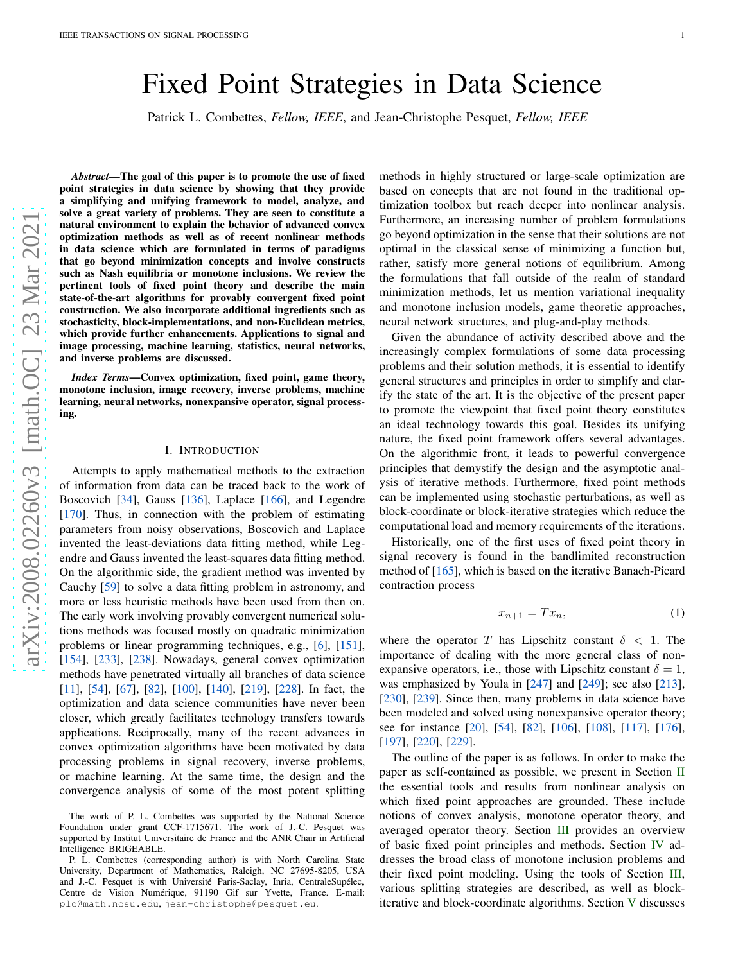# Fixed Point Strategies in Data Science

Patrick L. Combettes, *Fellow, IEEE*, and Jean-Christophe Pesquet, *Fellow, IEEE*

arXiv:2008.02260v3 [math.OC] 23 Mar 2021 [arXiv:2008.02260v3 \[math.OC\] 23 Mar 2021](http://arxiv.org/abs/2008.02260v3)

*Abstract*—The goal of this paper is to promote the use of fixed point strategies in data science by showing that they provide a simplifying and unifying framework to model, analyze, and solve a great variety of problems. They are seen to constitute a natural environment to explain the behavior of advanced convex optimization methods as well as of recent nonlinear methods in data science which are formulated in terms of paradigms that go beyond minimization concepts and involve constructs such as Nash equilibria or monotone inclusions. We review the pertinent tools of fixed point theory and describe the main state-of-the-art algorithms for provably convergent fixed point construction. We also incorporate additional ingredients such as stochasticity, block-implementations, and non-Euclidean metrics, which provide further enhancements. Applications to signal and image processing, machine learning, statistics, neural networks, and inverse problems are discussed.

*Index Terms*—Convex optimization, fixed point, game theory, monotone inclusion, image recovery, inverse problems, machine learning, neural networks, nonexpansive operator, signal processing.

## I. INTRODUCTION

Attempts to apply mathematical methods to the extraction of information from data can be traced back to the work of Boscovich [\[34\]](#page-24-0), Gauss [\[136\]](#page-26-0), Laplace [\[166\]](#page-26-1), and Legendre [\[170\]](#page-26-2). Thus, in connection with the problem of estimating parameters from noisy observations, Boscovich and Laplace invented the least-deviations data fitting method, while Legendre and Gauss invented the least-squares data fitting method. On the algorithmic side, the gradient method was invented by Cauchy [\[59\]](#page-24-1) to solve a data fitting problem in astronomy, and more or less heuristic methods have been used from then on. The early work involving provably convergent numerical solutions methods was focused mostly on quadratic minimization problems or linear programming techniques, e.g., [\[6\]](#page-23-0), [\[151\]](#page-26-3), [\[154\]](#page-26-4), [\[233\]](#page-27-0), [\[238\]](#page-27-1). Nowadays, general convex optimization methods have penetrated virtually all branches of data science [\[11\]](#page-23-1), [\[54\]](#page-24-2), [\[67\]](#page-24-3), [\[82\]](#page-25-0), [\[100\]](#page-25-1), [\[140\]](#page-26-5), [\[219\]](#page-27-2), [\[228\]](#page-27-3). In fact, the optimization and data science communities have never been closer, which greatly facilitates technology transfers towards applications. Reciprocally, many of the recent advances in convex optimization algorithms have been motivated by data processing problems in signal recovery, inverse problems, or machine learning. At the same time, the design and the convergence analysis of some of the most potent splitting

methods in highly structured or large-scale optimization are based on concepts that are not found in the traditional optimization toolbox but reach deeper into nonlinear analysis. Furthermore, an increasing number of problem formulations go beyond optimization in the sense that their solutions are not optimal in the classical sense of minimizing a function but, rather, satisfy more general notions of equilibrium. Among the formulations that fall outside of the realm of standard minimization methods, let us mention variational inequality and monotone inclusion models, game theoretic approaches, neural network structures, and plug-and-play methods.

Given the abundance of activity described above and the increasingly complex formulations of some data processing problems and their solution methods, it is essential to identify general structures and principles in order to simplify and clarify the state of the art. It is the objective of the present paper to promote the viewpoint that fixed point theory constitutes an ideal technology towards this goal. Besides its unifying nature, the fixed point framework offers several advantages. On the algorithmic front, it leads to powerful convergence principles that demystify the design and the asymptotic analysis of iterative methods. Furthermore, fixed point methods can be implemented using stochastic perturbations, as well as block-coordinate or block-iterative strategies which reduce the computational load and memory requirements of the iterations.

Historically, one of the first uses of fixed point theory in signal recovery is found in the bandlimited reconstruction method of [\[165\]](#page-26-6), which is based on the iterative Banach-Picard contraction process

<span id="page-0-0"></span>
$$
x_{n+1} = Tx_n,\tag{1}
$$

where the operator T has Lipschitz constant  $\delta$  < 1. The importance of dealing with the more general class of nonexpansive operators, i.e., those with Lipschitz constant  $\delta = 1$ , was emphasized by Youla in [\[247\]](#page-28-0) and [\[249\]](#page-28-1); see also [\[213\]](#page-27-4), [\[230\]](#page-27-5), [\[239\]](#page-27-6). Since then, many problems in data science have been modeled and solved using nonexpansive operator theory; see for instance [\[20\]](#page-23-2), [\[54\]](#page-24-2), [\[82\]](#page-25-0), [\[106\]](#page-25-2), [\[108\]](#page-25-3), [\[117\]](#page-25-4), [\[176\]](#page-26-7), [\[197\]](#page-27-7), [\[220\]](#page-27-8), [\[229\]](#page-27-9).

The outline of the paper is as follows. In order to make the paper as self-contained as possible, we present in Section [II](#page-1-0) the essential tools and results from nonlinear analysis on which fixed point approaches are grounded. These include notions of convex analysis, monotone operator theory, and averaged operator theory. Section [III](#page-5-0) provides an overview of basic fixed point principles and methods. Section [IV](#page-7-0) addresses the broad class of monotone inclusion problems and their fixed point modeling. Using the tools of Section [III,](#page-5-0) various splitting strategies are described, as well as blockiterative and block-coordinate algorithms. Section [V](#page-11-0) discusses

The work of P. L. Combettes was supported by the National Science Foundation under grant CCF-1715671. The work of J.-C. Pesquet was supported by Institut Universitaire de France and the ANR Chair in Artificial Intelligence BRIGEABLE.

P. L. Combettes (corresponding author) is with North Carolina State University, Department of Mathematics, Raleigh, NC 27695-8205, USA and J.-C. Pesquet is with Université Paris-Saclay, Inria, CentraleSupélec, Centre de Vision Numérique, 91190 Gif sur Yvette, France. E-mail: plc@math.ncsu.edu, jean-christophe@pesquet.eu.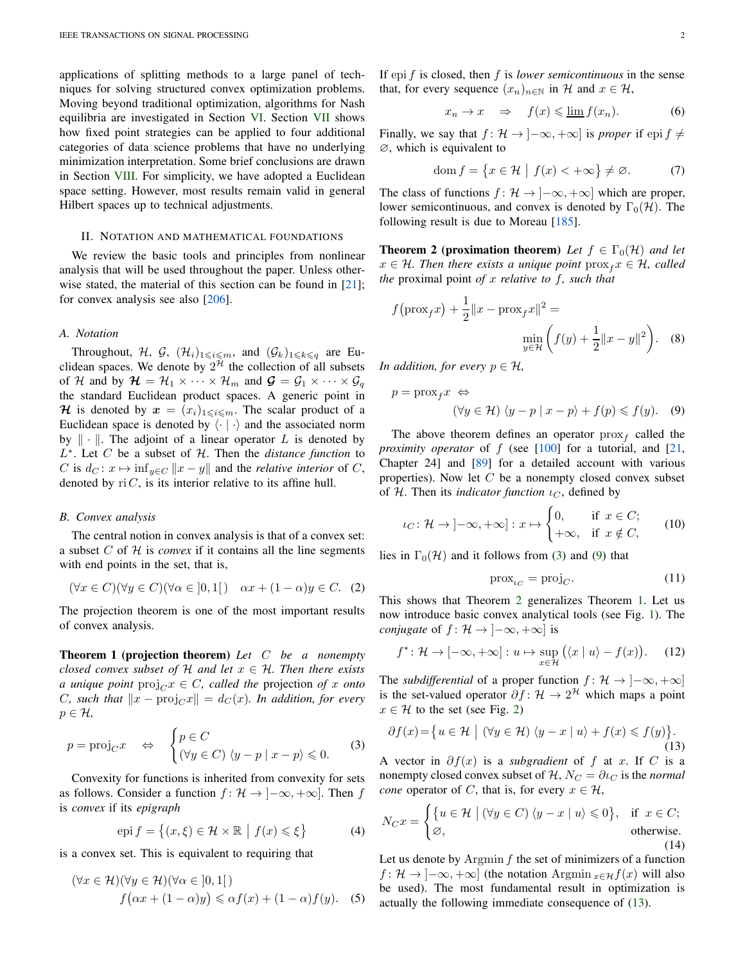applications of splitting methods to a large panel of techniques for solving structured convex optimization problems. Moving beyond traditional optimization, algorithms for Nash equilibria are investigated in Section [VI.](#page-17-0) Section [VII](#page-20-0) shows how fixed point strategies can be applied to four additional categories of data science problems that have no underlying minimization interpretation. Some brief conclusions are drawn in Section [VIII.](#page-23-3) For simplicity, we have adopted a Euclidean space setting. However, most results remain valid in general Hilbert spaces up to technical adjustments.

## <span id="page-1-0"></span>II. NOTATION AND MATHEMATICAL FOUNDATIONS

We review the basic tools and principles from nonlinear analysis that will be used throughout the paper. Unless other-wise stated, the material of this section can be found in [\[21\]](#page-23-4); for convex analysis see also [\[206\]](#page-27-10).

## <span id="page-1-10"></span>*A. Notation*

Throughout, H, G,  $(\mathcal{H}_i)_{1\leqslant i\leqslant m}$ , and  $(\mathcal{G}_k)_{1\leqslant k\leqslant q}$  are Euclidean spaces. We denote by  $2^{\mathcal{H}}$  the collection of all subsets of H and by  $\mathcal{H} = \mathcal{H}_1 \times \cdots \times \mathcal{H}_m$  and  $\mathcal{G} = \mathcal{G}_1 \times \cdots \times \mathcal{G}_q$ the standard Euclidean product spaces. A generic point in H is denoted by  $x = (x_i)_{1 \leq i \leq m}$ . The scalar product of a Euclidean space is denoted by  $\langle \cdot | \cdot \rangle$  and the associated norm by  $\|\cdot\|$ . The adjoint of a linear operator L is denoted by L ∗ . Let C be a subset of H. Then the *distance function* to C is  $d_C: x \mapsto \inf_{y \in C} ||x - y||$  and the *relative interior* of C, denoted by  $ri C$ , is its interior relative to its affine hull.

#### *B. Convex analysis*

The central notion in convex analysis is that of a convex set: a subset  $C$  of  $H$  is *convex* if it contains all the line segments with end points in the set, that is,

$$
(\forall x \in C)(\forall y \in C)(\forall \alpha \in ]0,1[) \quad \alpha x + (1-\alpha)y \in C. \tag{2}
$$

<span id="page-1-4"></span>The projection theorem is one of the most important results of convex analysis.

Theorem 1 (projection theorem) *Let* C *be a nonempty closed convex subset of*  $H$  *and let*  $x \in H$ *. Then there exists a unique point*  $proj_C x \in C$ *, called the projection of x onto C*, such that  $\|x - \text{proj}_C x\| = d_C(x)$ . In addition, for every  $p \in \mathcal{H}$ ,

<span id="page-1-1"></span>
$$
p = \text{proj}_{C} x \quad \Leftrightarrow \quad \begin{cases} p \in C \\ (\forall y \in C) \ \langle y - p | x - p \rangle \leq 0. \end{cases} \tag{3}
$$

Convexity for functions is inherited from convexity for sets as follows. Consider a function  $f: \mathcal{H} \to [-\infty, +\infty]$ . Then f is *convex* if its *epigraph*

<span id="page-1-6"></span>
$$
epi f = \{(x, \xi) \in \mathcal{H} \times \mathbb{R} \mid f(x) \leq \xi\}
$$
 (4)

is a convex set. This is equivalent to requiring that

$$
(\forall x \in \mathcal{H})(\forall y \in \mathcal{H})(\forall \alpha \in [0,1])
$$
  

$$
f(\alpha x + (1-\alpha)y) \leq \alpha f(x) + (1-\alpha)f(y). \quad (5)
$$

If epi f is closed, then f is *lower semicontinuous* in the sense that, for every sequence  $(x_n)_{n\in\mathbb{N}}$  in H and  $x \in \mathcal{H}$ ,

$$
x_n \to x \quad \Rightarrow \quad f(x) \leq \underline{\lim} f(x_n). \tag{6}
$$

Finally, we say that  $f: \mathcal{H} \to ]-\infty, +\infty]$  is *proper* if epi  $f \neq$ ∅, which is equivalent to

$$
\operatorname{dom} f = \left\{ x \in \mathcal{H} \mid f(x) < +\infty \right\} \neq \varnothing. \tag{7}
$$

<span id="page-1-3"></span>The class of functions  $f: \mathcal{H} \to ]-\infty, +\infty]$  which are proper, lower semicontinuous, and convex is denoted by  $\Gamma_0(\mathcal{H})$ . The following result is due to Moreau [\[185\]](#page-27-11).

**Theorem 2 (proximation theorem)** Let  $f \in \Gamma_0(\mathcal{H})$  and let  $x \in \mathcal{H}$ . Then there exists a unique point  $\text{prox}_f x \in \mathcal{H}$ , called *the* proximal point *of* x *relative to* f*, such that*

$$
f(\text{prox}_f x) + \frac{1}{2} ||x - \text{prox}_f x||^2 = \min_{y \in \mathcal{H}} \left( f(y) + \frac{1}{2} ||x - y||^2 \right). \tag{8}
$$

*In addition, for every*  $p \in \mathcal{H}$ *,* 

$$
p = \text{prox}_{f} x \iff
$$
  

$$
(\forall y \in \mathcal{H}) \ \langle y - p \mid x - p \rangle + f(p) \leq f(y). \tag{9}
$$

The above theorem defines an operator  $prox_f$  called the *proximity operator* of f (see [\[100\]](#page-25-1) for a tutorial, and [\[21,](#page-23-4) Chapter 24] and [\[89\]](#page-25-5) for a detailed account with various properties). Now let  $C$  be a nonempty closed convex subset of H. Then its *indicator function*  $\iota_C$ , defined by

$$
\iota_C \colon \mathcal{H} \to ]-\infty, +\infty] : x \mapsto \begin{cases} 0, & \text{if } x \in C; \\ +\infty, & \text{if } x \notin C, \end{cases} \tag{10}
$$

lies in  $\Gamma_0(\mathcal{H})$  and it follows from [\(3\)](#page-1-1) and [\(9\)](#page-1-2) that

<span id="page-1-8"></span><span id="page-1-7"></span><span id="page-1-5"></span><span id="page-1-2"></span>
$$
\text{prox}_{\iota_C} = \text{proj}_C. \tag{11}
$$

This shows that Theorem [2](#page-1-3) generalizes Theorem [1.](#page-1-4) Let us now introduce basic convex analytical tools (see Fig. [1\)](#page-2-0). The *conjugate* of  $f: \mathcal{H} \to ]-\infty, +\infty]$  is

$$
f^* \colon \mathcal{H} \to [-\infty, +\infty] : u \mapsto \sup_{x \in \mathcal{H}} (\langle x \mid u \rangle - f(x)). \tag{12}
$$

The *subdifferential* of a proper function  $f: \mathcal{H} \to [-\infty, +\infty]$ is the set-valued operator  $\partial f: \mathcal{H} \to 2^{\mathcal{H}}$  which maps a point  $x \in \mathcal{H}$  to the set (see Fig. [2\)](#page-2-1)

<span id="page-1-11"></span>
$$
\partial f(x) = \{ u \in \mathcal{H} \mid (\forall y \in \mathcal{H}) \langle y - x \mid u \rangle + f(x) \leqslant f(y) \}.
$$
\n(13)

A vector in  $\partial f(x)$  is a *subgradient* of f at x. If C is a nonempty closed convex subset of  $H$ ,  $N_C = \partial_{\iota_C}$  is the *normal cone* operator of C, that is, for every  $x \in \mathcal{H}$ ,

$$
N_C x = \begin{cases} \{u \in \mathcal{H} \mid (\forall y \in C) \langle y - x \mid u \rangle \leq 0\}, & \text{if } x \in C; \\ \varnothing, & \text{otherwise.} \end{cases}
$$

<span id="page-1-9"></span>Let us denote by  $Argmin f$  the set of minimizers of a function  $f: \mathcal{H} \to [-\infty, +\infty]$  (the notation Argmin  $x \in \mathcal{H}f(x)$  will also be used). The most fundamental result in optimization is actually the following immediate consequence of [\(13\)](#page-1-5).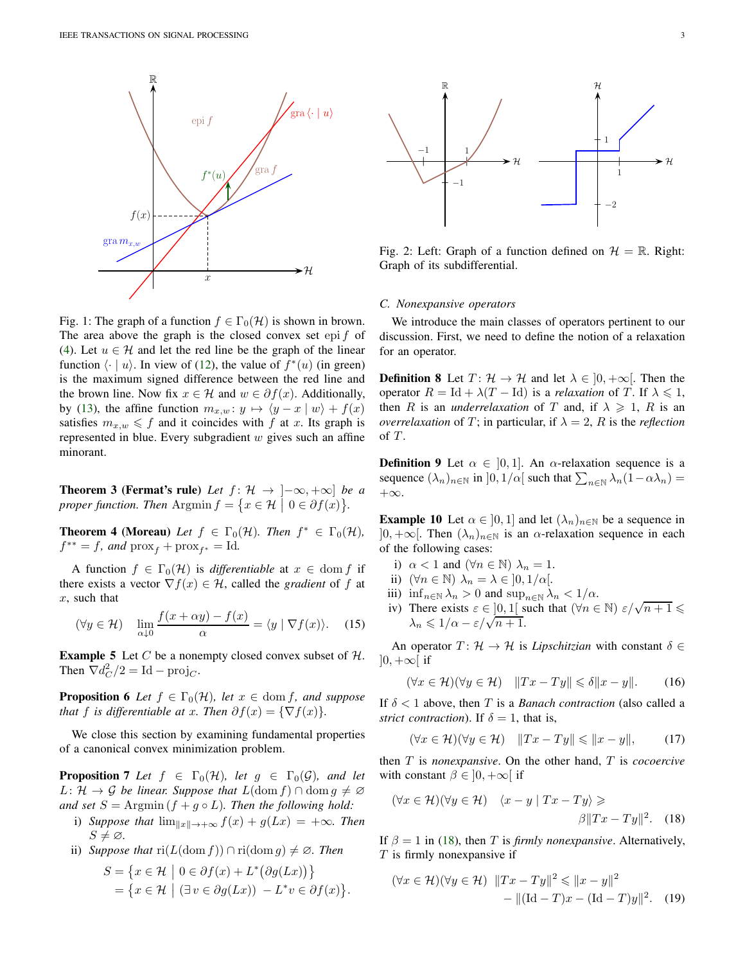<span id="page-2-0"></span>

Fig. 1: The graph of a function  $f \in \Gamma_0(\mathcal{H})$  is shown in brown. The area above the graph is the closed convex set epi  $f$  of [\(4\)](#page-1-6). Let  $u \in \mathcal{H}$  and let the red line be the graph of the linear function  $\langle \cdot | u \rangle$ . In view of [\(12\)](#page-1-7), the value of  $f^*(u)$  (in green) is the maximum signed difference between the red line and the brown line. Now fix  $x \in \mathcal{H}$  and  $w \in \partial f(x)$ . Additionally, by [\(13\)](#page-1-5), the affine function  $m_{x,w}$ :  $y \mapsto \langle y-x | w \rangle + f(x)$ satisfies  $m_{x,w} \leq f$  and it coincides with f at x. Its graph is represented in blue. Every subgradient  $w$  gives such an affine minorant.

**Theorem 3 (Fermat's rule)** Let  $f: \mathcal{H} \to [-\infty, +\infty]$  be a proper function. Then  $\text{Argmin } f = \{x \in \mathcal{H} \mid 0 \in \partial f(x)\}.$ 

**Theorem 4 (Moreau)** *Let*  $f \in \Gamma_0(\mathcal{H})$ *. Then*  $f^* \in \Gamma_0(\mathcal{H})$ *,*  $f^{**} = f$ *, and*  $\text{prox}_{f} + \text{prox}_{f^{*}} = \text{Id}$ *.* 

A function  $f \in \Gamma_0(\mathcal{H})$  is *differentiable* at  $x \in \text{dom } f$  if there exists a vector  $\nabla f(x) \in \mathcal{H}$ , called the *gradient* of f at  $x$ , such that

$$
(\forall y \in \mathcal{H}) \quad \lim_{\alpha \downarrow 0} \frac{f(x + \alpha y) - f(x)}{\alpha} = \langle y \mid \nabla f(x) \rangle. \tag{15}
$$

<span id="page-2-10"></span>**Example 5** Let  $C$  be a nonempty closed convex subset of  $H$ . Then  $\nabla d_C^2/2 = \text{Id} - \text{proj}_C$ .

<span id="page-2-8"></span>**Proposition 6** *Let*  $f \in \Gamma_0(\mathcal{H})$ *, let*  $x \in \text{dom } f$ *, and suppose that* f *is differentiable at x. Then*  $\partial f(x) = \{\nabla f(x)\}.$ 

<span id="page-2-3"></span>We close this section by examining fundamental properties of a canonical convex minimization problem.

**Proposition 7** Let  $f \in \Gamma_0(\mathcal{H})$ , let  $g \in \Gamma_0(\mathcal{G})$ , and let  $L: \mathcal{H} \to \mathcal{G}$  *be linear. Suppose that*  $L(\text{dom } f) \cap \text{dom } g \neq \emptyset$ *and set*  $S = \text{Argmin}(f + g \circ L)$ *. Then the following hold:* 

- <span id="page-2-9"></span>i) *Suppose that*  $\lim_{\|x\| \to +\infty} f(x) + g(Lx) = +\infty$ *. Then*  $S \neq \varnothing$ .
- <span id="page-2-4"></span>ii) *Suppose that*  $ri(L(\text{dom } f)) \cap ri(\text{dom } g) \neq \emptyset$ *. Then*

$$
S = \{x \in \mathcal{H} \mid 0 \in \partial f(x) + L^*(\partial g(Lx))\}
$$
  
= 
$$
\{x \in \mathcal{H} \mid (\exists v \in \partial g(Lx)) - L^*v \in \partial f(x)\}.
$$

<span id="page-2-1"></span>

Fig. 2: Left: Graph of a function defined on  $\mathcal{H} = \mathbb{R}$ . Right: Graph of its subdifferential.

## <span id="page-2-7"></span>*C. Nonexpansive operators*

We introduce the main classes of operators pertinent to our discussion. First, we need to define the notion of a relaxation for an operator.

**Definition 8** Let  $T: \mathcal{H} \to \mathcal{H}$  and let  $\lambda \in [0, +\infty]$ . Then the operator  $R = \text{Id} + \lambda (T - \text{Id})$  is a *relaxation* of T. If  $\lambda \leq 1$ , then R is an *underrelaxation* of T and, if  $\lambda \geq 1$ , R is an *overrelaxation* of T; in particular, if  $\lambda = 2$ , R is the *reflection* of  $T$ .

**Definition 9** Let  $\alpha \in [0, 1]$ . An  $\alpha$ -relaxation sequence is a sequence  $(\lambda_n)_{n \in \mathbb{N}}$  in  $]0, 1/\alpha[$  such that  $\sum_{n \in \mathbb{N}} \lambda_n(1-\alpha\lambda_n) =$ +∞.

<span id="page-2-5"></span>**Example 10** Let  $\alpha \in [0, 1]$  and let  $(\lambda_n)_{n \in \mathbb{N}}$  be a sequence in  $]0, +\infty[$ . Then  $(\lambda_n)_{n\in\mathbb{N}}$  is an  $\alpha$ -relaxation sequence in each of the following cases:

- <span id="page-2-6"></span>i)  $\alpha < 1$  and  $(\forall n \in \mathbb{N}) \lambda_n = 1$ .
- ii)  $(\forall n \in \mathbb{N}) \lambda_n = \lambda \in ]0, 1/\alpha[$ .
- iii)  $\inf_{n\in\mathbb{N}}\lambda_n>0$  and  $\sup_{n\in\mathbb{N}}\lambda_n<1/\alpha$ .
- iv) There exists  $\varepsilon \in [0,1]$  such that  $(\forall n \in \mathbb{N})$   $\varepsilon/\sqrt{n+1} \leq$  $\lambda_n \leq 1/\alpha - \varepsilon/\sqrt{n+1}.$

An operator  $T: \mathcal{H} \to \mathcal{H}$  is *Lipschitzian* with constant  $\delta \in$  $]0, +\infty[$  if

$$
(\forall x \in \mathcal{H})(\forall y \in \mathcal{H}) \quad \|Tx - Ty\| \leq \delta \|x - y\|.
$$
 (16)

If  $\delta$  < 1 above, then T is a *Banach contraction* (also called a *strict contraction*). If  $\delta = 1$ , that is,

<span id="page-2-2"></span>
$$
(\forall x \in \mathcal{H})(\forall y \in \mathcal{H}) \quad \|Tx - Ty\| \le \|x - y\|,\tag{17}
$$

then T is *nonexpansive*. On the other hand, T is *cocoercive* with constant  $\beta \in [0, +\infty]$  if

$$
(\forall x \in \mathcal{H})(\forall y \in \mathcal{H}) \quad \langle x - y | Tx - Ty \rangle \geq \beta ||Tx - Ty||^2. \quad (18)
$$

If  $\beta = 1$  in [\(18\)](#page-2-2), then T is *firmly nonexpansive*. Alternatively,  $T$  is firmly nonexpansive if

$$
(\forall x \in \mathcal{H})(\forall y \in \mathcal{H}) \quad ||Tx - Ty||^2 \le ||x - y||^2
$$
  
- 
$$
||(\text{Id} - T)x - (\text{Id} - T)y||^2. \quad (19)
$$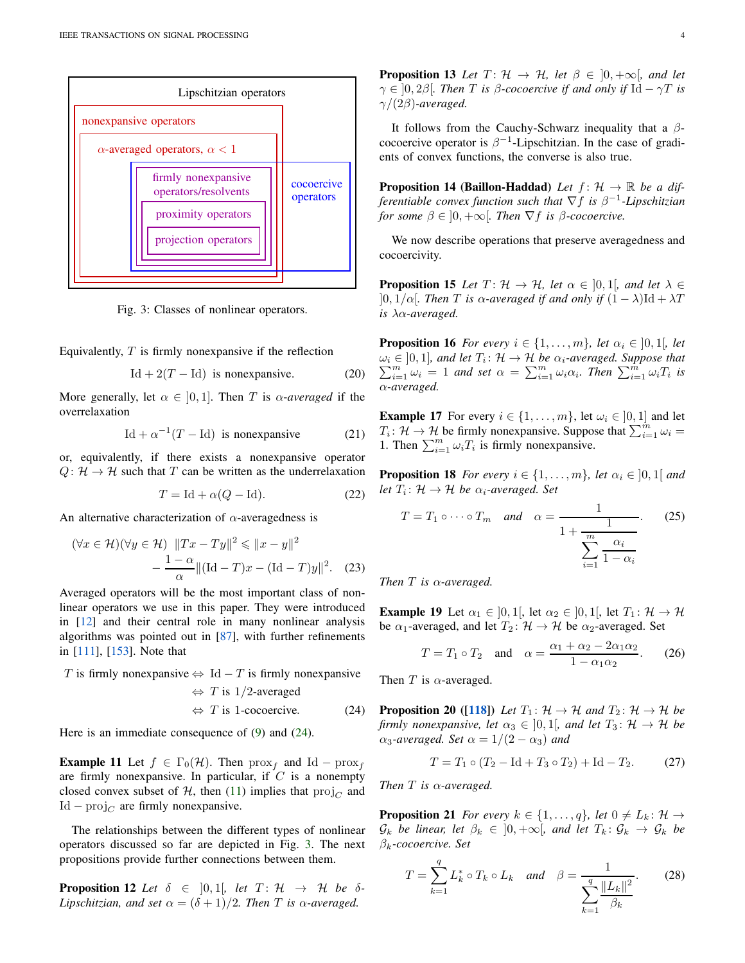<span id="page-3-1"></span>

Fig. 3: Classes of nonlinear operators.

Equivalently,  $T$  is firmly nonexpansive if the reflection

$$
Id + 2(T - Id) \text{ is nonexpansive.} \tag{20}
$$

More generally, let  $\alpha \in [0, 1]$ . Then T is  $\alpha$ -averaged if the overrelaxation

<span id="page-3-11"></span>
$$
Id + \alpha^{-1}(T - Id) \text{ is nonexpansive} \tag{21}
$$

or, equivalently, if there exists a nonexpansive operator  $Q: \mathcal{H} \to \mathcal{H}$  such that T can be written as the underrelaxation

$$
T = \text{Id} + \alpha(Q - \text{Id}).\tag{22}
$$

An alternative characterization of  $\alpha$ -averagedness is

$$
(\forall x \in \mathcal{H})(\forall y \in \mathcal{H}) \quad ||Tx - Ty||^2 \le ||x - y||^2
$$

$$
-\frac{1 - \alpha}{\alpha} ||(\text{Id} - T)x - (\text{Id} - T)y||^2. \quad (23)
$$

Averaged operators will be the most important class of nonlinear operators we use in this paper. They were introduced in [\[12\]](#page-23-5) and their central role in many nonlinear analysis algorithms was pointed out in [\[87\]](#page-25-6), with further refinements in [\[111\]](#page-25-7), [\[153\]](#page-26-8). Note that

T is firmly nonexpansive  $\Leftrightarrow$  Id – T is firmly nonexpansive  $\Leftrightarrow$  T is 1/2-averaged  $\Leftrightarrow$  T is 1-cocoercive. (24)

<span id="page-3-10"></span>Here is an immediate consequence of [\(9\)](#page-1-2) and [\(24\)](#page-3-0).

**Example 11** Let  $f \in \Gamma_0(\mathcal{H})$ . Then  $\text{prox}_f$  and Id –  $\text{prox}_f$ are firmly nonexpansive. In particular, if  $C$  is a nonempty closed convex subset of H, then [\(11\)](#page-1-8) implies that  $\text{proj}_{C}$  and  $Id - \text{proj}_{C}$  are firmly nonexpansive.

The relationships between the different types of nonlinear operators discussed so far are depicted in Fig. [3.](#page-3-1) The next propositions provide further connections between them.

<span id="page-3-4"></span>**Proposition 12** Let  $\delta \in [0,1]$ , let  $T: \mathcal{H} \rightarrow \mathcal{H}$  be  $\delta$ -*Lipschitzian, and set*  $\alpha = (\delta + 1)/2$ *. Then T is*  $\alpha$ *-averaged.* 

**Proposition 13** *Let*  $T: \mathcal{H} \to \mathcal{H}$ *, let*  $\beta \in [0, +\infty]$ *, and let*  $\gamma \in [0, 2\beta]$ *. Then* T *is*  $\beta$ -cocoercive *if and only if* Id  $-\gamma T$  *is*  $\gamma/(2\beta)$ -averaged.

<span id="page-3-9"></span>It follows from the Cauchy-Schwarz inequality that a  $\beta$ cocoercive operator is  $\beta^{-1}$ -Lipschitzian. In the case of gradients of convex functions, the converse is also true.

**Proposition 14 (Baillon-Haddad)** *Let*  $f: \mathcal{H} \to \mathbb{R}$  *be a differentiable convex function such that* ∇f *is* β −1 *-Lipschitzian for some*  $\beta \in [0, +\infty]$ *. Then*  $\nabla f$  *is*  $\beta$ *-cocoercive.* 

We now describe operations that preserve averagedness and cocoercivity.

**Proposition 15** Let  $T: \mathcal{H} \to \mathcal{H}$ , let  $\alpha \in [0,1]$ , and let  $\lambda \in$  $]0, 1/\alpha[$ *. Then T is*  $\alpha$ -averaged *if and only if*  $(1 - \lambda)$ Id +  $\lambda$ *T is* λα*-averaged.*

<span id="page-3-3"></span>**Proposition 16** *For every*  $i \in \{1, \ldots, m\}$ *, let*  $\alpha_i \in [0, 1]$ *, let*  $\omega_i \in [0,1]$ , and let  $T_i: \mathcal{H} \to \mathcal{H}$  be  $\alpha_i$ -averaged. Suppose that  $\sum_{i=1}^m \omega_i = 1$  and set  $\alpha = \sum_{i=1}^m \omega_i \alpha_i$ . Then  $\sum_{i=1}^m \omega_i T_i$  is α*-averaged.*

<span id="page-3-7"></span>**Example 17** For every  $i \in \{1, \ldots, m\}$ , let  $\omega_i \in [0, 1]$  and let  $T_i: \mathcal{H} \to \mathcal{H}$  be firmly nonexpansive. Suppose that  $\sum_{i=1}^m \omega_i =$ 1. Then  $\sum_{i=1}^{m} \omega_i T_i$  is firmly nonexpansive.

<span id="page-3-6"></span>**Proposition 18** *For every*  $i \in \{1, \ldots, m\}$ *, let*  $\alpha_i \in [0, 1]$  *and* let  $T_i: \mathcal{H} \to \mathcal{H}$  be  $\alpha_i$ -averaged. Set

$$
T = T_1 \circ \cdots \circ T_m \quad \text{and} \quad \alpha = \frac{1}{1 + \frac{1}{\sum_{i=1}^{m} \frac{\alpha_i}{1 - \alpha_i}}}.
$$
 (25)

<span id="page-3-8"></span>*Then* T *is* α*-averaged.*

**Example 19** Let  $\alpha_1 \in [0,1]$ , let  $\alpha_2 \in [0,1]$ , let  $T_1: \mathcal{H} \to \mathcal{H}$ be  $\alpha_1$ -averaged, and let  $T_2$ :  $\mathcal{H} \rightarrow \mathcal{H}$  be  $\alpha_2$ -averaged. Set

$$
T = T_1 \circ T_2 \quad \text{and} \quad \alpha = \frac{\alpha_1 + \alpha_2 - 2\alpha_1 \alpha_2}{1 - \alpha_1 \alpha_2}.
$$
 (26)

<span id="page-3-5"></span>Then T is  $\alpha$ -averaged.

<span id="page-3-0"></span>**Proposition 20** ([\[118\]](#page-25-8)) *Let*  $T_1: \mathcal{H} \to \mathcal{H}$  *and*  $T_2: \mathcal{H} \to \mathcal{H}$  *be firmly nonexpansive, let*  $\alpha_3 \in (0, 1)$ *, and let*  $T_3$ :  $\mathcal{H} \to \mathcal{H}$  *be*  $\alpha_3$ -averaged. Set  $\alpha = 1/(2 - \alpha_3)$  and

$$
T = T_1 \circ (T_2 - \text{Id} + T_3 \circ T_2) + \text{Id} - T_2. \tag{27}
$$

<span id="page-3-2"></span>*Then* T *is* α*-averaged.*

**Proposition 21** *For every*  $k \in \{1, \ldots, q\}$ , *let*  $0 \neq L_k : \mathcal{H} \rightarrow$  $\mathcal{G}_k$  *be linear, let*  $\beta_k \in ]0, +\infty[$ *, and let*  $T_k: \mathcal{G}_k \to \mathcal{G}_k$  *be* βk*-cocoercive. Set*

$$
T = \sum_{k=1}^{q} L_k^* \circ T_k \circ L_k \quad \text{and} \quad \beta = \frac{1}{\sum_{k=1}^{q} \frac{||L_k||^2}{\beta_k}}.
$$
 (28)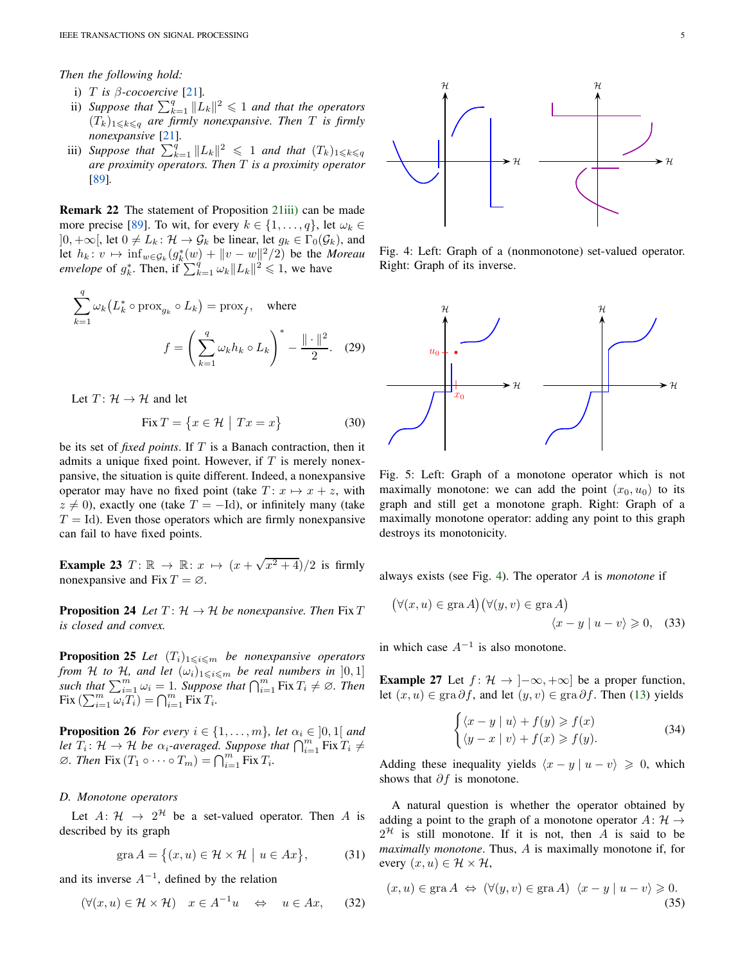*Then the following hold:*

- i) T *is* β*-cocoercive* [\[21\]](#page-23-4)*.*
- ii) Suppose that  $\sum_{k=1}^{q} ||L_k||^2 \leq 1$  and that the operators  $(T_k)_{1\leq k\leq q}$  *are firmly nonexpansive. Then T is firmly nonexpansive* [\[21\]](#page-23-4)*.*
- <span id="page-4-0"></span>iii) *Suppose that*  $\sum_{k=1}^{q} ||L_k||^2 \leq 1$  *and that*  $(T_k)_{1 \leq k \leq q}$ *are proximity operators. Then* T *is a proximity operator* [\[89\]](#page-25-5)*.*

<span id="page-4-6"></span>Remark 22 The statement of Proposition [21](#page-3-2)[iii\)](#page-4-0) can be made more precise [\[89\]](#page-25-5). To wit, for every  $k \in \{1, \ldots, q\}$ , let  $\omega_k \in$  $]0, +\infty[$ , let  $0 \neq L_k : \mathcal{H} \to \mathcal{G}_k$  be linear, let  $g_k \in \Gamma_0(\mathcal{G}_k)$ , and let  $h_k: v \mapsto \inf_{w \in \mathcal{G}_k} (g_k^*(w) + ||v - w||^2/2)$  be the *Moreau envelope* of  $g_k^*$ . Then, if  $\sum_{k=1}^q \omega_k ||L_k||^2 \leq 1$ , we have

$$
\sum_{k=1}^{q} \omega_k \left( L_k^* \circ \text{prox}_{g_k} \circ L_k \right) = \text{prox}_{f}, \quad \text{where}
$$
\n
$$
f = \left( \sum_{k=1}^{q} \omega_k h_k \circ L_k \right)^* - \frac{\| \cdot \|^2}{2}. \quad (29)
$$

Let  $T: \mathcal{H} \to \mathcal{H}$  and let

$$
\text{Fix } T = \{ x \in \mathcal{H} \mid Tx = x \}
$$
 (30)

be its set of *fixed points*. If T is a Banach contraction, then it admits a unique fixed point. However, if  $T$  is merely nonexpansive, the situation is quite different. Indeed, a nonexpansive operator may have no fixed point (take  $T: x \mapsto x + z$ , with  $z \neq 0$ ), exactly one (take  $T = -Id$ ), or infinitely many (take  $T = Id$ ). Even those operators which are firmly nonexpansive can fail to have fixed points.

**Example 23**  $T: \mathbb{R} \to \mathbb{R}: x \mapsto (x + \sqrt{x^2 + 4})/2$  is firmly nonexpansive and Fix  $T = \emptyset$ .

<span id="page-4-3"></span>**Proposition 24** *Let*  $T: \mathcal{H} \to \mathcal{H}$  *be nonexpansive. Then* Fix T *is closed and convex.*

<span id="page-4-4"></span>**Proposition 25** Let  $(T_i)_{1\leq i \leq m}$  be nonexpansive operators *from* H *to* H, and let  $(\omega_i)_{1 \leq i \leq m}$  be real numbers in  $[0,1]$ *such that*  $\sum_{i=1}^{m} \omega_i = 1$ *. Suppose that*  $\bigcap_{i=1}^{m} \text{Fix } T_i \neq \emptyset$ *. Then*  $\operatorname{Fix} \left( \sum_{i=1}^m \omega_i T_i \right) = \bigcap_{i=1}^m \operatorname{Fix} T_i.$ 

<span id="page-4-5"></span>**Proposition 26** *For every*  $i \in \{1, \ldots, m\}$ *, let*  $\alpha_i \in [0, 1]$  *and let*  $T_i: \mathcal{H} \to \mathcal{H}$  *be*  $\alpha_i$ -averaged. Suppose that  $\bigcap_{i=1}^m \text{Fix } T_i \neq$  $\emptyset$ *. Then* Fix  $(T_1 \circ \cdots \circ T_m) = \bigcap_{i=1}^m \text{Fix } T_i$ *.* 

# *D. Monotone operators*

Let  $A: \mathcal{H} \to 2^{\mathcal{H}}$  be a set-valued operator. Then A is described by its graph

$$
\operatorname{gra} A = \big\{ (x, u) \in \mathcal{H} \times \mathcal{H} \mid u \in Ax \big\},\tag{31}
$$

and its inverse  $A^{-1}$ , defined by the relation

$$
(\forall (x, u) \in \mathcal{H} \times \mathcal{H}) \quad x \in A^{-1}u \quad \Leftrightarrow \quad u \in Ax,\qquad(32)
$$

<span id="page-4-1"></span>

Fig. 4: Left: Graph of a (nonmonotone) set-valued operator. Right: Graph of its inverse.

<span id="page-4-2"></span>

Fig. 5: Left: Graph of a monotone operator which is not maximally monotone: we can add the point  $(x_0, u_0)$  to its graph and still get a monotone graph. Right: Graph of a maximally monotone operator: adding any point to this graph destroys its monotonicity.

always exists (see Fig. [4\)](#page-4-1). The operator A is *monotone* if

$$
(\forall (x, u) \in \text{gra } A) (\forall (y, v) \in \text{gra } A)
$$

$$
\langle x - y | u - v \rangle \geq 0, \quad (33)
$$

in which case  $A^{-1}$  is also monotone.

**Example 27** Let  $f: \mathcal{H} \to ]-\infty, +\infty]$  be a proper function, let  $(x, u) \in \text{gra }\partial f$ , and let  $(y, v) \in \text{gra }\partial f$ . Then [\(13\)](#page-1-5) yields

$$
\begin{cases} \langle x - y | u \rangle + f(y) \ge f(x) \\ \langle y - x | v \rangle + f(x) \ge f(y). \end{cases}
$$
 (34)

Adding these inequality yields  $\langle x - y | u - v \rangle \ge 0$ , which shows that  $\partial f$  is monotone.

A natural question is whether the operator obtained by adding a point to the graph of a monotone operator  $A: \mathcal{H} \rightarrow$  $2^{\mathcal{H}}$  is still monotone. If it is not, then A is said to be *maximally monotone*. Thus, A is maximally monotone if, for every  $(x, u) \in \mathcal{H} \times \mathcal{H}$ ,

$$
(x, u) \in \text{gra } A \iff (\forall (y, v) \in \text{gra } A) \ \langle x - y | u - v \rangle \geq 0. \tag{35}
$$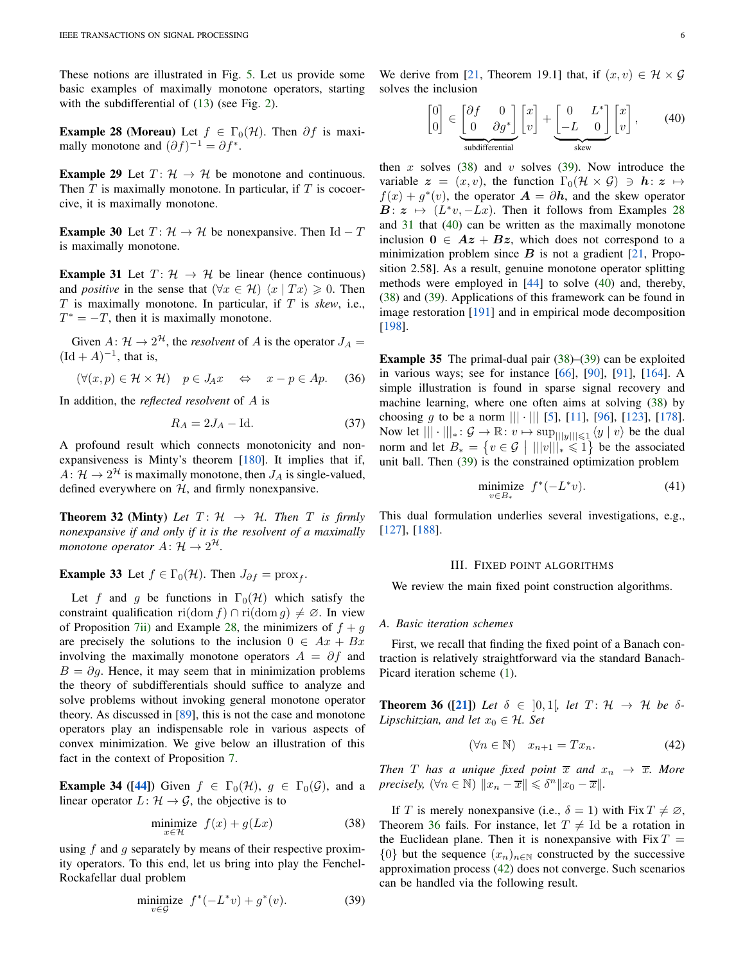These notions are illustrated in Fig. [5.](#page-4-2) Let us provide some basic examples of maximally monotone operators, starting with the subdifferential of  $(13)$  (see Fig. [2\)](#page-2-1).

<span id="page-5-1"></span>**Example 28 (Moreau)** Let  $f \in \Gamma_0(\mathcal{H})$ . Then  $\partial f$  is maximally monotone and  $(\partial f)^{-1} = \partial f^*$ .

**Example 29** Let  $T: \mathcal{H} \to \mathcal{H}$  be monotone and continuous. Then  $T$  is maximally monotone. In particular, if  $T$  is cocoercive, it is maximally monotone.

**Example 30** Let  $T: \mathcal{H} \to \mathcal{H}$  be nonexpansive. Then Id – T is maximally monotone.

<span id="page-5-4"></span>**Example 31** Let  $T: \mathcal{H} \rightarrow \mathcal{H}$  be linear (hence continuous) and *positive* in the sense that  $(\forall x \in \mathcal{H})$   $\langle x | Tx \rangle \geq 0$ . Then T is maximally monotone. In particular, if T is *skew*, i.e.,  $T^* = -T$ , then it is maximally monotone.

Given  $A: \mathcal{H} \to 2^{\mathcal{H}}$ , the *resolvent* of A is the operator  $J_A =$  $(\mathrm{Id} + A)^{-1}$ , that is,

$$
(\forall (x, p) \in \mathcal{H} \times \mathcal{H}) \quad p \in J_A x \quad \Leftrightarrow \quad x - p \in Ap. \tag{36}
$$

In addition, the *reflected resolvent* of A is

<span id="page-5-10"></span>
$$
R_A = 2J_A - \text{Id.} \tag{37}
$$

A profound result which connects monotonicity and nonexpansiveness is Minty's theorem [\[180\]](#page-26-9). It implies that if,  $A: \mathcal{H} \to 2^{\mathcal{H}}$  is maximally monotone, then  $J_A$  is single-valued, defined everywhere on  $H$ , and firmly nonexpansive.

<span id="page-5-11"></span>**Theorem 32 (Minty)** Let  $T: \mathcal{H} \rightarrow \mathcal{H}$ . Then T is firmly *nonexpansive if and only if it is the resolvent of a maximally monotone operator*  $A: \mathcal{H} \to 2^{\mathcal{H}}$ .

<span id="page-5-12"></span>**Example 33** Let  $f \in \Gamma_0(\mathcal{H})$ . Then  $J_{\partial f} = \text{prox}_f$ .

Let f and g be functions in  $\Gamma_0(\mathcal{H})$  which satisfy the constraint qualification ri(dom f) ∩ ri(dom q)  $\neq \emptyset$ . In view of Proposition [7](#page-2-3)[ii\)](#page-2-4) and Example [28,](#page-5-1) the minimizers of  $f + g$ are precisely the solutions to the inclusion  $0 \in Ax + Bx$ involving the maximally monotone operators  $A = \partial f$  and  $B = \partial q$ . Hence, it may seem that in minimization problems the theory of subdifferentials should suffice to analyze and solve problems without invoking general monotone operator theory. As discussed in [\[89\]](#page-25-5), this is not the case and monotone operators play an indispensable role in various aspects of convex minimization. We give below an illustration of this fact in the context of Proposition [7.](#page-2-3)

<span id="page-5-9"></span>**Example 34** ([\[44\]](#page-24-4)) Given  $f \in \Gamma_0(\mathcal{H})$ ,  $g \in \Gamma_0(\mathcal{G})$ , and a linear operator  $L: \mathcal{H} \to \mathcal{G}$ , the objective is to

$$
\underset{x \in \mathcal{H}}{\text{minimize}} \quad f(x) + g(Lx) \tag{38}
$$

using  $f$  and  $g$  separately by means of their respective proximity operators. To this end, let us bring into play the Fenchel-Rockafellar dual problem

<span id="page-5-3"></span>
$$
\underset{v \in \mathcal{G}}{\text{minimize}} \ f^*(-L^*v) + g^*(v). \tag{39}
$$

We derive from [\[21,](#page-23-4) Theorem 19.1] that, if  $(x, v) \in \mathcal{H} \times \mathcal{G}$ solves the inclusion

<span id="page-5-5"></span>
$$
\begin{bmatrix} 0 \\ 0 \end{bmatrix} \in \underbrace{\begin{bmatrix} \partial f & 0 \\ 0 & \partial g^* \end{bmatrix}}_{\text{subdifferential}} \begin{bmatrix} x \\ v \end{bmatrix} + \underbrace{\begin{bmatrix} 0 & L^* \\ -L & 0 \end{bmatrix}}_{\text{skew}} \begin{bmatrix} x \\ v \end{bmatrix}, \tag{40}
$$

then x solves [\(38\)](#page-5-2) and v solves [\(39\)](#page-5-3). Now introduce the variable  $\mathbf{z} = (x, v)$ , the function  $\Gamma_0(\mathcal{H} \times \mathcal{G}) \ni \mathbf{h} \colon \mathbf{z} \mapsto$  $f(x) + g^*(v)$ , the operator  $\mathbf{A} = \partial \mathbf{h}$ , and the skew operator  $\mathbf{B}: \mathbf{z} \mapsto (L^*v, -Lx)$ . Then it follows from Examples [28](#page-5-1) and [31](#page-5-4) that [\(40\)](#page-5-5) can be written as the maximally monotone inclusion  $0 \in Az + Bz$ , which does not correspond to a minimization problem since  $B$  is not a gradient [\[21,](#page-23-4) Proposition 2.58]. As a result, genuine monotone operator splitting methods were employed in [\[44\]](#page-24-4) to solve [\(40\)](#page-5-5) and, thereby, [\(38\)](#page-5-2) and [\(39\)](#page-5-3). Applications of this framework can be found in image restoration [\[191\]](#page-27-12) and in empirical mode decomposition [\[198\]](#page-27-13).

Example 35 The primal-dual pair [\(38\)](#page-5-2)–[\(39\)](#page-5-3) can be exploited in various ways; see for instance [\[66\]](#page-24-5), [\[90\]](#page-25-9), [\[91\]](#page-25-10), [\[164\]](#page-26-10). A simple illustration is found in sparse signal recovery and machine learning, where one often aims at solving [\(38\)](#page-5-2) by choosing g to be a norm  $||| \cdot |||$  [\[5\]](#page-23-6), [\[11\]](#page-23-1), [\[96\]](#page-25-11), [\[123\]](#page-25-12), [\[178\]](#page-26-11). Now let  $||| \cdot |||_* \colon \mathcal{G} \to \mathbb{R} : v \mapsto \sup_{|||y|| \leq 1} \langle y | v \rangle$  be the dual norm and let  $B_* = \{v \in \mathcal{G} \mid |||v|||_* \leq 1\}$  be the associated unit ball. Then [\(39\)](#page-5-3) is the constrained optimization problem

$$
\underset{v \in B_*}{\text{minimize}} \quad f^*(-L^*v). \tag{41}
$$

<span id="page-5-0"></span>This dual formulation underlies several investigations, e.g., [\[127\]](#page-26-12), [\[188\]](#page-27-14).

#### III. FIXED POINT ALGORITHMS

We review the main fixed point construction algorithms.

## *A. Basic iteration schemes*

<span id="page-5-6"></span>First, we recall that finding the fixed point of a Banach contraction is relatively straightforward via the standard Banach-Picard iteration scheme [\(1\)](#page-0-0).

**Theorem 36** ([\[21\]](#page-23-4)) Let  $\delta \in [0,1]$ , let  $T: \mathcal{H} \rightarrow \mathcal{H}$  be  $\delta$ -*Lipschitzian, and let*  $x_0 \in \mathcal{H}$ *. Set* 

<span id="page-5-7"></span>
$$
(\forall n \in \mathbb{N}) \quad x_{n+1} = Tx_n. \tag{42}
$$

*Then T* has a unique fixed point  $\overline{x}$  and  $x_n \rightarrow \overline{x}$ . More *precisely,*  $(\forall n \in \mathbb{N})$   $||x_n - \overline{x}|| \leq \delta^n ||x_0 - \overline{x}||$ .

<span id="page-5-8"></span><span id="page-5-2"></span>If T is merely nonexpansive (i.e.,  $\delta = 1$ ) with Fix  $T \neq \emptyset$ , Theorem [36](#page-5-6) fails. For instance, let  $T \neq Id$  be a rotation in the Euclidean plane. Then it is nonexpansive with  $Fix T =$  $\{0\}$  but the sequence  $(x_n)_{n\in\mathbb{N}}$  constructed by the successive approximation process [\(42\)](#page-5-7) does not converge. Such scenarios can be handled via the following result.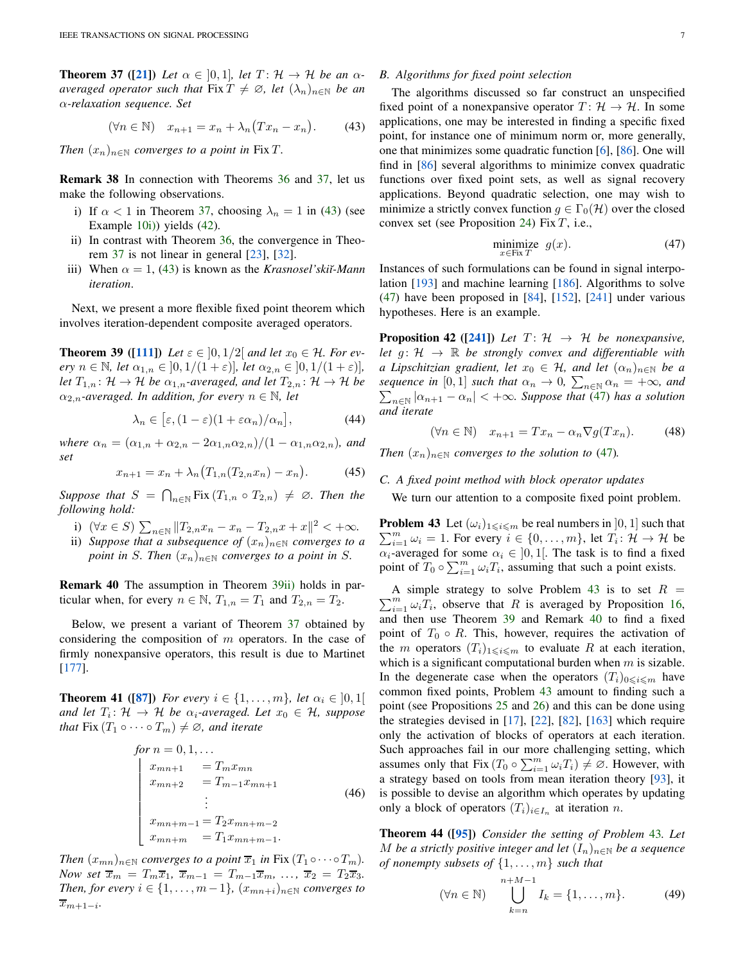**Theorem 37** ([\[21\]](#page-23-4)) Let  $\alpha \in [0,1]$ , let  $T: \mathcal{H} \to \mathcal{H}$  be an  $\alpha$ *averaged operator such that* Fix  $T \neq \emptyset$ , let  $(\lambda_n)_{n \in \mathbb{N}}$  be an α*-relaxation sequence. Set*

<span id="page-6-0"></span>
$$
(\forall n \in \mathbb{N}) \quad x_{n+1} = x_n + \lambda_n \big( Tx_n - x_n \big). \tag{43}
$$

*Then*  $(x_n)_{n\in\mathbb{N}}$  *converges to a point in Fix T.* 

Remark 38 In connection with Theorems [36](#page-5-6) and [37,](#page-5-8) let us make the following observations.

- i) If  $\alpha < 1$  in Theorem [37,](#page-5-8) choosing  $\lambda_n = 1$  in [\(43\)](#page-6-0) (see Example [10](#page-2-5)[i\)\)](#page-2-6) yields [\(42\)](#page-5-7).
- ii) In contrast with Theorem [36,](#page-5-6) the convergence in Theorem [37](#page-5-8) is not linear in general [\[23\]](#page-24-6), [\[32\]](#page-24-7).
- iii) When  $\alpha = 1$ , [\(43\)](#page-6-0) is known as the *Krasnosel'ski* $\alpha$ -*Mann iteration*.

<span id="page-6-1"></span>Next, we present a more flexible fixed point theorem which involves iteration-dependent composite averaged operators.

**Theorem 39** ([\[111\]](#page-25-7)) Let  $\varepsilon \in [0, 1/2]$  and let  $x_0 \in \mathcal{H}$ . For ev*ery*  $n \in \mathbb{N}$ *, let*  $\alpha_{1,n} \in (0,1/(1+\varepsilon))$ *, let*  $\alpha_{2,n} \in (0,1/(1+\varepsilon))$ *, let*  $T_{1,n}$ :  $\mathcal{H} \to \mathcal{H}$  *be*  $\alpha_{1,n}$ *-averaged, and let*  $T_{2,n}$ :  $\mathcal{H} \to \mathcal{H}$  *be*  $\alpha_{2,n}$ -averaged. In addition, for every  $n \in \mathbb{N}$ , let

$$
\lambda_n \in [\varepsilon, (1-\varepsilon)(1+\varepsilon \alpha_n)/\alpha_n], \tag{44}
$$

*where*  $\alpha_n = (\alpha_{1,n} + \alpha_{2,n} - 2\alpha_{1,n}\alpha_{2,n})/(1 - \alpha_{1,n}\alpha_{2,n})$ *, and set*

$$
x_{n+1} = x_n + \lambda_n \big( T_{1,n}(T_{2,n}x_n) - x_n \big). \tag{45}
$$

*Suppose that*  $S = \bigcap_{n \in \mathbb{N}} \text{Fix} (T_{1,n} \circ T_{2,n}) \neq \emptyset$ *. Then the following hold:*

- <span id="page-6-2"></span>i)  $(\forall x \in S) \sum_{n \in \mathbb{N}} ||T_{2,n}x_n - x_n - T_{2,n}x + x||^2 < +\infty$ .
- ii) *Suppose that a subsequence of*  $(x_n)_{n\in\mathbb{N}}$  *converges to a point in* S. Then  $(x_n)_{n \in \mathbb{N}}$  *converges to a point in* S.

<span id="page-6-5"></span>Remark 40 The assumption in Theorem [39](#page-6-1)[ii\)](#page-6-2) holds in particular when, for every  $n \in \mathbb{N}$ ,  $T_{1,n} = T_1$  and  $T_{2,n} = T_2$ .

Below, we present a variant of Theorem [37](#page-5-8) obtained by considering the composition of m operators. In the case of firmly nonexpansive operators, this result is due to Martinet [\[177\]](#page-26-13).

<span id="page-6-9"></span>**Theorem 41** ([\[87\]](#page-25-6)) *For every*  $i \in \{1, ..., m\}$ *, let*  $\alpha_i \in [0, 1]$ *and let*  $T_i: \mathcal{H} \to \mathcal{H}$  *be*  $\alpha_i$ -averaged. Let  $x_0 \in \mathcal{H}$ , suppose *that* Fix  $(T_1 \circ \cdots \circ T_m) \neq \emptyset$ *, and iterate* 

for 
$$
n = 0, 1, ...
$$
  
\n
$$
\begin{cases}\nx_{mn+1} = T_m x_{mn} \\
x_{mn+2} = T_{m-1} x_{mn+1} \\
\vdots \\
x_{mn+m-1} = T_2 x_{mn+m-2} \\
x_{mn+m} = T_1 x_{mn+m-1}.\n\end{cases}
$$
\n(46)

*Then*  $(x_{mn})_{n\in\mathbb{N}}$  *converges to a point*  $\overline{x}_1$  *in* Fix  $(T_1 \circ \cdots \circ T_m)$ *. Now set*  $\overline{x}_m = T_m \overline{x}_1$ ,  $\overline{x}_{m-1} = T_{m-1} \overline{x}_m$ , ...,  $\overline{x}_2 = T_2 \overline{x}_3$ . *Then, for every*  $i \in \{1, \ldots, m-1\}$ ,  $(x_{mn+i})_{n \in \mathbb{N}}$  *converges to*  $\overline{x}_{m+1-i}$ .

# *B. Algorithms for fixed point selection*

The algorithms discussed so far construct an unspecified fixed point of a nonexpansive operator  $T: \mathcal{H} \to \mathcal{H}$ . In some applications, one may be interested in finding a specific fixed point, for instance one of minimum norm or, more generally, one that minimizes some quadratic function [\[6\]](#page-23-0), [\[86\]](#page-25-13). One will find in [\[86\]](#page-25-13) several algorithms to minimize convex quadratic functions over fixed point sets, as well as signal recovery applications. Beyond quadratic selection, one may wish to minimize a strictly convex function  $q \in \Gamma_0(\mathcal{H})$  over the closed convex set (see Proposition [24\)](#page-4-3) Fix  $T$ , i.e.,

<span id="page-6-3"></span>
$$
\underset{x \in \text{Fix } T}{\text{minimize}} \quad g(x). \tag{47}
$$

Instances of such formulations can be found in signal interpolation [\[193\]](#page-27-15) and machine learning [\[186\]](#page-27-16). Algorithms to solve [\(47\)](#page-6-3) have been proposed in [\[84\]](#page-25-14), [\[152\]](#page-26-14), [\[241\]](#page-28-2) under various hypotheses. Here is an example.

**Proposition 42** ([\[241\]](#page-28-2)) *Let*  $T: \mathcal{H} \rightarrow \mathcal{H}$  *be nonexpansive*, *let*  $g: \mathcal{H} \rightarrow \mathbb{R}$  *be strongly convex and differentiable with a Lipschitzian gradient, let*  $x_0 \in \mathcal{H}$ *, and let*  $(\alpha_n)_{n \in \mathbb{N}}$  *be a sequence in* [0, 1] *such that*  $\alpha_n \to 0$ ,  $\sum_{n \in \mathbb{N}} \alpha_n = +\infty$ *, and*<br> $\sum_{n \in \mathbb{N}} |\alpha_{n+1} - \alpha_n| < +\infty$ *. Suppose that* (47) *has a solution*  $|n \in \mathbb{N} |\alpha_{n+1} - \alpha_n|$  <  $+\infty$ *. Suppose that* [\(47\)](#page-6-3) *has a solution and iterate*

$$
(\forall n \in \mathbb{N}) \quad x_{n+1} = Tx_n - \alpha_n \nabla g(Tx_n). \tag{48}
$$

*Then*  $(x_n)_{n \in \mathbb{N}}$  *converges to the solution to* [\(47\)](#page-6-3)*.* 

## <span id="page-6-7"></span>*C. A fixed point method with block operator updates*

<span id="page-6-4"></span>We turn our attention to a composite fixed point problem.

**Problem 43** Let  $(\omega_i)_{1 \leq i \leq m}$  be real numbers in  $]0,1]$  such that  $\sum_{i=1}^{m} \omega_i = 1$ . For every  $i \in \{0, ..., m\}$ , let  $T_i : \mathcal{H} \to \mathcal{H}$  be  $\alpha_i$ -averaged for some  $\alpha_i \in [0, 1]$ . The task is to find a fixed point of  $T_0 \circ \sum_{i=1}^m \omega_i T_i$ , assuming that such a point exists.

 $\sum_{i=1}^{m} \omega_i \overline{T_i}$ , observe that R is averaged by Proposition [16,](#page-3-3) A simple strategy to solve Problem [43](#page-6-4) is to set  $R =$ and then use Theorem [39](#page-6-1) and Remark [40](#page-6-5) to find a fixed point of  $T_0 \circ R$ . This, however, requires the activation of the m operators  $(T_i)_{1\leq i\leq m}$  to evaluate R at each iteration, which is a significant computational burden when  $m$  is sizable. In the degenerate case when the operators  $(T_i)_{0\leq i\leq m}$  have common fixed points, Problem [43](#page-6-4) amount to finding such a point (see Propositions [25](#page-4-4) and [26\)](#page-4-5) and this can be done using the strategies devised in  $[17]$ ,  $[22]$ ,  $[82]$ ,  $[163]$  which require only the activation of blocks of operators at each iteration. Such approaches fail in our more challenging setting, which assumes only that Fix  $(T_0 \circ \sum_{i=1}^m \omega_i T_i) \neq \emptyset$ . However, with a strategy based on tools from mean iteration theory [\[93\]](#page-25-15), it is possible to devise an algorithm which operates by updating only a block of operators  $(T_i)_{i \in I_n}$  at iteration n.

<span id="page-6-8"></span>Theorem 44 ([\[95\]](#page-25-16)) *Consider the setting of Problem* [43](#page-6-4)*. Let* M *be a strictly positive integer and let*  $(I_n)_{n \in \mathbb{N}}$  *be a sequence of nonempty subsets of* {1, . . . , m} *such that*

<span id="page-6-6"></span>
$$
(\forall n \in \mathbb{N}) \qquad \bigcup_{k=n}^{n+M-1} I_k = \{1, \dots, m\}. \tag{49}
$$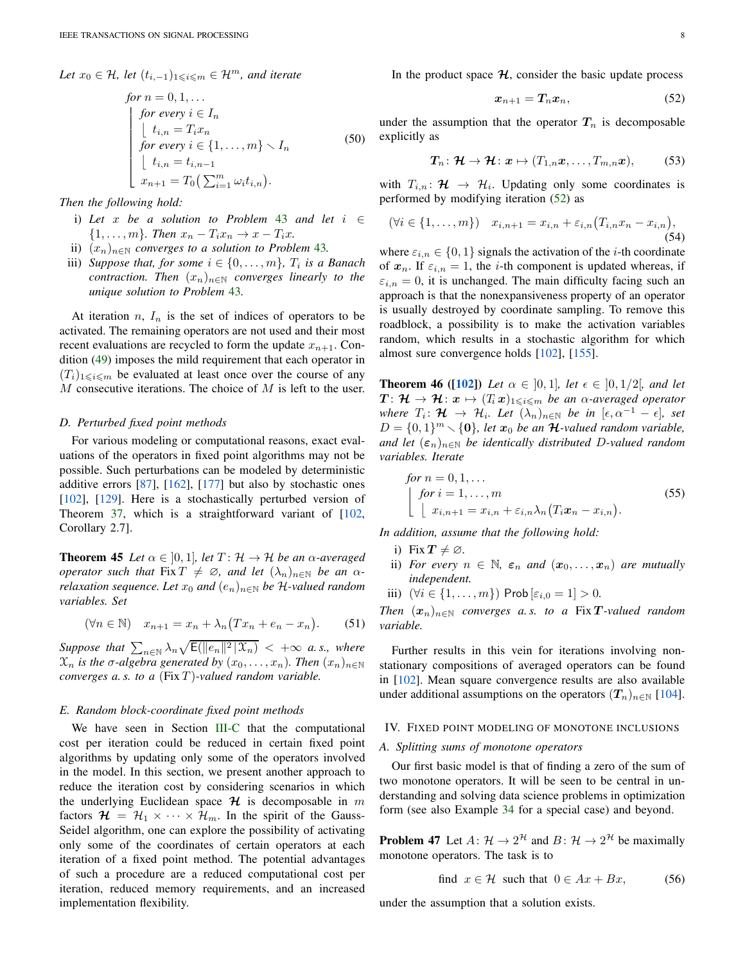Let 
$$
x_0 \in \mathcal{H}
$$
, let  $(t_{i,-1})_{1 \leq i \leq m} \in \mathcal{H}^m$ , and iterate

for 
$$
n = 0, 1, ...
$$
  
\nfor every  $i \in I_n$   
\n
$$
\begin{cases}\n\text{for every } i \in I_n \\
t_{i,n} = T_i x_n \\
\text{for every } i \in \{1, ..., m\} \setminus I_n \\
t_{i,n} = t_{i,n-1} \\
x_{n+1} = T_0 \left( \sum_{i=1}^m \omega_i t_{i,n} \right).\n\end{cases}
$$
\n(50)

*Then the following hold:*

- i) *Let* x *be a solution to Problem* [43](#page-6-4) *and let* i ∈  $\{1, \ldots, m\}$ *. Then*  $x_n - T_i x_n \rightarrow x - T_i x$ *.*
- ii)  $(x_n)_{n\in\mathbb{N}}$  *converges to a solution to Problem* [43](#page-6-4).
- iii) *Suppose that, for some*  $i \in \{0, \ldots, m\}$ ,  $T_i$  *is a Banach contraction. Then*  $(x_n)_{n \in \mathbb{N}}$  *converges linearly to the unique solution to Problem* [43](#page-6-4)*.*

At iteration  $n, I_n$  is the set of indices of operators to be activated. The remaining operators are not used and their most recent evaluations are recycled to form the update  $x_{n+1}$ . Condition [\(49\)](#page-6-6) imposes the mild requirement that each operator in  $(T_i)_{1\leq i\leq m}$  be evaluated at least once over the course of any  $M$  consecutive iterations. The choice of  $M$  is left to the user.

## *D. Perturbed fixed point methods*

For various modeling or computational reasons, exact evaluations of the operators in fixed point algorithms may not be possible. Such perturbations can be modeled by deterministic additive errors [\[87\]](#page-25-6), [\[162\]](#page-26-16), [\[177\]](#page-26-13) but also by stochastic ones [\[102\]](#page-25-17), [\[129\]](#page-26-17). Here is a stochastically perturbed version of Theorem [37,](#page-5-8) which is a straightforward variant of [\[102,](#page-25-17) Corollary 2.7].

<span id="page-7-5"></span>**Theorem 45** *Let*  $\alpha \in [0, 1]$ *, let*  $T: \mathcal{H} \to \mathcal{H}$  *be an*  $\alpha$ *-averaged operator such that* Fix  $T \neq \emptyset$ *, and let*  $(\lambda_n)_{n \in \mathbb{N}}$  *be an*  $\alpha$ *relaxation sequence. Let*  $x_0$  *and*  $(e_n)_{n \in \mathbb{N}}$  *be*  $H$ -valued random *variables. Set*

$$
(\forall n \in \mathbb{N}) \quad x_{n+1} = x_n + \lambda_n \big( Tx_n + e_n - x_n \big). \tag{51}
$$

 $Suppose that \sum_{n \in \mathbb{N}} \lambda_n \sqrt{\mathsf{E}(\|e_n\|^2 \|\mathcal{X}_n)} < +\infty$  *a.s., where*  $\mathfrak{X}_n$  *is the*  $\sigma$ -algebra generated by  $(x_0, \ldots, x_n)$ *. Then*  $(x_n)_{n \in \mathbb{N}}$ *converges a. s. to a* (Fix T )*-valued random variable.*

# <span id="page-7-4"></span>*E. Random block-coordinate fixed point methods*

We have seen in Section [III-C](#page-6-7) that the computational cost per iteration could be reduced in certain fixed point algorithms by updating only some of the operators involved in the model. In this section, we present another approach to reduce the iteration cost by considering scenarios in which the underlying Euclidean space  $\mathcal H$  is decomposable in m factors  $\mathcal{H} = \mathcal{H}_1 \times \cdots \times \mathcal{H}_m$ . In the spirit of the Gauss-Seidel algorithm, one can explore the possibility of activating only some of the coordinates of certain operators at each iteration of a fixed point method. The potential advantages of such a procedure are a reduced computational cost per iteration, reduced memory requirements, and an increased implementation flexibility.

In the product space  $H$ , consider the basic update process

<span id="page-7-1"></span>
$$
x_{n+1} = T_n x_n, \tag{52}
$$

under the assumption that the operator  $T_n$  is decomposable explicitly as

$$
T_n: \mathcal{H} \to \mathcal{H}: \mathbf{x} \mapsto (T_{1,n}\mathbf{x}, \ldots, T_{m,n}\mathbf{x}), \qquad (53)
$$

with  $T_{i,n}$ :  $\mathcal{H} \rightarrow \mathcal{H}_i$ . Updating only some coordinates is performed by modifying iteration [\(52\)](#page-7-1) as

$$
(\forall i \in \{1, ..., m\}) \quad x_{i,n+1} = x_{i,n} + \varepsilon_{i,n} (T_{i,n} x_n - x_{i,n}),
$$
\n(54)

where  $\varepsilon_{i,n} \in \{0,1\}$  signals the activation of the *i*-th coordinate of  $x_n$ . If  $\varepsilon_{i,n} = 1$ , the *i*-th component is updated whereas, if  $\varepsilon_{i,n} = 0$ , it is unchanged. The main difficulty facing such an approach is that the nonexpansiveness property of an operator is usually destroyed by coordinate sampling. To remove this roadblock, a possibility is to make the activation variables random, which results in a stochastic algorithm for which almost sure convergence holds [\[102\]](#page-25-17), [\[155\]](#page-26-18).

**Theorem 46** ([\[102\]](#page-25-17)) Let  $\alpha \in [0,1]$ , let  $\epsilon \in [0,1/2]$ , and let  $T: \mathcal{H} \to \mathcal{H}: \mathbf{x} \mapsto (T_i \mathbf{x})_{1 \leqslant i \leqslant m}$  *be an*  $\alpha$ *-averaged operator where*  $T_i: \mathcal{H} \to \mathcal{H}_i$ *. Let*  $(\lambda_n)_{n \in \mathbb{N}}$  *be in*  $[\epsilon, \alpha^{-1} - \epsilon]$ *, set*  $D = \{0, 1\}^m \setminus \{0\}$ , let  $x_0$  be an  $\mathcal{H}$ -valued random variable, *and let*  $(\epsilon_n)_{n\in\mathbb{N}}$  *be identically distributed D-valued random variables. Iterate*

for 
$$
n = 0, 1, ...
$$
  
\nfor  $i = 1, ..., m$   
\n
$$
\begin{cases}\nfor i = 1, ..., m \\
x_{i,n+1} = x_{i,n} + \varepsilon_{i,n} \lambda_n (T_i x_n - x_{i,n}).\n\end{cases}
$$
\n(55)

*In addition, assume that the following hold:*

- i) Fix  $T \neq \emptyset$ .
- ii) *For every*  $n \in \mathbb{N}$ ,  $\varepsilon_n$  *and*  $(x_0, \ldots, x_n)$  *are mutually independent.*
- iii)  $(∀i ∈ {1, ..., m})$  Prob  $[ε_{i,0} = 1] > 0$ .

*Then*  $(x_n)_{n\in\mathbb{N}}$  *converges a.s. to a Fix T*-valued *random variable.*

Further results in this vein for iterations involving nonstationary compositions of averaged operators can be found in [\[102\]](#page-25-17). Mean square convergence results are also available under additional assumptions on the operators  $(T_n)_{n \in \mathbb{N}}$  [\[104\]](#page-25-18).

#### <span id="page-7-3"></span><span id="page-7-0"></span>IV. FIXED POINT MODELING OF MONOTONE INCLUSIONS

## *A. Splitting sums of monotone operators*

Our first basic model is that of finding a zero of the sum of two monotone operators. It will be seen to be central in understanding and solving data science problems in optimization form (see also Example [34](#page-5-9) for a special case) and beyond.

<span id="page-7-2"></span>**Problem 47** Let  $A: \mathcal{H} \to 2^{\mathcal{H}}$  and  $B: \mathcal{H} \to 2^{\mathcal{H}}$  be maximally monotone operators. The task is to

find 
$$
x \in \mathcal{H}
$$
 such that  $0 \in Ax + Bx$ , (56)

under the assumption that a solution exists.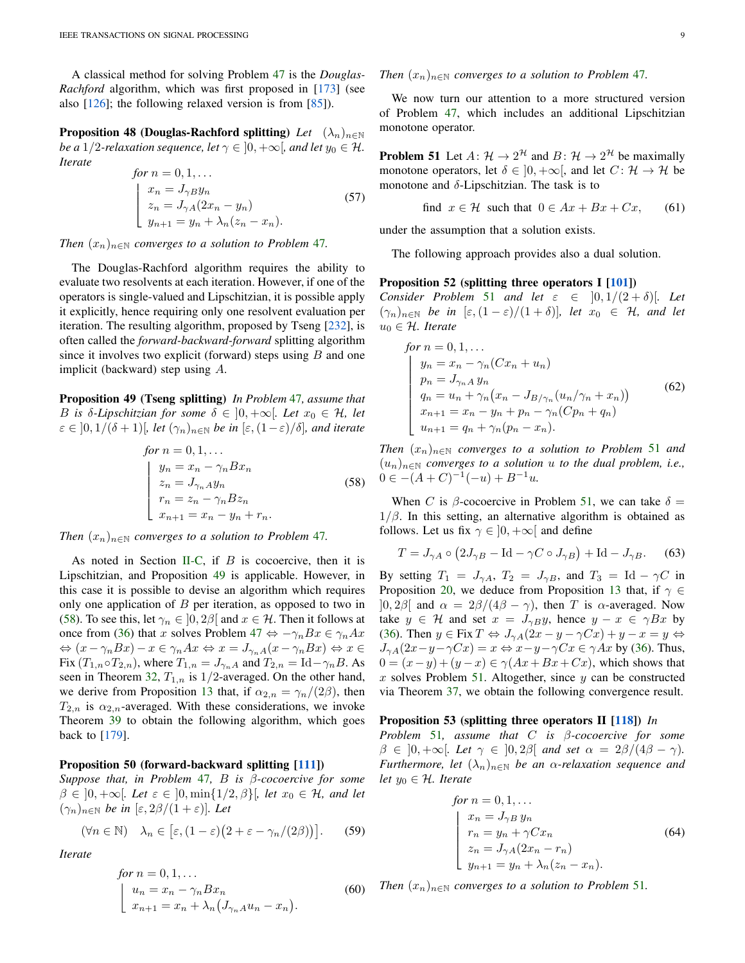<span id="page-8-7"></span>A classical method for solving Problem [47](#page-7-2) is the *Douglas-Rachford* algorithm, which was first proposed in [\[173\]](#page-26-19) (see also  $[126]$ ; the following relaxed version is from  $[85]$ ).

**Proposition 48 (Douglas-Rachford splitting)** *Let*  $(\lambda_n)_{n\in\mathbb{N}}$ *be a* 1/2-relaxation sequence, let  $\gamma \in [0, +\infty]$ , and let  $y_0 \in \mathcal{H}$ . *Iterate*

for 
$$
n = 0, 1, ...
$$
  
\n
$$
\begin{cases}\nx_n = J_{\gamma B} y_n \\
z_n = J_{\gamma A} (2x_n - y_n) \\
y_{n+1} = y_n + \lambda_n (z_n - x_n).\n\end{cases}
$$
\n(57)

*Then*  $(x_n)_{n\in\mathbb{N}}$  *converges to a solution to Problem [47](#page-7-2).* 

The Douglas-Rachford algorithm requires the ability to evaluate two resolvents at each iteration. However, if one of the operators is single-valued and Lipschitzian, it is possible apply it explicitly, hence requiring only one resolvent evaluation per iteration. The resulting algorithm, proposed by Tseng [\[232\]](#page-27-17), is often called the *forward-backward-forward* splitting algorithm since it involves two explicit (forward) steps using  $B$  and one implicit (backward) step using A.

<span id="page-8-0"></span>Proposition 49 (Tseng splitting) *In Problem* [47](#page-7-2)*, assume that* B is  $\delta$ -Lipschitzian for some  $\delta \in [0, +\infty]$ . Let  $x_0 \in \mathcal{H}$ , let  $\varepsilon \in [0, 1/(\delta + 1)]$ *, let*  $(\gamma_n)_{n \in \mathbb{N}}$  *be in*  $[\varepsilon, (1 - \varepsilon)/\delta]$ *, and iterate* 

for 
$$
n = 0, 1, ...
$$
  
\n
$$
\begin{cases}\ny_n = x_n - \gamma_n B x_n \\
z_n = J_{\gamma_n} A y_n \\
r_n = z_n - \gamma_n B z_n \\
x_{n+1} = x_n - y_n + r_n.\n\end{cases}
$$
\n(58)

*Then*  $(x_n)_{n \in \mathbb{N}}$  *converges to a solution to Problem [47](#page-7-2).* 

As noted in Section [II-C,](#page-2-7) if  $B$  is cocoercive, then it is Lipschitzian, and Proposition [49](#page-8-0) is applicable. However, in this case it is possible to devise an algorithm which requires only one application of  $B$  per iteration, as opposed to two in [\(58\)](#page-8-1). To see this, let  $\gamma_n \in (0, 2\beta)$  and  $x \in \mathcal{H}$ . Then it follows at once from [\(36\)](#page-5-10) that x solves Problem [47](#page-7-2)  $\Leftrightarrow$   $-\gamma_n Bx \in \gamma_n Ax$  $\Leftrightarrow (x - \gamma_n Bx) - x \in \gamma_n Ax \Leftrightarrow x = J_{\gamma_n A}(x - \gamma_n Bx) \Leftrightarrow x \in$ Fix  $(T_{1,n} \circ T_{2,n})$ , where  $T_{1,n} = J_{\gamma_n}A$  and  $T_{2,n} = \text{Id} - \gamma_nB$ . As seen in Theorem [32,](#page-5-11)  $T_{1,n}$  is  $1/2$ -averaged. On the other hand, we derive from Proposition [13](#page-3-4) that, if  $\alpha_{2,n} = \gamma_n/(2\beta)$ , then  $T_{2,n}$  is  $\alpha_{2,n}$ -averaged. With these considerations, we invoke Theorem [39](#page-6-1) to obtain the following algorithm, which goes back to [\[179\]](#page-26-21).

# <span id="page-8-6"></span>Proposition 50 (forward-backward splitting [\[111\]](#page-25-7))

*Suppose that, in Problem* [47](#page-7-2)*,* B *is* β*-cocoercive for some*  $\beta \in [0, +\infty[$ *. Let*  $\varepsilon \in [0, \min\{1/2, \beta\}]$ *, let*  $x_0 \in \mathcal{H}$ *, and let*  $(\gamma_n)_{n \in \mathbb{N}}$  *be in*  $[\varepsilon, 2\beta/(1+\varepsilon)].$  Let

$$
(\forall n \in \mathbb{N}) \quad \lambda_n \in \left[\varepsilon, (1-\varepsilon)\big(2+\varepsilon-\gamma_n/(2\beta)\big)\right].\tag{59}
$$

*Iterate*

for 
$$
n = 0, 1, ...
$$
  
\n
$$
\begin{cases}\n u_n = x_n - \gamma_n B x_n \\
 x_{n+1} = x_n + \lambda_n \left( J_{\gamma_n A} u_n - x_n \right).\n\end{cases}
$$
\n(60)

## *Then*  $(x_n)_{n \in \mathbb{N}}$  *converges to a solution to Problem [47](#page-7-2).*

<span id="page-8-2"></span>We now turn our attention to a more structured version of Problem [47,](#page-7-2) which includes an additional Lipschitzian monotone operator.

**Problem 51** Let  $A: \mathcal{H} \to 2^{\mathcal{H}}$  and  $B: \mathcal{H} \to 2^{\mathcal{H}}$  be maximally monotone operators, let  $\delta \in [0, +\infty]$ , and let  $C: \mathcal{H} \to \mathcal{H}$  be monotone and  $\delta$ -Lipschitzian. The task is to

find 
$$
x \in \mathcal{H}
$$
 such that  $0 \in Ax + Bx + Cx$ , (61)

under the assumption that a solution exists.

<span id="page-8-8"></span>The following approach provides also a dual solution.

## Proposition 52 (splitting three operators I  $[101]$ )

*Consider Problem* [51](#page-8-2) *and let*  $\varepsilon \in [0, 1/(2 + \delta)]$ *. Let*  $(\gamma_n)_{n \in \mathbb{N}}$  *be in*  $[\varepsilon,(1-\varepsilon)/(1+\delta)],$  *let*  $x_0 \in \mathcal{H}$ *, and let*  $u_0 \in \mathcal{H}$ *. Iterate* 

<span id="page-8-4"></span>for 
$$
n = 0, 1, ...
$$
  
\n
$$
\begin{cases}\ny_n = x_n - \gamma_n(Cx_n + u_n) \\
p_n = J_{\gamma_n A} y_n \\
q_n = u_n + \gamma_n(x_n - J_{B/\gamma_n}(u_n/\gamma_n + x_n)) \\
x_{n+1} = x_n - y_n + p_n - \gamma_n(Cp_n + q_n) \\
u_{n+1} = q_n + \gamma_n(p_n - x_n).\n\end{cases}
$$
\n(62)

<span id="page-8-1"></span>*Then*  $(x_n)_{n\in\mathbb{N}}$  *converges to a solution to Problem* [51](#page-8-2) *and* (un)n∈<sup>N</sup> *converges to a solution* u *to the dual problem, i.e.,* 0 ∈  $-(A+C)^{-1}(-u) + B^{-1}u$ .

When C is  $\beta$ -cocoercive in Problem [51,](#page-8-2) we can take  $\delta =$  $1/\beta$ . In this setting, an alternative algorithm is obtained as follows. Let us fix  $\gamma \in [0, +\infty[$  and define

$$
T = J_{\gamma A} \circ \left(2J_{\gamma B} - \text{Id} - \gamma C \circ J_{\gamma B}\right) + \text{Id} - J_{\gamma B}.
$$
 (63)

By setting  $T_1 = J_{\gamma A}$ ,  $T_2 = J_{\gamma B}$ , and  $T_3 = \text{Id} - \gamma C$  in Proposition [20,](#page-3-5) we deduce from Proposition [13](#page-3-4) that, if  $\gamma \in$  $]0, 2\beta[$  and  $\alpha = 2\beta/(4\beta - \gamma)$ , then T is  $\alpha$ -averaged. Now take  $y \in \mathcal{H}$  and set  $x = J_{\gamma}g_y$ , hence  $y - x \in \gamma Bx$  by [\(36\)](#page-5-10). Then  $y \in \text{Fix } T \Leftrightarrow J_{\gamma A}(2x - y - \gamma Cx) + y - x = y \Leftrightarrow$  $J_{\gamma A}(2x-y-\gamma Cx) = x \Leftrightarrow x-y-\gamma Cx \in \gamma Ax$  by [\(36\)](#page-5-10). Thus,  $0 = (x - y) + (y - x) \in \gamma(Ax + Bx + Cx)$ , which shows that x solves Problem [51.](#page-8-2) Altogether, since  $y$  can be constructed via Theorem [37,](#page-5-8) we obtain the following convergence result.

# <span id="page-8-3"></span>Proposition 53 (splitting three operators II [\[118\]](#page-25-8)) *In*

*Problem* [51](#page-8-2)*, assume that* C *is* β*-cocoercive for some*  $\beta \in ]0, +\infty[$ *. Let*  $\gamma \in [0, 2\beta]$  *and set*  $\alpha = 2\beta/(4\beta - \gamma)$ *. Furthermore, let*  $(\lambda_n)_{n \in \mathbb{N}}$  *be an*  $\alpha$ *-relaxation sequence and let*  $y_0 \in \mathcal{H}$ *. Iterate* 

<span id="page-8-5"></span>for 
$$
n = 0, 1, ...
$$
  
\n
$$
\begin{cases}\nx_n = J_{\gamma B} y_n \\
r_n = y_n + \gamma C x_n \\
z_n = J_{\gamma A} (2x_n - r_n) \\
y_{n+1} = y_n + \lambda_n (z_n - x_n).\n\end{cases}
$$
\n(64)

*Then*  $(x_n)_{n \in \mathbb{N}}$  *converges to a solution to Problem* [51](#page-8-2)*.*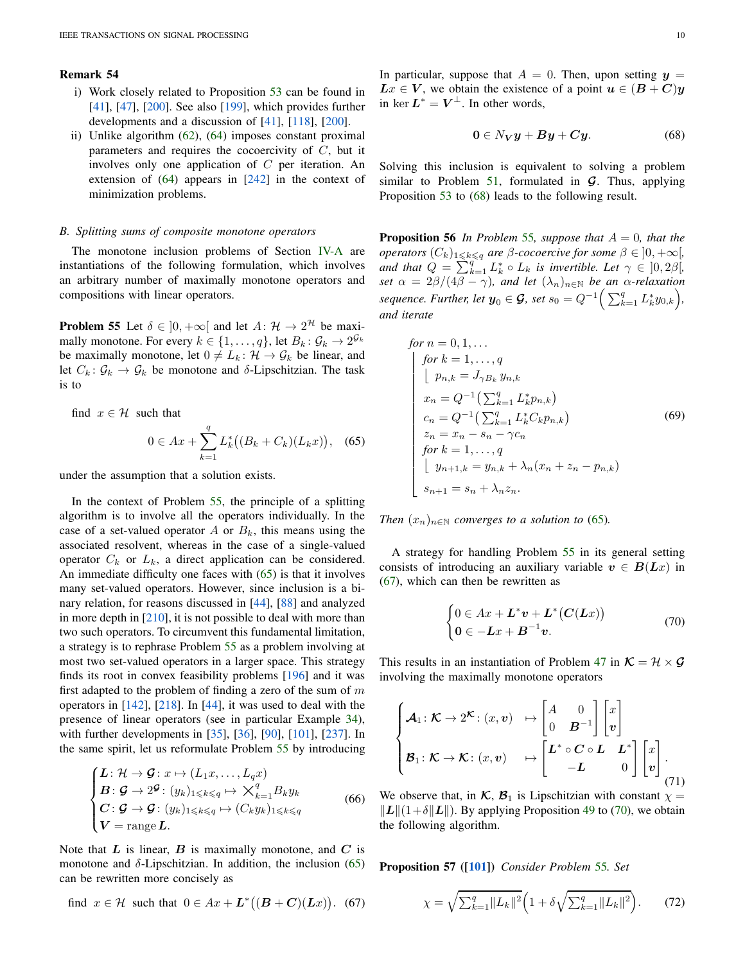## Remark 54

- i) Work closely related to Proposition [53](#page-8-3) can be found in [\[41\]](#page-24-9), [\[47\]](#page-24-10), [\[200\]](#page-27-18). See also [\[199\]](#page-27-19), which provides further developments and a discussion of [\[41\]](#page-24-9), [\[118\]](#page-25-8), [\[200\]](#page-27-18).
- ii) Unlike algorithm [\(62\)](#page-8-4), [\(64\)](#page-8-5) imposes constant proximal parameters and requires the cocoercivity of  $C$ , but it involves only one application of  $C$  per iteration. An extension of [\(64\)](#page-8-5) appears in [\[242\]](#page-28-3) in the context of minimization problems.

## *B. Splitting sums of composite monotone operators*

The monotone inclusion problems of Section [IV-A](#page-7-3) are instantiations of the following formulation, which involves an arbitrary number of maximally monotone operators and compositions with linear operators.

<span id="page-9-0"></span>**Problem 55** Let  $\delta \in ]0, +\infty[$  and let  $A: \mathcal{H} \to 2^{\mathcal{H}}$  be maximally monotone. For every  $k \in \{1, ..., q\}$ , let  $B_k: \mathcal{G}_k \to 2^{\mathcal{G}_k}$ be maximally monotone, let  $0 \neq L_k : \mathcal{H} \to \mathcal{G}_k$  be linear, and let  $C_k$ :  $\mathcal{G}_k \to \mathcal{G}_k$  be monotone and  $\delta$ -Lipschitzian. The task is to

find  $x \in \mathcal{H}$  such that

$$
0 \in Ax + \sum_{k=1}^{q} L_k^* \big( (B_k + C_k)(L_k x) \big), \quad (65)
$$

under the assumption that a solution exists.

In the context of Problem [55,](#page-9-0) the principle of a splitting algorithm is to involve all the operators individually. In the case of a set-valued operator A or  $B_k$ , this means using the associated resolvent, whereas in the case of a single-valued operator  $C_k$  or  $L_k$ , a direct application can be considered. An immediate difficulty one faces with [\(65\)](#page-9-1) is that it involves many set-valued operators. However, since inclusion is a binary relation, for reasons discussed in [\[44\]](#page-24-4), [\[88\]](#page-25-21) and analyzed in more depth in [\[210\]](#page-27-20), it is not possible to deal with more than two such operators. To circumvent this fundamental limitation, a strategy is to rephrase Problem [55](#page-9-0) as a problem involving at most two set-valued operators in a larger space. This strategy finds its root in convex feasibility problems [\[196\]](#page-27-21) and it was first adapted to the problem of finding a zero of the sum of  $m$ operators in [\[142\]](#page-26-22), [\[218\]](#page-27-22). In [\[44\]](#page-24-4), it was used to deal with the presence of linear operators (see in particular Example [34\)](#page-5-9), with further developments in [\[35\]](#page-24-11), [\[36\]](#page-24-12), [\[90\]](#page-25-9), [\[101\]](#page-25-20), [\[237\]](#page-27-23). In the same spirit, let us reformulate Problem [55](#page-9-0) by introducing

$$
\begin{cases}\n\boldsymbol{L} : \mathcal{H} \to \boldsymbol{\mathcal{G}} : \boldsymbol{x} \mapsto (L_1 \boldsymbol{x}, \dots, L_q \boldsymbol{x}) \\
\boldsymbol{B} : \boldsymbol{\mathcal{G}} \to 2^{\boldsymbol{\mathcal{G}}} : (y_k)_{1 \leq k \leq q} \mapsto \boldsymbol{\times}_{k=1}^q B_k y_k \\
\boldsymbol{C} : \boldsymbol{\mathcal{G}} \to \boldsymbol{\mathcal{G}} : (y_k)_{1 \leq k \leq q} \mapsto (C_k y_k)_{1 \leq k \leq q} \\
\boldsymbol{V} = \text{range } \boldsymbol{L}.\n\end{cases} \tag{66}
$$

Note that  $L$  is linear,  $B$  is maximally monotone, and  $C$  is monotone and  $\delta$ -Lipschitzian. In addition, the inclusion [\(65\)](#page-9-1) can be rewritten more concisely as

find  $x \in \mathcal{H}$  such that  $0 \in Ax + L^*((B+C)(Lx))$ . (67)

In particular, suppose that  $A = 0$ . Then, upon setting  $y =$  $Lx \in V$ , we obtain the existence of a point  $u \in (B+C)y$ in ker  $L^* = V^{\perp}$ . In other words,

<span id="page-9-2"></span>
$$
0 \in N_V y + By + Cy. \tag{68}
$$

<span id="page-9-6"></span>Solving this inclusion is equivalent to solving a problem similar to Problem [51,](#page-8-2) formulated in  $G$ . Thus, applying Proposition [53](#page-8-3) to [\(68\)](#page-9-2) leads to the following result.

**Proposition 56** In Problem [55](#page-9-0), suppose that  $A = 0$ , that the *operators*  $(C_k)_{1\leq k\leq q}$  *are*  $\beta$ *-cocoercive for some*  $\beta \in ]0, +\infty[$ *, and that*  $Q = \sum_{k=1}^{q} L_k^* \circ L_k$  *is invertible. Let*  $\gamma \in [0, 2\beta]$ *, set*  $\alpha = 2\beta/(4\beta - \gamma)$ *, and let*  $(\lambda_n)_{n \in \mathbb{N}}$  *be an*  $\alpha$ *-relaxation sequence. Further, let*  $y_0 \in G$ *, set*  $s_0 = Q^{-1} \Big( \sum_{k=1}^q L_k^* y_{0,k} \Big)$ *, and iterate*

<span id="page-9-5"></span>for 
$$
n = 0, 1, ...
$$
  
\nfor  $k = 1, ..., q$   
\n
$$
\begin{aligned}\n&\begin{aligned}\n&\begin{aligned}\n&\begin{aligned}\n&\begin{aligned}\n&\begin{aligned}\n&\begin{aligned}\n&\begin{aligned}\n&\begin{aligned}\n&\end{aligned}\n&\begin{aligned}\n&\begin{aligned}\n&\end{aligned}\n&\end{aligned}\n\end{aligned}\n\end{aligned}\n\end{aligned}\n\end{aligned}\n\end{aligned}\n\end{aligned}\n\end{aligned}\n\end{aligned}\n\end{aligned}\n\begin{aligned}\nx_n &= Q^{-1} \Big( \sum_{k=1}^q L_k^* p_{n,k} \Big) \\
&\begin{aligned}\nc_n &= Q^{-1} \Big( \sum_{k=1}^q L_k^* C_k p_{n,k} \Big) \\
&\begin{aligned}\n&\begin{aligned}\n&\begin{aligned}\n&\begin{aligned}\n&\begin{aligned}\n&\begin{aligned}\n&\begin{aligned}\n&\begin{aligned}\n&\begin{aligned}\n&\begin{aligned}\n&\end{aligned}\n&\end{aligned}\n&\end{aligned}\n\end{aligned}\n\end{aligned}\n\end{aligned}\n\end{aligned}\n\end{aligned}\n\end{aligned}\n\end{aligned}\n\end{aligned}\n\end{aligned}\n\end{aligned}\n\tag{69}\n\end{aligned}
$$
\n
$$
\begin{aligned}\nz_n &= x_n - s_n - \gamma c_n \\
for \quad k = 1, ..., q \\
for \quad k = 1, ..., q \\
s_{n+1} &= s_n + \lambda_n z_n.\n\end{aligned}\n\end{aligned}
$$

<span id="page-9-1"></span>*Then*  $(x_n)_{n \in \mathbb{N}}$  *converges to a solution to* [\(65\)](#page-9-1).

A strategy for handling Problem [55](#page-9-0) in its general setting consists of introducing an auxiliary variable  $v \in B(Lx)$  in [\(67\)](#page-9-3), which can then be rewritten as

<span id="page-9-4"></span>
$$
\begin{cases} 0 \in Ax + L^* v + L^* (C(Lx)) \\ 0 \in -Lx + B^{-1}v. \end{cases} \tag{70}
$$

This results in an instantiation of Problem [47](#page-7-2) in  $\mathcal{K} = \mathcal{H} \times \mathcal{G}$ involving the maximally monotone operators

$$
\begin{cases}\n\mathcal{A}_1 \colon \mathcal{K} \to 2^{\mathcal{K}} \colon (x, v) & \mapsto \begin{bmatrix} A & 0 \\ 0 & B^{-1} \end{bmatrix} \begin{bmatrix} x \\ v \end{bmatrix} \\
\mathcal{B}_1 \colon \mathcal{K} \to \mathcal{K} \colon (x, v) & \mapsto \begin{bmatrix} L^* \circ C \circ L & L^* \\ -L & 0 \end{bmatrix} \begin{bmatrix} x \\ v \end{bmatrix} . \\
(71)\n\end{cases}
$$

<span id="page-9-7"></span>We observe that, in  $\mathcal{K}, \mathcal{B}_1$  is Lipschitzian with constant  $\chi =$  $||L||(1+\delta||L||)$ . By applying Proposition [49](#page-8-0) to [\(70\)](#page-9-4), we obtain the following algorithm.

<span id="page-9-3"></span>Proposition 57 ([\[101\]](#page-25-20)) *Consider Problem* [55](#page-9-0)*. Set*

$$
\chi = \sqrt{\sum_{k=1}^{q} ||L_k||^2} \Big( 1 + \delta \sqrt{\sum_{k=1}^{q} ||L_k||^2} \Big). \tag{72}
$$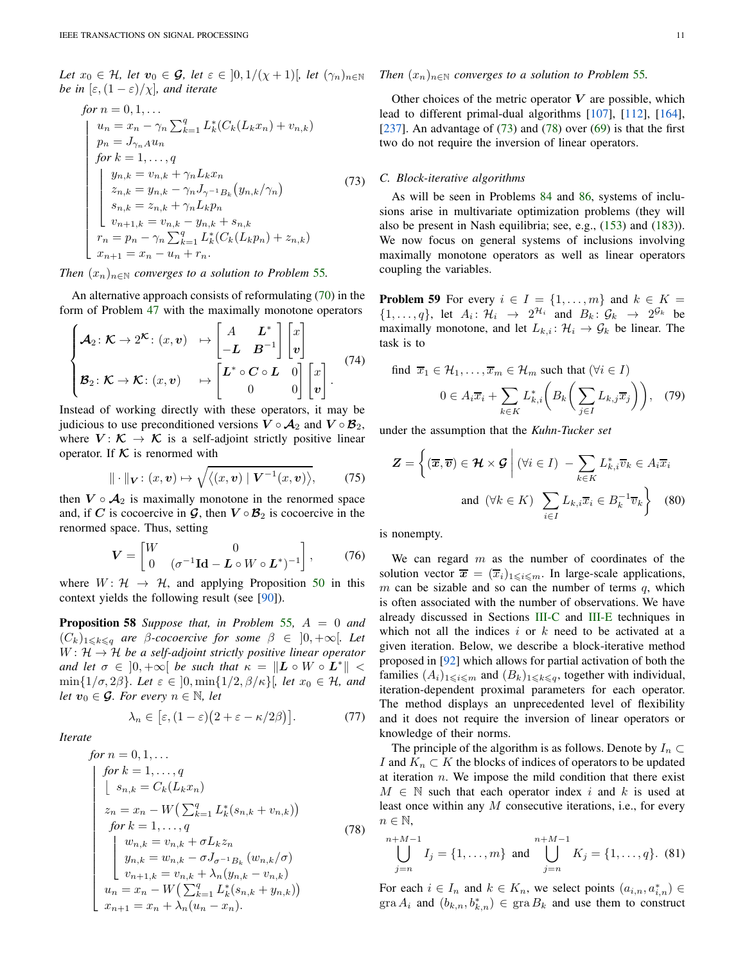*Let*  $x_0 \in \mathcal{H}$ *, let*  $v_0 \in \mathcal{G}$ *, let*  $\varepsilon \in [0, 1/(\chi + 1)]$ *, let*  $(\gamma_n)_{n \in \mathbb{N}}$ *be in*  $[\epsilon,(1-\epsilon)/\chi]$ *, and iterate* 

<span id="page-10-0"></span>for 
$$
n = 0, 1, ...
$$
  
\n
$$
\begin{cases}\nu_n = x_n - \gamma_n \sum_{k=1}^q L_k^*(C_k(L_k x_n) + v_{n,k}) \\
p_n = J_{\gamma_n A} u_n \\
for  $k = 1, ..., q$ \n  
\n
$$
\begin{cases}\ny_{n,k} = v_{n,k} + \gamma_n L_k x_n \\
z_{n,k} = y_{n,k} - \gamma_n J_{\gamma^{-1} B_k}(y_{n,k}/\gamma_n) \\
s_{n,k} = z_{n,k} + \gamma_n L_k p_n \\
v_{n+1,k} = v_{n,k} - y_{n,k} + s_{n,k} \\
r_n = p_n - \gamma_n \sum_{k=1}^q L_k^*(C_k(L_k p_n) + z_{n,k}) \\
x_{n+1} = x_n - u_n + r_n.\n\end{cases}
$$
\n(73)
$$

*Then*  $(x_n)_{n \in \mathbb{N}}$  *converges to a solution to Problem* [55](#page-9-0)*.* 

An alternative approach consists of reformulating [\(70\)](#page-9-4) in the form of Problem [47](#page-7-2) with the maximally monotone operators

$$
\begin{cases}\n\mathcal{A}_2\colon \mathcal{K} \to 2^{\mathcal{K}}\colon (x,v) & \mapsto \begin{bmatrix} A & L^* \\ -L & B^{-1} \end{bmatrix} \begin{bmatrix} x \\ v \end{bmatrix} \\
\mathcal{B}_2\colon \mathcal{K} \to \mathcal{K}\colon (x,v) & \mapsto \begin{bmatrix} L^* \circ C \circ L & 0 \\ 0 & 0 \end{bmatrix} \begin{bmatrix} x \\ v \end{bmatrix}.\n\end{cases} (74)
$$

Instead of working directly with these operators, it may be judicious to use preconditioned versions  $V \circ A_2$  and  $V \circ B_2$ , where  $V: \mathcal{K} \to \mathcal{K}$  is a self-adjoint strictly positive linear operator. If  $K$  is renormed with

$$
\|\cdot\|_{\mathbf{V}}\colon(x,\mathbf{v})\mapsto\sqrt{\langle(x,\mathbf{v})\mid\mathbf{V}^{-1}(x,\mathbf{v})\rangle},\qquad(75)
$$

then  $V \circ A_2$  is maximally monotone in the renormed space and, if C is cocoercive in  $\mathcal{G}$ , then  $V \circ \mathcal{B}_2$  is cocoercive in the renormed space. Thus, setting

$$
\mathbf{V} = \begin{bmatrix} W & 0 \\ 0 & (\sigma^{-1}\mathbf{Id} - \mathbf{L} \circ W \circ \mathbf{L}^*)^{-1} \end{bmatrix},\tag{76}
$$

<span id="page-10-4"></span>where  $W: \mathcal{H} \rightarrow \mathcal{H}$ , and applying Proposition [50](#page-8-6) in this context yields the following result (see [\[90\]](#page-25-9)).

Proposition 58 *Suppose that, in Problem* [55](#page-9-0)*,* A = 0 *and*  $(C_k)_{1\leq k\leq q}$  are  $\beta$ -cocoercive for some  $\beta \in [0, +\infty]$ . Let  $W: \mathcal{H} \to \mathcal{H}$  be a self-adjoint strictly positive linear operator *and let*  $\sigma \in ]0, +\infty[$  *be such that*  $\kappa = ||L \circ W \circ L^*|| <$  $\min\{1/\sigma, 2\beta\}$ *. Let*  $\varepsilon \in [0, \min\{1/2, \beta/\kappa\}$ *, let*  $x_0 \in \mathcal{H}$ *, and let*  $v_0 \in \mathcal{G}$ *. For every*  $n \in \mathbb{N}$ *, let* 

$$
\lambda_n \in [\varepsilon, (1-\varepsilon)(2+\varepsilon-\kappa/2\beta)].
$$
 (77)

*Iterate*

<span id="page-10-1"></span>for 
$$
n = 0, 1, ...
$$
  
\nfor  $k = 1, ..., q$   
\n
$$
\begin{cases}\n\text{for } k = 1, ..., q \\
\text{sn}_k = C_k(L_k x_n) \\
z_n = x_n - W\left(\sum_{k=1}^q L_k^*(s_{n,k} + v_{n,k})\right) \\
\text{for } k = 1, ..., q \\
\text{for } k = v_{n,k} + \sigma L_k z_n \\
u_{n,k} = w_{n,k} - \sigma J_{\sigma^{-1}B_k}(w_{n,k}/\sigma) \\
v_{n+1,k} = v_{n,k} + \lambda_n(y_{n,k} - v_{n,k}) \\
u_n = x_n - W\left(\sum_{k=1}^q L_k^*(s_{n,k} + y_{n,k})\right) \\
x_{n+1} = x_n + \lambda_n(u_n - x_n).\n\end{cases}
$$
\n(78)

## *Then*  $(x_n)_{n\in\mathbb{N}}$  *converges to a solution to Problem* [55](#page-9-0)*.*

Other choices of the metric operator  $V$  are possible, which lead to different primal-dual algorithms [\[107\]](#page-25-22), [\[112\]](#page-25-23), [\[164\]](#page-26-10), [ $237$ ]. An advantage of [\(73\)](#page-10-0) and [\(78\)](#page-10-1) over [\(69\)](#page-9-5) is that the first two do not require the inversion of linear operators.

## *C. Block-iterative algorithms*

As will be seen in Problems [84](#page-16-0) and [86,](#page-17-1) systems of inclusions arise in multivariate optimization problems (they will also be present in Nash equilibria; see, e.g., [\(153\)](#page-19-0) and [\(183\)](#page-21-0)). We now focus on general systems of inclusions involving maximally monotone operators as well as linear operators coupling the variables.

<span id="page-10-2"></span>**Problem 59** For every  $i \in I = \{1, \ldots, m\}$  and  $k \in K =$  $\{1,\ldots,q\}$ , let  $A_i: \mathcal{H}_i \rightarrow 2^{\mathcal{H}_i}$  and  $B_k: \mathcal{G}_k \rightarrow 2^{\mathcal{G}_k}$  be maximally monotone, and let  $L_{k,i}$ :  $\mathcal{H}_i \to \mathcal{G}_k$  be linear. The task is to

find 
$$
\overline{x}_1 \in \mathcal{H}_1, ..., \overline{x}_m \in \mathcal{H}_m
$$
 such that  $(\forall i \in I)$   
\n $0 \in A_i \overline{x}_i + \sum_{k \in K} L_{k,i}^* \left( B_k \left( \sum_{j \in I} L_{k,j} \overline{x}_j \right) \right),$  (79)

under the assumption that the *Kuhn-Tucker set*

$$
\mathbf{Z} = \left\{ (\overline{\mathbf{x}}, \overline{\mathbf{v}}) \in \mathcal{H} \times \mathcal{G} \middle| (\forall i \in I) - \sum_{k \in K} L_{k,i}^* \overline{v}_k \in A_i \overline{x}_i
$$
  
and  $(\forall k \in K) \sum_{i \in I} L_{k,i} \overline{x}_i \in B_k^{-1} \overline{v}_k \right\}$  (80)

is nonempty.

We can regard  $m$  as the number of coordinates of the solution vector  $\overline{x} = (\overline{x}_i)_{1 \leq i \leq m}$ . In large-scale applications, m can be sizable and so can the number of terms  $q$ , which is often associated with the number of observations. We have already discussed in Sections [III-C](#page-6-7) and [III-E](#page-7-4) techniques in which not all the indices  $i$  or  $k$  need to be activated at a given iteration. Below, we describe a block-iterative method proposed in [\[92\]](#page-25-24) which allows for partial activation of both the families  $(A_i)_{1\leqslant i\leqslant m}$  and  $(B_k)_{1\leqslant k\leqslant q}$ , together with individual, iteration-dependent proximal parameters for each operator. The method displays an unprecedented level of flexibility and it does not require the inversion of linear operators or knowledge of their norms.

The principle of the algorithm is as follows. Denote by  $I_n \subset$ I and  $K_n \subset K$  the blocks of indices of operators to be updated at iteration  $n$ . We impose the mild condition that there exist  $M \in \mathbb{N}$  such that each operator index i and k is used at least once within any M consecutive iterations, i.e., for every  $n \in \mathbb{N}$ ,

<span id="page-10-3"></span>
$$
\bigcup_{j=n}^{n+M-1} I_j = \{1, ..., m\} \text{ and } \bigcup_{j=n}^{n+M-1} K_j = \{1, ..., q\}. (81)
$$

For each  $i \in I_n$  and  $k \in K_n$ , we select points  $(a_{i,n}, a_{i,n}^*) \in$  $\text{gra } A_i$  and  $(b_{k,n}, b_{k,n}^*) \in \text{gra } B_k$  and use them to construct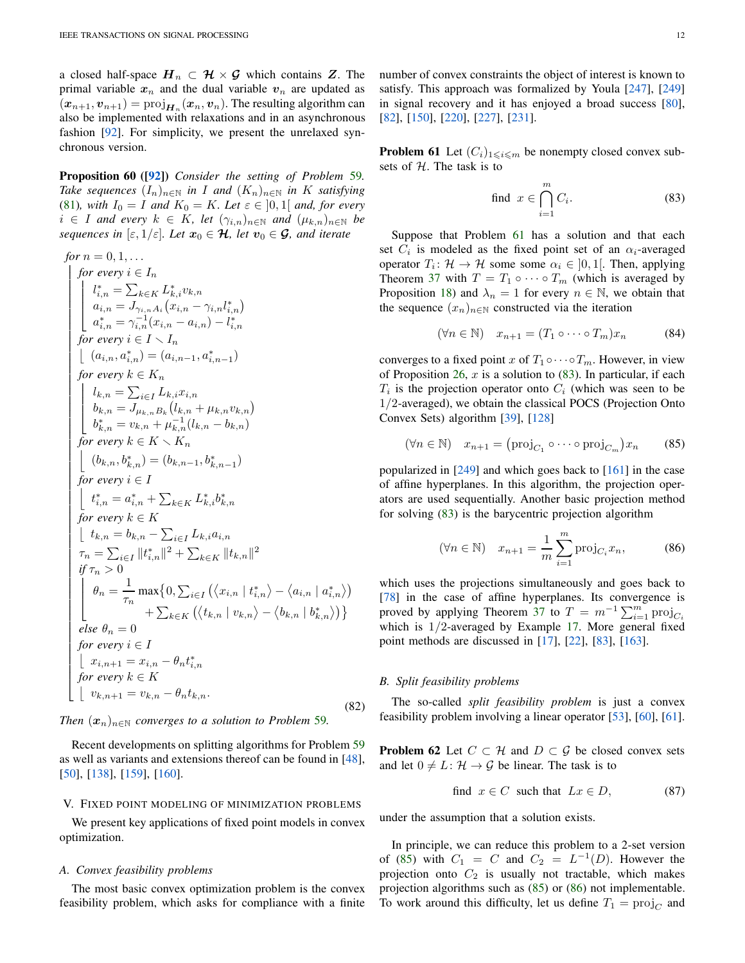a closed half-space  $H_n \subset \mathcal{H} \times \mathcal{G}$  which contains Z. The primal variable  $x_n$  and the dual variable  $v_n$  are updated as  $(\boldsymbol{x}_{n+1}, \boldsymbol{v}_{n+1}) = \text{proj}_{\boldsymbol{H}_n}(\boldsymbol{x}_n, \boldsymbol{v}_n)$ . The resulting algorithm can also be implemented with relaxations and in an asynchronous fashion [\[92\]](#page-25-24). For simplicity, we present the unrelaxed synchronous version.

Proposition 60 ([\[92\]](#page-25-24)) *Consider the setting of Problem* [59](#page-10-2)*. Take sequences*  $(I_n)_{n \in \mathbb{N}}$  *in I and*  $(K_n)_{n \in \mathbb{N}}$  *in K satisfying* [\(81\)](#page-10-3)*, with*  $I_0 = I$  *and*  $K_0 = K$ *. Let*  $\varepsilon \in ]0,1[$  *and, for every*  $i \in I$  *and every*  $k \in K$ *, let*  $(\gamma_{i,n})_{n \in \mathbb{N}}$  *and*  $(\mu_{k,n})_{n \in \mathbb{N}}$  *be sequences in*  $[\varepsilon, 1/\varepsilon]$ *. Let*  $x_0 \in \mathcal{H}$ *, let*  $v_0 \in \mathcal{G}$ *, and iterate* 

for 
$$
n = 0, 1, ...
$$
  
\nfor every  $i \in I_n$   
\n
$$
\begin{cases}\n\int_{i,n}^{*} f(t) \, dt = \sum_{k \in K} L_{k,i}^{*} v_{k,n} \\
a_{i,n} = J_{\gamma_{i},n}^{*} (x_{i,n} - \gamma_{i,n} l_{i,n}^{*}) \\
a_{i,n}^{*} = \gamma_{i,n}^{-1} (x_{i,n} - a_{i,n}) - l_{i,n}^{*} \\
\text{for every } i \in I \setminus I_n \\
\int_{i}^{*} f(t) \, dt = \sum_{i \in I} L_{k,i}^{*} x_{i,n} \\
\int_{k,n} = \sum_{i \in I} L_{k,i}^{*} x_{i,n} \\
b_{k,n} = J_{\mu k,n} B_k (l_{k,n} + \mu_{k,n} v_{k,n}) \\
\int_{k,n}^{*} = v_{k,n} + \mu_{k,n}^{-1} (l_{k,n} - b_{k,n}) \\
\text{for every } k \in K \setminus K_n \\
\int_{i}^{*} (b_{k,n}, b_{k,n}^{*}) = (b_{k,n-1}, b_{k,n-1}^{*}) \\
\text{for every } i \in I \\
\int_{i}^{*} f(t) \, dt = b_{k,n} - \sum_{i \in I} L_{k,i} a_{i,n} \\
\text{for every } k \in K \\
\int_{i}^{*} t_{i,n} = a_{i,n}^{*} + \sum_{k \in K} L_{k,i}^{*} b_{k,n}^{*} \\
\int_{i}^{*} \pi_{i} > 0 \\
\int_{i}^{*} f(t) \, dt = \int_{i}^{*} f(t) \, dt = \sum_{i \in I} L_{k,i} a_{i,n} \\
\tau_{n} = \sum_{i \in I} ||t_{i,n}^{*}||^{2} + \sum_{k \in K} ||t_{k,n}||^{2} \\
\text{if } \tau_{n} > 0 \\
\int_{i}^{*} f(t) \, dt = 0 \\
\int_{i}^{*} f(t) \, dt = 0 \\
\int_{i}^{*} f(t) \, dt = 0 \\
\int_{i}^{*} f(t) \, dt = 0 \\
\int_{i}^{*} f(t) \, dt = 0 \\
\int_{i}^{*} f(t) \, dt = 0 \\
\int_{i}^{*} f(t) \, dt = 0 \\
\int_{i}^{*} f(t) \, dt = 0 \\
\int_{i}^{
$$

*Then*  $(x_n)_{n \in \mathbb{N}}$  *converges to a solution to Problem* [59](#page-10-2)*.* 

Recent developments on splitting algorithms for Problem [59](#page-10-2) as well as variants and extensions thereof can be found in [\[48\]](#page-24-13), [\[50\]](#page-24-14), [\[138\]](#page-26-23), [\[159\]](#page-26-24), [\[160\]](#page-26-25).

## <span id="page-11-0"></span>V. FIXED POINT MODELING OF MINIMIZATION PROBLEMS

We present key applications of fixed point models in convex optimization.

# *A. Convex feasibility problems*

The most basic convex optimization problem is the convex feasibility problem, which asks for compliance with a finite number of convex constraints the object of interest is known to satisfy. This approach was formalized by Youla [\[247\]](#page-28-0), [\[249\]](#page-28-1) in signal recovery and it has enjoyed a broad success [\[80\]](#page-25-25), [\[82\]](#page-25-0), [\[150\]](#page-26-26), [\[220\]](#page-27-8), [\[227\]](#page-27-24), [\[231\]](#page-27-25).

<span id="page-11-1"></span>**Problem 61** Let  $(C_i)_{1\leq i\leq m}$  be nonempty closed convex subsets of  $H$ . The task is to

<span id="page-11-2"></span>find 
$$
x \in \bigcap_{i=1}^{m} C_i
$$
. (83)

<span id="page-11-6"></span>Suppose that Problem [61](#page-11-1) has a solution and that each set  $C_i$  is modeled as the fixed point set of an  $\alpha_i$ -averaged operator  $T_i: \mathcal{H} \to \mathcal{H}$  some some  $\alpha_i \in ]0,1[$ . Then, applying Theorem [37](#page-5-8) with  $T = T_1 \circ \cdots \circ T_m$  (which is averaged by Proposition [18\)](#page-3-6) and  $\lambda_n = 1$  for every  $n \in \mathbb{N}$ , we obtain that the sequence  $(x_n)_{n\in\mathbb{N}}$  constructed via the iteration

<span id="page-11-3"></span>
$$
(\forall n \in \mathbb{N}) \quad x_{n+1} = (T_1 \circ \cdots \circ T_m)x_n \tag{84}
$$

converges to a fixed point x of  $T_1 \circ \cdots \circ T_m$ . However, in view of Proposition [26,](#page-4-5)  $x$  is a solution to [\(83\)](#page-11-2). In particular, if each  $T_i$  is the projection operator onto  $C_i$  (which was seen to be 1/2-averaged), we obtain the classical POCS (Projection Onto Convex Sets) algorithm [\[39\]](#page-24-15), [\[128\]](#page-26-27)

$$
(\forall n \in \mathbb{N}) \quad x_{n+1} = (\text{proj}_{C_1} \circ \cdots \circ \text{proj}_{C_m}) x_n \tag{85}
$$

popularized in [\[249\]](#page-28-1) and which goes back to [\[161\]](#page-26-28) in the case of affine hyperplanes. In this algorithm, the projection operators are used sequentially. Another basic projection method for solving [\(83\)](#page-11-2) is the barycentric projection algorithm

<span id="page-11-4"></span>
$$
(\forall n \in \mathbb{N}) \quad x_{n+1} = \frac{1}{m} \sum_{i=1}^{m} \text{proj}_{C_i} x_n,
$$
 (86)

which uses the projections simultaneously and goes back to [\[78\]](#page-25-26) in the case of affine hyperplanes. Its convergence is proved by applying Theorem [37](#page-5-8) to  $T = m^{-1} \sum_{i=1}^{m} \text{proj}_{C_i}$ which is  $1/2$ -averaged by Example [17.](#page-3-7) More general fixed point methods are discussed in [\[17\]](#page-23-7), [\[22\]](#page-24-8), [\[83\]](#page-25-27), [\[163\]](#page-26-15).

## *B. Split feasibility problems*

<span id="page-11-5"></span>The so-called *split feasibility problem* is just a convex feasibility problem involving a linear operator [\[53\]](#page-24-16), [\[60\]](#page-24-17), [\[61\]](#page-24-18).

**Problem 62** Let  $C \subset \mathcal{H}$  and  $D \subset \mathcal{G}$  be closed convex sets and let  $0 \neq L: \mathcal{H} \rightarrow \mathcal{G}$  be linear. The task is to

find 
$$
x \in C
$$
 such that  $Lx \in D$ , (87)

under the assumption that a solution exists.

In principle, we can reduce this problem to a 2-set version of [\(85\)](#page-11-3) with  $C_1 = C$  and  $C_2 = L^{-1}(D)$ . However the projection onto  $C_2$  is usually not tractable, which makes projection algorithms such as [\(85\)](#page-11-3) or [\(86\)](#page-11-4) not implementable. To work around this difficulty, let us define  $T_1 = \text{proj}_C$  and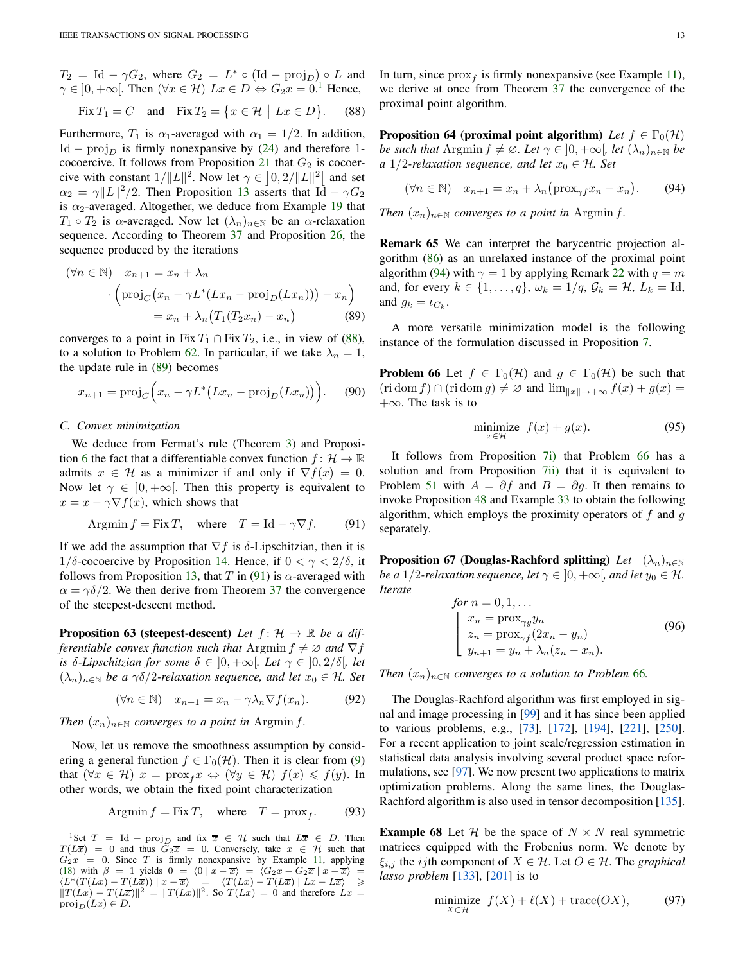$T_2 = \text{Id} - \gamma G_2$ , where  $G_2 = L^* \circ (\text{Id} - \text{proj}_D) \circ L$  and  $\gamma \in ]0, +\infty[$ . Then  $(\forall x \in \mathcal{H})$   $Lx \in D \Leftrightarrow G_2x = 0.$ <sup>[1](#page-12-0)</sup> Hence,

Fix 
$$
T_1 = C
$$
 and Fix  $T_2 = \{x \in \mathcal{H} \mid Lx \in D\}$ . (88)

Furthermore,  $T_1$  is  $\alpha_1$ -averaged with  $\alpha_1 = 1/2$ . In addition, Id – proj<sub>D</sub> is firmly nonexpansive by [\(24\)](#page-3-0) and therefore 1-cocoercive. It follows from Proposition [21](#page-3-2) that  $G_2$  is cocoercive with constant  $1/\Vert L \Vert^2$ . Now let  $\gamma \in [0, 2/\Vert L \Vert^2]$  and set  $\alpha_2 = \gamma \|L\|^2/2$ . Then Proposition [13](#page-3-4) asserts that Id –  $\gamma G_2$ is  $\alpha_2$ -averaged. Altogether, we deduce from Example [19](#page-3-8) that  $T_1 \circ T_2$  is  $\alpha$ -averaged. Now let  $(\lambda_n)_{n \in \mathbb{N}}$  be an  $\alpha$ -relaxation sequence. According to Theorem [37](#page-5-8) and Proposition [26,](#page-4-5) the sequence produced by the iterations

$$
(\forall n \in \mathbb{N}) \quad x_{n+1} = x_n + \lambda_n
$$

$$
\cdot \left( \text{proj}_C \left( x_n - \gamma L^* (Lx_n - \text{proj}_D(Lx_n)) \right) - x_n \right)
$$

$$
= x_n + \lambda_n \left( T_1 (T_2 x_n) - x_n \right) \tag{89}
$$

converges to a point in Fix  $T_1 \cap$  Fix  $T_2$ , i.e., in view of [\(88\)](#page-12-1), to a solution to Problem [62.](#page-11-5) In particular, if we take  $\lambda_n = 1$ , the update rule in [\(89\)](#page-12-2) becomes

$$
x_{n+1} = \text{proj}_C\Big(x_n - \gamma L^*\big(Lx_n - \text{proj}_D(Lx_n)\big)\Big). \tag{90}
$$

### <span id="page-12-8"></span>*C. Convex minimization*

We deduce from Fermat's rule (Theorem [3\)](#page-1-9) and Proposi-tion [6](#page-2-8) the fact that a differentiable convex function  $f: \mathcal{H} \to \mathbb{R}$ admits  $x \in \mathcal{H}$  as a minimizer if and only if  $\nabla f(x) = 0$ . Now let  $\gamma \in [0, +\infty]$ . Then this property is equivalent to  $x = x - \gamma \nabla f(x)$ , which shows that

$$
Argmin f = Fix T, \quad where \quad T = Id - \gamma \nabla f. \tag{91}
$$

If we add the assumption that  $\nabla f$  is  $\delta$ -Lipschitzian, then it is 1/δ-cocoercive by Proposition [14.](#page-3-9) Hence, if  $0 < \gamma < 2/\delta$ , it follows from Proposition [13,](#page-3-4) that T in [\(91\)](#page-12-3) is  $\alpha$ -averaged with  $\alpha = \gamma \delta/2$ . We then derive from Theorem [37](#page-5-8) the convergence of the steepest-descent method.

**Proposition 63 (steepest-descent)** *Let*  $f: \mathcal{H} \to \mathbb{R}$  *be a differentiable convex function such that* Argmin  $f \neq \emptyset$  *and*  $\nabla f$ *is*  $\delta$ -*Lipschitzian for some*  $\delta \in [0, +\infty]$ *. Let*  $\gamma \in [0, 2/\delta]$ *, let*  $(\lambda_n)_{n\in\mathbb{N}}$  *be a*  $\gamma\delta/2$ -relaxation sequence, and let  $x_0 \in \mathcal{H}$ . Set

$$
(\forall n \in \mathbb{N}) \quad x_{n+1} = x_n - \gamma \lambda_n \nabla f(x_n). \tag{92}
$$

*Then*  $(x_n)_{n \in \mathbb{N}}$  *converges to a point in* Argmin *f*.

Now, let us remove the smoothness assumption by considering a general function  $f \in \Gamma_0(\mathcal{H})$ . Then it is clear from [\(9\)](#page-1-2) that  $(\forall x \in \mathcal{H})$   $x = \text{prox}_f x \Leftrightarrow (\forall y \in \mathcal{H})$   $f(x) \leq f(y)$ . In other words, we obtain the fixed point characterization

$$
Argmin f = Fix T, where T = prox_f.
$$
 (93)

<span id="page-12-0"></span><sup>1</sup>Set  $T = \text{Id} - \text{proj}_D$  and fix  $\overline{x} \in \mathcal{H}$  such that  $L\overline{x} \in D$ . Then  $T(L\overline{x}) = 0$  and thus  $\overline{G}_2\overline{x} = 0$ . Conversely, take  $x \in \mathcal{H}$  such that  $G_2x = 0$ . Since T is firmly nonexpansive by Example [11,](#page-3-10) applying [\(18\)](#page-2-2) with  $\beta = 1$  yields  $0 = \langle 0 | x - \overline{x} \rangle = \langle G_2 x - G_2 \overline{x} | x - \overline{x} \rangle = \langle L^*(T(Lx) - T(L\overline{x})) | x - \overline{x} \rangle = \langle T(Lx) - T(L\overline{x}) | Lx - L\overline{x} \rangle \geq$  $||T(Lx) - T(L\overline{x})||^2 = ||T(Lx)||^2$ . So  $T(Lx) = 0$  and therefore  $Lx =$  $\text{proj}_D(Lx) \in D$ .

<span id="page-12-1"></span>In turn, since  $prox_f$  is firmly nonexpansive (see Example [11\)](#page-3-10), we derive at once from Theorem [37](#page-5-8) the convergence of the proximal point algorithm.

**Proposition 64 (proximal point algorithm)** *Let*  $f \in \Gamma_0(\mathcal{H})$ *be such that* Argmin  $f \neq \emptyset$ *. Let*  $\gamma \in [0, +\infty]$ *, let*  $(\lambda_n)_{n \in \mathbb{N}}$  *be a* 1/2-*relaxation sequence, and let*  $x_0 \in \mathcal{H}$ *. Set* 

<span id="page-12-4"></span>
$$
(\forall n \in \mathbb{N}) \quad x_{n+1} = x_n + \lambda_n (\text{prox}_{\gamma f} x_n - x_n). \tag{94}
$$

*Then*  $(x_n)_{n \in \mathbb{N}}$  *converges to a point in* Argmin *f*.

Remark 65 We can interpret the barycentric projection algorithm [\(86\)](#page-11-4) as an unrelaxed instance of the proximal point algorithm [\(94\)](#page-12-4) with  $\gamma = 1$  by applying Remark [22](#page-4-6) with  $q = m$ and, for every  $k \in \{1, \ldots, q\}$ ,  $\omega_k = 1/q$ ,  $\mathcal{G}_k = \mathcal{H}$ ,  $L_k = \text{Id}$ , and  $g_k = \iota_{C_k}$ .

<span id="page-12-5"></span><span id="page-12-2"></span>A more versatile minimization model is the following instance of the formulation discussed in Proposition [7.](#page-2-3)

**Problem 66** Let  $f \in \Gamma_0(\mathcal{H})$  and  $g \in \Gamma_0(\mathcal{H})$  be such that  $(\text{ri}\,\text{dom } f) \cap (\text{ri}\,\text{dom } g) \neq \emptyset$  and  $\lim_{\|x\| \to +\infty} f(x) + g(x) =$  $+\infty$ . The task is to

$$
\underset{x \in \mathcal{H}}{\text{minimize}} \quad f(x) + g(x). \tag{95}
$$

<span id="page-12-3"></span>It follows from Proposition [7](#page-2-3)[i\)](#page-2-9) that Problem [66](#page-12-5) has a solution and from Proposition [7](#page-2-3)[ii\)](#page-2-4) that it is equivalent to Problem [51](#page-8-2) with  $A = \partial f$  and  $B = \partial g$ . It then remains to invoke Proposition [48](#page-8-7) and Example [33](#page-5-12) to obtain the following algorithm, which employs the proximity operators of  $f$  and  $g$ separately.

**Proposition 67 (Douglas-Rachford splitting)** *Let*  $(\lambda_n)_{n \in \mathbb{N}}$ *be a* 1/2-relaxation sequence, let  $\gamma \in ]0, +\infty[$ , and let  $y_0 \in \mathcal{H}$ . *Iterate*

<span id="page-12-7"></span>for 
$$
n = 0, 1, ...
$$
  
\n
$$
\begin{cases}\nx_n = \text{prox}_{\gamma g} y_n \\
z_n = \text{prox}_{\gamma f} (2x_n - y_n) \\
y_{n+1} = y_n + \lambda_n (z_n - x_n).\n\end{cases}
$$
\n(96)

*Then*  $(x_n)_{n \in \mathbb{N}}$  *converges to a solution to Problem [66](#page-12-5).* 

The Douglas-Rachford algorithm was first employed in signal and image processing in [\[99\]](#page-25-28) and it has since been applied to various problems, e.g., [\[73\]](#page-24-19), [\[172\]](#page-26-29), [\[194\]](#page-27-26), [\[221\]](#page-27-27), [\[250\]](#page-28-4). For a recent application to joint scale/regression estimation in statistical data analysis involving several product space reformulations, see [\[97\]](#page-25-29). We now present two applications to matrix optimization problems. Along the same lines, the Douglas-Rachford algorithm is also used in tensor decomposition [\[135\]](#page-26-30).

**Example 68** Let H be the space of  $N \times N$  real symmetric matrices equipped with the Frobenius norm. We denote by  $\xi_{i,j}$  the *ij*th component of  $X \in \mathcal{H}$ . Let  $O \in \mathcal{H}$ . The *graphical lasso problem* [\[133\]](#page-26-31), [\[201\]](#page-27-28) is to

<span id="page-12-6"></span>
$$
\underset{X \in \mathcal{H}}{\text{minimize}} \ f(X) + \ell(X) + \text{trace}(OX),\tag{97}
$$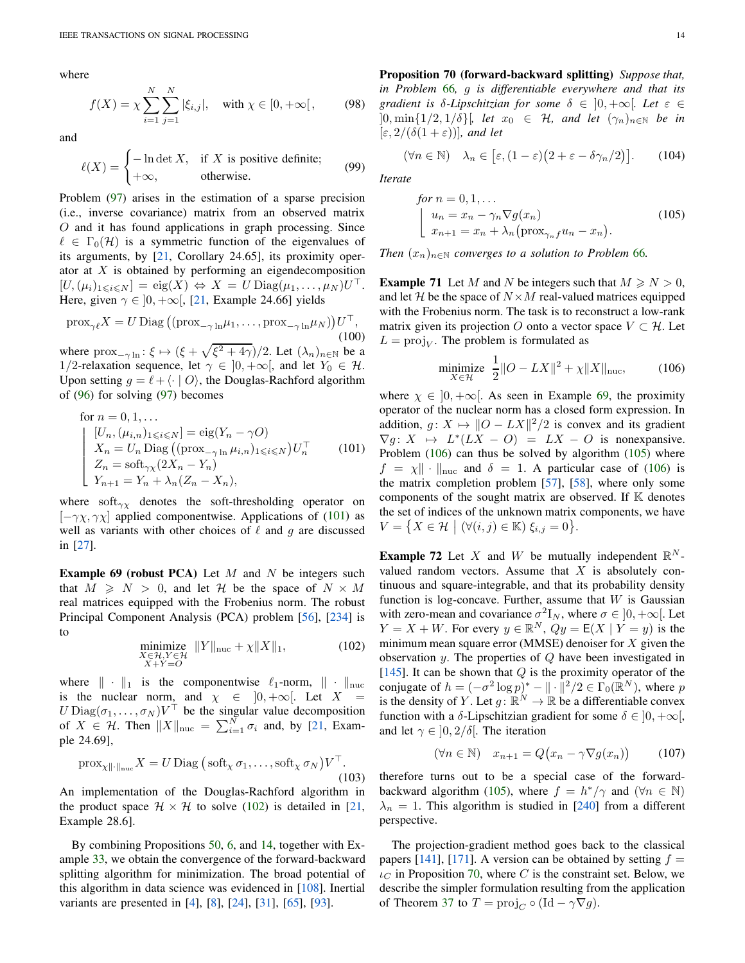where

$$
f(X) = \chi \sum_{i=1}^{N} \sum_{j=1}^{N} |\xi_{i,j}|, \text{ with } \chi \in [0, +\infty[, \qquad (98)
$$

and

$$
\ell(X) = \begin{cases}\n-\ln \det X, & \text{if } X \text{ is positive definite;} \\
+\infty, & \text{otherwise.}\n\end{cases}
$$
\n(99)

Problem [\(97\)](#page-12-6) arises in the estimation of a sparse precision (i.e., inverse covariance) matrix from an observed matrix O and it has found applications in graph processing. Since  $\ell \in \Gamma_0(\mathcal{H})$  is a symmetric function of the eigenvalues of its arguments, by [\[21,](#page-23-4) Corollary 24.65], its proximity operator at  $X$  is obtained by performing an eigendecomposition  $[U,(\mu_i)_{1\leqslant i\leqslant N}] = \text{eig}(X) \Leftrightarrow X = U \text{Diag}(\mu_1,\ldots,\mu_N)U^\top.$ Here, given  $\gamma \in [0, +\infty)$ , [\[21,](#page-23-4) Example 24.66] yields

$$
\text{prox}_{\gamma\ell} X = U \text{Diag} \left( (\text{prox}_{-\gamma \ln} \mu_1, \dots, \text{prox}_{-\gamma \ln} \mu_N) \right) U^\top,
$$
\n(100)

where  $prox_{-\gamma \ln}$ :  $\xi \mapsto (\xi + \sqrt{\xi^2 + 4\gamma})/2$ . Let  $(\lambda_n)_{n \in \mathbb{N}}$  be a 1/2-relaxation sequence, let  $\gamma \in [0, +\infty]$ , and let  $Y_0 \in \mathcal{H}$ . Upon setting  $q = \ell + \langle \cdot | O \rangle$ , the Douglas-Rachford algorithm of [\(96\)](#page-12-7) for solving [\(97\)](#page-12-6) becomes

for 
$$
n = 0, 1, ...
$$
  
\n
$$
\begin{cases}\n[U_n, (\mu_{i,n})_{1 \leq i \leq N}] = \text{eig}(Y_n - \gamma O) \\
X_n = U_n \text{Diag} ((\text{prox}_{-\gamma \ln \mu_{i,n}})_{1 \leq i \leq N}) U_n^{\top} \\
Z_n = \text{soft}_{\gamma \chi}(2X_n - Y_n) \\
Y_{n+1} = Y_n + \lambda_n (Z_n - X_n),\n\end{cases}
$$
\n(101)

where soft $_{\gamma\chi}$  denotes the soft-thresholding operator on  $[-\gamma \chi, \gamma \chi]$  applied componentwise. Applications of [\(101\)](#page-13-0) as well as variants with other choices of  $\ell$  and q are discussed in [\[27\]](#page-24-20).

<span id="page-13-2"></span>**Example 69 (robust PCA)** Let  $M$  and  $N$  be integers such that  $M \geq N > 0$ , and let H be the space of  $N \times M$ real matrices equipped with the Frobenius norm. The robust Principal Component Analysis (PCA) problem [\[56\]](#page-24-21), [\[234\]](#page-27-29) is to

$$
\underset{\substack{X \in \mathcal{H}, Y \in \mathcal{H} \\ X + Y = O}}{\text{minimize}} \|Y\|_{\text{nuc}} + \chi \|X\|_1,\tag{102}
$$

<span id="page-13-1"></span>where  $\|\cdot\|_1$  is the componentwise  $\ell_1$ -norm,  $\|\cdot\|_{\text{nuc}}$ is the nuclear norm, and  $\chi \in [0, +\infty[$ . Let X  $U \text{Diag}(\sigma_1, \ldots, \sigma_N) V^\top$  be the singular value decomposition of  $X \in \mathcal{H}$ . Then  $||X||_{\text{nuc}} = \sum_{i=1}^{N} \sigma_i$  and, by [\[21,](#page-23-4) Example 24.69],

$$
\operatorname{prox}_{\chi \|\cdot\|_{\text{nuc}}} X = U \operatorname{Diag} \left( \operatorname{soft}_{\chi} \sigma_1, \dots, \operatorname{soft}_{\chi} \sigma_N \right) V^{\top}.
$$
\n(103)

An implementation of the Douglas-Rachford algorithm in the product space  $\mathcal{H} \times \mathcal{H}$  to solve [\(102\)](#page-13-1) is detailed in [\[21,](#page-23-4) Example 28.6].

<span id="page-13-5"></span>By combining Propositions [50,](#page-8-6) [6,](#page-2-8) and [14,](#page-3-9) together with Example [33,](#page-5-12) we obtain the convergence of the forward-backward splitting algorithm for minimization. The broad potential of this algorithm in data science was evidenced in [\[108\]](#page-25-3). Inertial variants are presented in [\[4\]](#page-23-8), [\[8\]](#page-23-9), [\[24\]](#page-24-22), [\[31\]](#page-24-23), [\[65\]](#page-24-24), [\[93\]](#page-25-15).

Proposition 70 (forward-backward splitting) *Suppose that, in Problem* [66](#page-12-5)*,* g *is differentiable everywhere and that its gradient is*  $\delta$ -*Lipschitzian for some*  $\delta \in [0, +\infty]$ *. Let*  $\varepsilon \in$  $]0, \min\{1/2, 1/\delta\}$ , let  $x_0 \in \mathcal{H}$ , and let  $(\gamma_n)_{n \in \mathbb{N}}$  be in  $[\varepsilon, 2/(\delta(1+\varepsilon))]$ *, and let* 

$$
(\forall n \in \mathbb{N}) \quad \lambda_n \in [\varepsilon, (1-\varepsilon)(2+\varepsilon-\delta\gamma_n/2)]. \tag{104}
$$

*Iterate*

<span id="page-13-4"></span>for 
$$
n = 0, 1, ...
$$
  
\n
$$
\begin{cases}\n u_n = x_n - \gamma_n \nabla g(x_n) \\
 x_{n+1} = x_n + \lambda_n (\text{prox}_{\gamma_n f} u_n - x_n).\n\end{cases}
$$
\n(105)

*Then*  $(x_n)_{n \in \mathbb{N}}$  *converges to a solution to Problem* [66](#page-12-5)*.* 

**Example 71** Let M and N be integers such that  $M \ge N > 0$ , and let H be the space of  $N \times M$  real-valued matrices equipped with the Frobenius norm. The task is to reconstruct a low-rank matrix given its projection O onto a vector space  $V \subset \mathcal{H}$ . Let  $L = \text{proj}_V$ . The problem is formulated as

<span id="page-13-3"></span>minimize 
$$
\frac{1}{2} ||O - LX||^2 + \chi ||X||_{\text{nuc}},
$$
 (106)

<span id="page-13-0"></span>where  $\chi \in [0, +\infty]$ . As seen in Example [69,](#page-13-2) the proximity operator of the nuclear norm has a closed form expression. In addition,  $g: X \mapsto ||O - LX||^2/2$  is convex and its gradient  $\nabla g: X \mapsto L^*(LX - O) = LX - O$  is nonexpansive. Problem [\(106\)](#page-13-3) can thus be solved by algorithm [\(105\)](#page-13-4) where  $f = \chi \| \cdot \|_{\text{nuc}}$  and  $\delta = 1$ . A particular case of [\(106\)](#page-13-3) is the matrix completion problem [\[57\]](#page-24-25), [\[58\]](#page-24-26), where only some components of the sought matrix are observed. If  $K$  denotes the set of indices of the unknown matrix components, we have  $V = \{ X \in \mathcal{H} \mid (\forall (i, j) \in \mathbb{K}) \xi_{i,j} = 0 \}.$ 

<span id="page-13-7"></span>**Example 72** Let X and W be mutually independent  $\mathbb{R}^N$ valued random vectors. Assume that  $X$  is absolutely continuous and square-integrable, and that its probability density function is log-concave. Further, assume that  $W$  is Gaussian with zero-mean and covariance  $\sigma^2 I_N$ , where  $\sigma \in ]0, +\infty[$ . Let  $Y = X + W$ . For every  $y \in \mathbb{R}^N$ ,  $Qy = E(X | Y = y)$  is the minimum mean square error (MMSE) denoiser for  $X$  given the observation  $y$ . The properties of  $Q$  have been investigated in [\[145\]](#page-26-32). It can be shown that  $Q$  is the proximity operator of the conjugate of  $h = (-\sigma^2 \log p)^* - ||\cdot||^2/2 \in \Gamma_0(\mathbb{R}^N)$ , where p is the density of Y. Let  $g: \mathbb{R}^N \to \mathbb{R}$  be a differentiable convex function with a  $\delta$ -Lipschitzian gradient for some  $\delta \in [0, +\infty[,$ and let  $\gamma \in [0, 2/\delta]$ . The iteration

$$
(\forall n \in \mathbb{N}) \quad x_{n+1} = Q(x_n - \gamma \nabla g(x_n)) \tag{107}
$$

therefore turns out to be a special case of the forward-backward algorithm [\(105\)](#page-13-4), where  $f = h^*/\gamma$  and  $(\forall n \in \mathbb{N})$  $\lambda_n = 1$ . This algorithm is studied in [\[240\]](#page-28-5) from a different perspective.

<span id="page-13-6"></span>The projection-gradient method goes back to the classical papers [\[141\]](#page-26-33), [\[171\]](#page-26-34). A version can be obtained by setting  $f =$  $\iota_C$  in Proposition [70,](#page-13-5) where C is the constraint set. Below, we describe the simpler formulation resulting from the application of Theorem [37](#page-5-8) to  $T = \text{proj}_C \circ (\text{Id} - \gamma \nabla g)$ .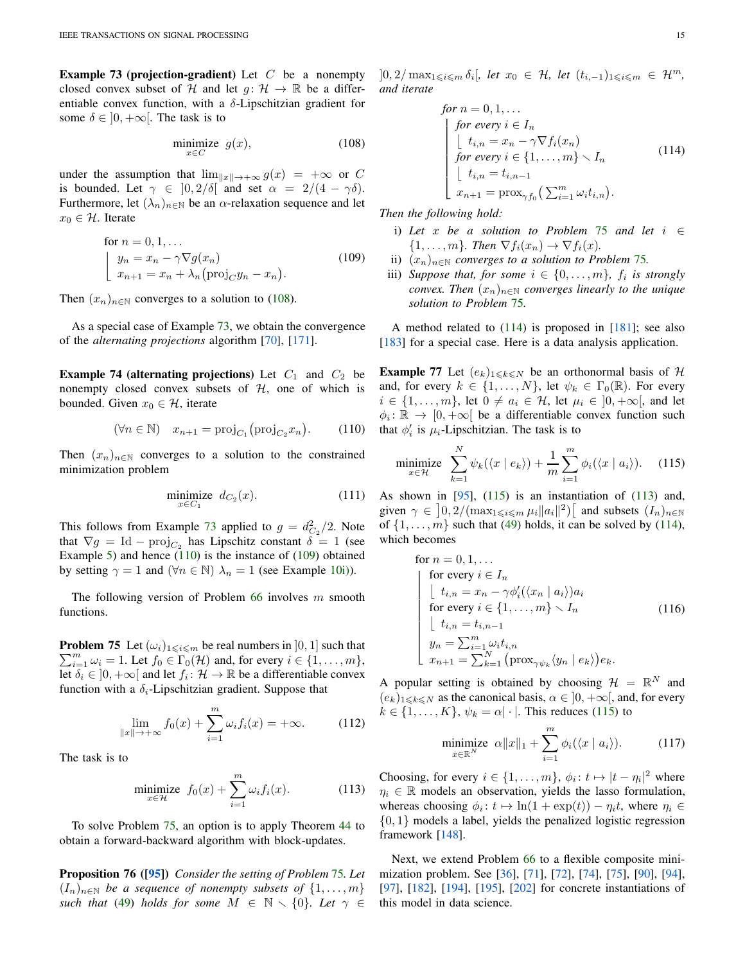**Example 73 (projection-gradient)** Let  $C$  be a nonempty closed convex subset of H and let  $q: \mathcal{H} \to \mathbb{R}$  be a differentiable convex function, with a  $\delta$ -Lipschitzian gradient for some  $\delta \in [0, +\infty[$ . The task is to

<span id="page-14-0"></span>
$$
\underset{x \in C}{\text{minimize}} g(x),\tag{108}
$$

under the assumption that  $\lim_{||x||\to+\infty} g(x) = +\infty$  or C is bounded. Let  $\gamma \in [0, 2/\delta]$  and set  $\alpha = 2/(4 - \gamma \delta)$ . Furthermore, let  $(\lambda_n)_{n\in\mathbb{N}}$  be an  $\alpha$ -relaxation sequence and let  $x_0 \in \mathcal{H}$ . Iterate

<span id="page-14-2"></span>for 
$$
n = 0, 1, ...
$$
  
\n
$$
\begin{cases}\ny_n = x_n - \gamma \nabla g(x_n) \\
x_{n+1} = x_n + \lambda_n (\text{proj}_C y_n - x_n).\n\end{cases}
$$
\n(109)

Then  $(x_n)_{n \in \mathbb{N}}$  converges to a solution to [\(108\)](#page-14-0).

<span id="page-14-10"></span>As a special case of Example [73,](#page-13-6) we obtain the convergence of the *alternating projections* algorithm [\[70\]](#page-24-27), [\[171\]](#page-26-34).

**Example 74 (alternating projections)** Let  $C_1$  and  $C_2$  be nonempty closed convex subsets of  $H$ , one of which is bounded. Given  $x_0 \in \mathcal{H}$ , iterate

$$
(\forall n \in \mathbb{N}) \quad x_{n+1} = \text{proj}_{C_1}(\text{proj}_{C_2} x_n). \tag{110}
$$

Then  $(x_n)_{n\in\mathbb{N}}$  converges to a solution to the constrained minimization problem

<span id="page-14-1"></span>
$$
\underset{x \in C_1}{\text{minimize}} \quad d_{C_2}(x). \tag{111}
$$

This follows from Example [73](#page-13-6) applied to  $g = d_{C_2}^2/2$ . Note that  $\nabla g = \text{Id} - \text{proj}_{C_2}$  has Lipschitz constant  $\delta = 1$  (see Example [5\)](#page-2-10) and hence [\(110\)](#page-14-1) is the instance of [\(109\)](#page-14-2) obtained by setting  $\gamma = 1$  and  $(\forall n \in \mathbb{N}) \lambda_n = 1$  (see Example [10](#page-2-5)[i\)\)](#page-2-6).

<span id="page-14-3"></span>The following version of Problem  $66$  involves m smooth functions.

 $\sum_{i=1}^{m} \omega_i = 1$ . Let  $f_0 \in \Gamma_0(\mathcal{H})$  and, for every  $i \in \{1, \ldots, m\}$ , **Problem 75** Let  $(\omega_i)_{1 \leq i \leq m}$  be real numbers in  $[0, 1]$  such that Let  $\delta_i \in ]0, +\infty[$  and let  $f_i : \mathcal{H} \to \mathbb{R}$  be a differentiable convex function with a  $\delta_i$ -Lipschitzian gradient. Suppose that

$$
\lim_{\|x\| \to +\infty} f_0(x) + \sum_{i=1}^m \omega_i f_i(x) = +\infty.
$$
 (112)

The task is to

<span id="page-14-6"></span>
$$
\underset{x \in \mathcal{H}}{\text{minimize}} \ f_0(x) + \sum_{i=1}^m \omega_i f_i(x). \tag{113}
$$

<span id="page-14-9"></span>To solve Problem [75,](#page-14-3) an option is to apply Theorem [44](#page-6-8) to obtain a forward-backward algorithm with block-updates.

Proposition 76 ([\[95\]](#page-25-16)) *Consider the setting of Problem* [75](#page-14-3)*. Let*  $(I_n)_{n\in\mathbb{N}}$  *be a sequence of nonempty subsets of*  $\{1,\ldots,m\}$ *such that* [\(49\)](#page-6-6) *holds for some*  $M \in \mathbb{N} \setminus \{0\}$ *. Let*  $\gamma \in$ 

 $]0,2/\max_{1\leq i\leq m}\delta_i[$ *, let*  $x_0$  ∈  $H$ *, let*  $(t_{i,-1})_{1\leq i\leq m}$  ∈  $\mathcal{H}^m$ *, and iterate*

<span id="page-14-4"></span>for 
$$
n = 0, 1, ...
$$
  
\nfor every  $i \in I_n$   
\n
$$
\begin{cases}\n\text{for every } i \in I_n \\
t_{i,n} = x_n - \gamma \nabla f_i(x_n) \\
\text{for every } i \in \{1, ..., m\} \setminus I_n \\
t_{i,n} = t_{i,n-1} \\
x_{n+1} = \text{prox}_{\gamma f_0} \left( \sum_{i=1}^m \omega_i t_{i,n} \right).\n\end{cases}
$$
\n(114)

*Then the following hold:*

- i) *Let* x *be a solution to Problem* [75](#page-14-3) *and let* i ∈  $\{1, \ldots, m\}$ *. Then*  $\nabla f_i(x_n) \to \nabla f_i(x)$ *.*
- ii)  $(x_n)_{n\in\mathbb{N}}$  *converges to a solution to Problem [75](#page-14-3).*
- iii) *Suppose that, for some*  $i \in \{0, \ldots, m\}$ ,  $f_i$  is strongly *convex. Then*  $(x_n)_{n \in \mathbb{N}}$  *converges linearly to the unique solution to Problem* [75](#page-14-3)*.*

A method related to  $(114)$  is proposed in  $[181]$ ; see also [\[183\]](#page-26-36) for a special case. Here is a data analysis application.

**Example 77** Let  $(e_k)_{1\leq k\leq N}$  be an orthonormal basis of H and, for every  $k \in \{1, ..., N\}$ , let  $\psi_k \in \Gamma_0(\mathbb{R})$ . For every  $i \in \{1, \ldots, m\}$ , let  $0 \neq a_i \in \mathcal{H}$ , let  $\mu_i \in \{0, +\infty\}$ , and let  $\phi_i: \mathbb{R} \to [0, +\infty[$  be a differentiable convex function such that  $\phi'_i$  is  $\mu_i$ -Lipschitzian. The task is to

<span id="page-14-5"></span>
$$
\underset{x \in \mathcal{H}}{\text{minimize}} \quad \sum_{k=1}^{N} \psi_k(\langle x \mid e_k \rangle) + \frac{1}{m} \sum_{i=1}^{m} \phi_i(\langle x \mid a_i \rangle). \tag{115}
$$

As shown in  $[95]$ ,  $(115)$  is an instantiation of  $(113)$  and, given  $\gamma \in \left]0,2/(\max_{1 \leq i \leq m} \mu_i ||a_i||^2)\right[$  and subsets  $(I_n)_{n \in \mathbb{N}}$ of  $\{1, \ldots, m\}$  such that [\(49\)](#page-6-6) holds, it can be solved by [\(114\)](#page-14-4), which becomes

for 
$$
n = 0, 1, ...
$$
  
\nfor every  $i \in I_n$   
\n
$$
\begin{cases}\nt_{i,n} = x_n - \gamma \phi_i'(\langle x_n | a_i \rangle) a_i \\
\text{for every } i \in \{1, ..., m\} \setminus I_n \\
\lfloor t_{i,n} = t_{i,n-1} \\
y_n = \sum_{i=1}^m \omega_i t_{i,n} \\
x_{n+1} = \sum_{k=1}^N (\text{prox}_{\gamma \psi_k} \langle y_n | e_k \rangle) e_k.\n\end{cases}
$$
(116)

<span id="page-14-8"></span>A popular setting is obtained by choosing  $\mathcal{H} = \mathbb{R}^N$  and  $(e_k)_{1\leq k\leq N}$  as the canonical basis,  $\alpha \in (0, +\infty)$ , and, for every  $k \in \{1, \ldots, K\}, \psi_k = \alpha |\cdot|$ . This reduces [\(115\)](#page-14-5) to

$$
\underset{x \in \mathbb{R}^N}{\text{minimize}} \ \alpha \|x\|_1 + \sum_{i=1}^m \phi_i(\langle x \mid a_i \rangle). \tag{117}
$$

Choosing, for every  $i \in \{1, ..., m\}$ ,  $\phi_i : t \mapsto |t - \eta_i|^2$  where  $\eta_i \in \mathbb{R}$  models an observation, yields the lasso formulation, whereas choosing  $\phi_i : t \mapsto \ln(1 + \exp(t)) - \eta_i t$ , where  $\eta_i \in$  $\{0, 1\}$  models a label, yields the penalized logistic regression framework [\[148\]](#page-26-37).

<span id="page-14-7"></span>Next, we extend Problem [66](#page-12-5) to a flexible composite minimization problem. See [\[36\]](#page-24-12), [\[71\]](#page-24-28), [\[72\]](#page-24-29), [\[74\]](#page-25-30), [\[75\]](#page-25-31), [\[90\]](#page-25-9), [\[94\]](#page-25-32), [\[97\]](#page-25-29), [\[182\]](#page-26-38), [\[194\]](#page-27-26), [\[195\]](#page-27-30), [\[202\]](#page-27-31) for concrete instantiations of this model in data science.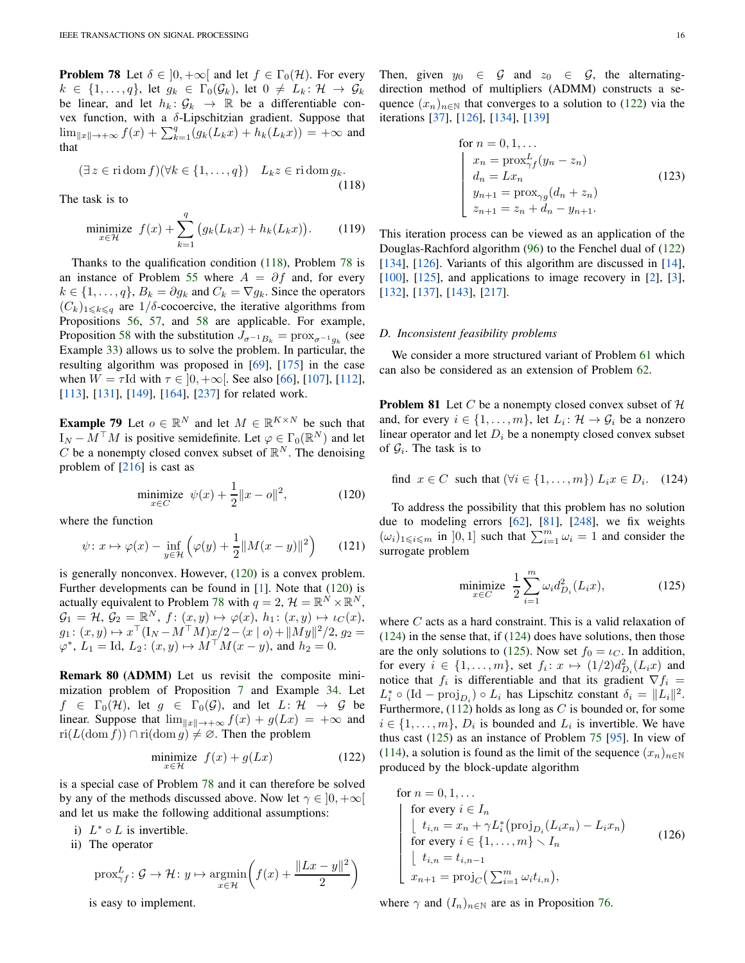**Problem 78** Let  $\delta \in [0, +\infty]$  and let  $f \in \Gamma_0(\mathcal{H})$ . For every  $k \in \{1,\ldots,q\}$ , let  $g_k \in \Gamma_0(\mathcal{G}_k)$ , let  $0 \neq L_k : \mathcal{H} \to \mathcal{G}_k$ be linear, and let  $h_k: \mathcal{G}_k \to \mathbb{R}$  be a differentiable convex function, with a δ-Lipschitzian gradient. Suppose that  $\lim_{\|x\| \to +\infty} f(x) + \sum_{k=1}^{q} (g_k(L_k x) + h_k(L_k x)) = +\infty$  and that

<span id="page-15-0"></span>
$$
(\exists z \in \text{ri}\,\text{dom}\, f)(\forall k \in \{1, \dots, q\}) \quad L_k z \in \text{ri}\,\text{dom}\, g_k. \tag{118}
$$

The task is to

$$
\underset{x \in \mathcal{H}}{\text{minimize}} \ f(x) + \sum_{k=1}^{q} \left( g_k(L_k x) + h_k(L_k x) \right). \tag{119}
$$

Thanks to the qualification condition [\(118\)](#page-15-0), Problem [78](#page-14-7) is an instance of Problem [55](#page-9-0) where  $A = \partial f$  and, for every  $k \in \{1, \ldots, q\}, B_k = \partial g_k$  and  $C_k = \nabla g_k$ . Since the operators  $(C_k)_{1\leq k\leq q}$  are  $1/\delta$ -cocoercive, the iterative algorithms from Propositions [56,](#page-9-6) [57,](#page-9-7) and [58](#page-10-4) are applicable. For example, Proposition [58](#page-10-4) with the substitution  $J_{\sigma^{-1}B_k} = \text{prox}_{\sigma^{-1}g_k}$  (see Example [33\)](#page-5-12) allows us to solve the problem. In particular, the resulting algorithm was proposed in [\[69\]](#page-24-30), [\[175\]](#page-26-39) in the case when  $W = \tau$ Id with  $\tau \in [0, +\infty]$ . See also [\[66\]](#page-24-5), [\[107\]](#page-25-22), [\[112\]](#page-25-23), [\[113\]](#page-25-33), [\[131\]](#page-26-40), [\[149\]](#page-26-41), [\[164\]](#page-26-10), [\[237\]](#page-27-23) for related work.

**Example 79** Let  $o \in \mathbb{R}^N$  and let  $M \in \mathbb{R}^{K \times N}$  be such that  $I_N - M^\top M$  is positive semidefinite. Let  $\varphi \in \Gamma_0(\mathbb{R}^N)$  and let C be a nonempty closed convex subset of  $\mathbb{R}^N$ . The denoising problem of [\[216\]](#page-27-32) is cast as

<span id="page-15-1"></span>minimize 
$$
\psi(x) + \frac{1}{2} ||x - o||^2
$$
, (120)

where the function

$$
\psi \colon x \mapsto \varphi(x) - \inf_{y \in \mathcal{H}} \left( \varphi(y) + \frac{1}{2} \| M(x - y) \|^2 \right) \tag{121}
$$

is generally nonconvex. However, [\(120\)](#page-15-1) is a convex problem. Further developments can be found in [\[1\]](#page-23-10). Note that [\(120\)](#page-15-1) is actually equivalent to Problem [78](#page-14-7) with  $q = 2$ ,  $\mathcal{H} = \mathbb{R}^N \times \mathbb{R}^N$ ,  $\mathcal{G}_1 = \mathcal{H}, \, \mathcal{G}_2 = \mathbb{R}^N, \, f \colon (x, y) \mapsto \varphi(x), \, h_1 \colon (x, y) \mapsto \iota_C(x),$  $g_1: (x, y) \mapsto x^{\top} (\mathbf{I}_N - M^{\top}M) x/2 - \langle x | o \rangle + ||My||^2/2, g_2 =$  $\varphi^*$ ,  $L_1 = \text{Id}, L_2: (x, y) \mapsto M^\top M(x - y)$ , and  $h_2 = 0$ .

Remark 80 (ADMM) Let us revisit the composite minimization problem of Proposition [7](#page-2-3) and Example [34.](#page-5-9) Let  $f \in \Gamma_0(\mathcal{H})$ , let  $g \in \Gamma_0(\mathcal{G})$ , and let  $L: \mathcal{H} \to \mathcal{G}$  be linear. Suppose that  $\lim_{\|x\| \to +\infty} f(x) + g(Lx) = +\infty$  and  $ri(L(\text{dom } f)) \cap ri(\text{dom } g) \neq \emptyset$ . Then the problem

$$
\underset{x \in \mathcal{H}}{\text{minimize}} \quad f(x) + g(Lx) \tag{122}
$$

is a special case of Problem [78](#page-14-7) and it can therefore be solved by any of the methods discussed above. Now let  $\gamma \in [0, +\infty[$ and let us make the following additional assumptions:

- i)  $L^* \circ L$  is invertible.
- ii) The operator

$$
\operatorname{prox}_{\gamma f}^L : \mathcal{G} \to \mathcal{H} : y \mapsto \underset{x \in \mathcal{H}}{\operatorname{argmin}} \left( f(x) + \frac{\|Lx - y\|^2}{2} \right)
$$

is easy to implement.

Then, given  $y_0 \in \mathcal{G}$  and  $z_0 \in \mathcal{G}$ , the alternatingdirection method of multipliers (ADMM) constructs a sequence  $(x_n)_{n\in\mathbb{N}}$  that converges to a solution to [\(122\)](#page-15-2) via the iterations [\[37\]](#page-24-31), [\[126\]](#page-26-20), [\[134\]](#page-26-42), [\[139\]](#page-26-43)

for 
$$
n = 0, 1, ...
$$
  
\n
$$
\begin{cases}\nx_n = \text{prox}_{\gamma f}^L (y_n - z_n) \\
d_n = Lx_n \\
y_{n+1} = \text{prox}_{\gamma g} (d_n + z_n) \\
z_{n+1} = z_n + d_n - y_{n+1}.\n\end{cases}
$$
\n(123)

This iteration process can be viewed as an application of the Douglas-Rachford algorithm [\(96\)](#page-12-7) to the Fenchel dual of [\(122\)](#page-15-2) [\[134\]](#page-26-42), [\[126\]](#page-26-20). Variants of this algorithm are discussed in [\[14\]](#page-23-11),  $[100]$ ,  $[125]$ , and applications to image recovery in  $[2]$ ,  $[3]$ , [\[132\]](#page-26-45), [\[137\]](#page-26-46), [\[143\]](#page-26-47), [\[217\]](#page-27-33).

## *D. Inconsistent feasibility problems*

We consider a more structured variant of Problem [61](#page-11-1) which can also be considered as an extension of Problem [62.](#page-11-5)

**Problem 81** Let C be a nonempty closed convex subset of  $H$ and, for every  $i \in \{1, \ldots, m\}$ , let  $L_i: \mathcal{H} \to \mathcal{G}_i$  be a nonzero linear operator and let  $D_i$  be a nonempty closed convex subset of  $\mathcal{G}_i$ . The task is to

find 
$$
x \in C
$$
 such that  $(\forall i \in \{1, ..., m\})$   $L_i x \in D_i$ . (124)

To address the possibility that this problem has no solution due to modeling errors  $[62]$ ,  $[81]$ ,  $[248]$ , we fix weights  $(\omega_i)_{1 \leq i \leq m}$  in  $]0,1]$  such that  $\sum_{i=1}^m \omega_i = 1$  and consider the surrogate problem

<span id="page-15-4"></span><span id="page-15-3"></span>minimize 
$$
\frac{1}{2} \sum_{i=1}^{m} \omega_i d_{D_i}^2(L_i x)
$$
, (125)

where  $C$  acts as a hard constraint. This is a valid relaxation of  $(124)$  in the sense that, if  $(124)$  does have solutions, then those are the only solutions to [\(125\)](#page-15-4). Now set  $f_0 = \iota_C$ . In addition, for every  $i \in \{1, \ldots, m\}$ , set  $f_i: x \mapsto (1/2)d_{D_i}^2(L_ix)$  and notice that  $f_i$  is differentiable and that its gradient  $\nabla f_i =$  $L_i^* \circ (\text{Id} - \text{proj}_{D_i}) \circ L_i$  has Lipschitz constant  $\delta_i = ||L_i||^2$ . Furthermore,  $(112)$  holds as long as C is bounded or, for some  $i \in \{1, \ldots, m\}$ ,  $D_i$  is bounded and  $L_i$  is invertible. We have thus cast [\(125\)](#page-15-4) as an instance of Problem [75](#page-14-3) [\[95\]](#page-25-16). In view of [\(114\)](#page-14-4), a solution is found as the limit of the sequence  $(x_n)_{n\in\mathbb{N}}$ produced by the block-update algorithm

<span id="page-15-2"></span>for 
$$
n = 0, 1, ...
$$
  
\nfor every  $i \in I_n$   
\n
$$
\begin{cases}\n\text{for every } i \in I_n \\
t_{i,n} = x_n + \gamma L_i^* (\text{proj}_{D_i} (L_i x_n) - L_i x_n) \\
\text{for every } i \in \{1, ..., m\} \setminus I_n \\
t_{i,n} = t_{i,n-1} \\
x_{n+1} = \text{proj}_C \left( \sum_{i=1}^m \omega_i t_{i,n} \right),\n\end{cases}
$$
\n(126)

where  $\gamma$  and  $(I_n)_{n \in \mathbb{N}}$  are as in Proposition [76.](#page-14-9)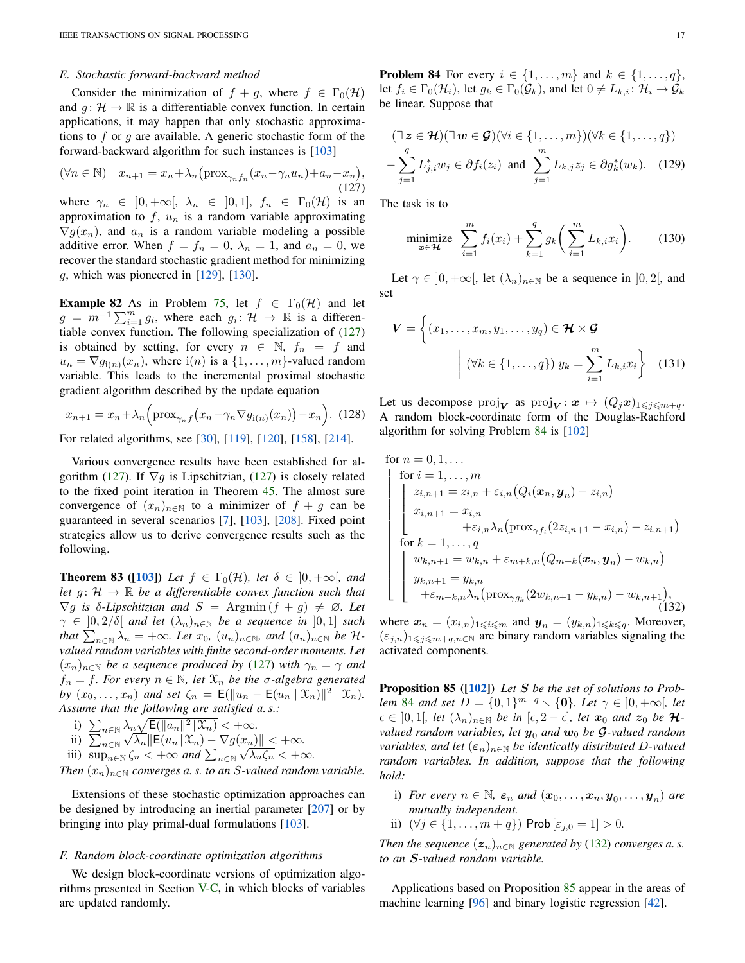## *E. Stochastic forward-backward method*

Consider the minimization of  $f + g$ , where  $f \in \Gamma_0(\mathcal{H})$ and  $g: \mathcal{H} \to \mathbb{R}$  is a differentiable convex function. In certain applications, it may happen that only stochastic approximations to  $f$  or  $g$  are available. A generic stochastic form of the forward-backward algorithm for such instances is [\[103\]](#page-25-35)

$$
(\forall n \in \mathbb{N}) \quad x_{n+1} = x_n + \lambda_n \left( \text{prox}_{\gamma_n f_n} (x_n - \gamma_n u_n) + a_n - x_n \right),\tag{127}
$$

where  $\gamma_n \in [0, +\infty[, \lambda_n \in [0, 1], f_n \in \Gamma_0(\mathcal{H})$  is an approximation to  $f, u_n$  is a random variable approximating  $\nabla g(x_n)$ , and  $a_n$  is a random variable modeling a possible additive error. When  $f = f_n = 0$ ,  $\lambda_n = 1$ , and  $a_n = 0$ , we recover the standard stochastic gradient method for minimizing  $g$ , which was pioneered in  $[129]$ ,  $[130]$ .

**Example 82** As in Problem [75,](#page-14-3) let  $f \in \Gamma_0(\mathcal{H})$  and let  $g = m^{-1} \sum_{i=1}^{m} g_i$ , where each  $g_i: \mathcal{H} \to \mathbb{R}$  is a differentiable convex function. The following specialization of [\(127\)](#page-16-1) is obtained by setting, for every  $n \in \mathbb{N}$ ,  $f_n = f$  and  $u_n = \nabla g_{i(n)}(x_n)$ , where  $i(n)$  is a  $\{1, \ldots, m\}$ -valued random variable. This leads to the incremental proximal stochastic gradient algorithm described by the update equation

$$
x_{n+1} = x_n + \lambda_n \left( \text{prox}_{\gamma_n f} \left( x_n - \gamma_n \nabla g_{i(n)}(x_n) \right) - x_n \right). \tag{128}
$$

For related algorithms, see [\[30\]](#page-24-33), [\[119\]](#page-25-36), [\[120\]](#page-25-37), [\[158\]](#page-26-49), [\[214\]](#page-27-34).

Various convergence results have been established for al-gorithm [\(127\)](#page-16-1). If  $\nabla g$  is Lipschitzian, (127) is closely related to the fixed point iteration in Theorem [45.](#page-7-5) The almost sure convergence of  $(x_n)_{n\in\mathbb{N}}$  to a minimizer of  $f + g$  can be guaranteed in several scenarios [\[7\]](#page-23-14), [\[103\]](#page-25-35), [\[208\]](#page-27-35). Fixed point strategies allow us to derive convergence results such as the following.

**Theorem 83** ([\[103\]](#page-25-35)) Let  $f \in \Gamma_0(\mathcal{H})$ , let  $\delta \in [0, +\infty]$ , and *let*  $g: \mathcal{H} \to \mathbb{R}$  *be a differentiable convex function such that*  $\nabla g$  *is*  $\delta$ -Lipschitzian and  $S = \text{Argmin}(f + g) \neq \emptyset$ . Let  $\gamma \in [0, 2/\delta[$  *and let*  $(\lambda_n)_{n \in \mathbb{N}}$  *be a sequence in*  $[0, 1]$  *such that*  $\sum_{n \in \mathbb{N}} \lambda_n = +\infty$ *. Let*  $x_0$ *,*  $(u_n)_{n \in \mathbb{N}}$ *, and*  $(a_n)_{n \in \mathbb{N}}$  *be*  $\mathcal{H}$ *valued random variables with finite second-order moments. Let*  $(x_n)_{n\in\mathbb{N}}$  *be a sequence produced by* [\(127\)](#page-16-1) *with*  $\gamma_n = \gamma$  *and*  $f_n = f$ *. For every*  $n \in \mathbb{N}$ *, let*  $\mathcal{X}_n$  *be the*  $\sigma$ -algebra generated *by*  $(x_0, ..., x_n)$  *and set*  $\zeta_n = \mathsf{E}(\|u_n - \mathsf{E}(u_n \mid \mathfrak{X}_n)\|^2 \mid \mathfrak{X}_n)$ . *Assume that the following are satisfied a. s.:*

i)  $\sum_{n \in \mathbb{N}} \lambda_n \sqrt{\mathsf{E}(\|a_n\|^2 \,|\, \mathcal{X}_n)} < +\infty.$ ii)  $\sum_{n\in\mathbb{N}}\frac{|\mathcal{N}_n|}{\sqrt{\lambda_n}}\mathbb{E}(u_n|\mathcal{X}_n)-\nabla g(x_n)\|<+\infty.$ 

iii)  $\sup_{n\in\mathbb{N}} \zeta_n < +\infty$  and  $\sum_{n\in\mathbb{N}} \sqrt{\lambda_n \zeta_n} < +\infty$ .

*Then*  $(x_n)_{n \in \mathbb{N}}$  *converges a.s. to an S-valued random variable.* 

Extensions of these stochastic optimization approaches can be designed by introducing an inertial parameter [\[207\]](#page-27-36) or by bringing into play primal-dual formulations [\[103\]](#page-25-35).

#### *F. Random block-coordinate optimization algorithms*

<span id="page-16-0"></span>We design block-coordinate versions of optimization algorithms presented in Section [V-C,](#page-12-8) in which blocks of variables are updated randomly.

**Problem 84** For every  $i \in \{1, \ldots, m\}$  and  $k \in \{1, \ldots, q\}$ , let  $f_i \in \Gamma_0(\mathcal{H}_i)$ , let  $g_k \in \Gamma_0(\mathcal{G}_k)$ , and let  $0 \neq L_{k,i} : \mathcal{H}_i \rightarrow \mathcal{G}_k$ be linear. Suppose that

$$
(\exists z \in \mathcal{H})(\exists w \in \mathcal{G})(\forall i \in \{1, ..., m\})(\forall k \in \{1, ..., q\})
$$

$$
-\sum_{j=1}^{q} L_{j,i}^{*} w_j \in \partial f_i(z_i) \text{ and } \sum_{j=1}^{m} L_{k,j} z_j \in \partial g_k^{*}(w_k). \quad (129)
$$

The task is to

<span id="page-16-1"></span>,

$$
\underset{\boldsymbol{x}\in\boldsymbol{\mathcal{H}}}{\text{minimize}} \quad \sum_{i=1}^{m} f_i(x_i) + \sum_{k=1}^{q} g_k\bigg(\sum_{i=1}^{m} L_{k,i} x_i\bigg). \tag{130}
$$

Let  $\gamma \in ]0, +\infty[$ , let  $(\lambda_n)_{n \in \mathbb{N}}$  be a sequence in  $]0, 2[$ , and set

$$
\boldsymbol{V} = \left\{ (x_1, \dots, x_m, y_1, \dots, y_q) \in \boldsymbol{\mathcal{H}} \times \boldsymbol{\mathcal{G}} \mid \left( \forall k \in \{1, \dots, q\} \right) y_k = \sum_{i=1}^m L_{k,i} x_i \right\} \quad (131)
$$

Let us decompose  $\text{proj}_{\mathbf{V}}$  as  $\text{proj}_{\mathbf{V}}$ :  $\mathbf{x} \mapsto (Q_i \mathbf{x})_{1 \leq i \leq m+q}$ . A random block-coordinate form of the Douglas-Rachford algorithm for solving Problem [84](#page-16-0) is [\[102\]](#page-25-17)

<span id="page-16-2"></span>for 
$$
n = 0, 1, ...
$$
  
\nfor  $i = 1, ..., m$   
\n
$$
\begin{cases}\nz_{i,n+1} = z_{i,n} + \varepsilon_{i,n} (Q_i(\mathbf{x}_n, \mathbf{y}_n) - z_{i,n}) \\
x_{i,n+1} = x_{i,n} \\
+ \varepsilon_{i,n} \lambda_n (\text{prox}_{\gamma f_i}(2z_{i,n+1} - x_{i,n}) - z_{i,n+1})\n\end{cases}
$$
\nfor  $k = 1, ..., q$   
\n $w_{k,n+1} = w_{k,n} + \varepsilon_{m+k,n} (Q_{m+k}(\mathbf{x}_n, \mathbf{y}_n) - w_{k,n})$   
\n $y_{k,n+1} = y_{k,n}$   
\n $+ \varepsilon_{m+k,n} \lambda_n (\text{prox}_{\gamma g_k}(2w_{k,n+1} - y_{k,n}) - w_{k,n+1}),$ \n(132)

<span id="page-16-3"></span>where  $\mathbf{x}_n = (x_{i,n})_{1 \leq i \leq m}$  and  $\mathbf{y}_n = (y_{k,n})_{1 \leq k \leq q}$ . Moreover,  $(\varepsilon_{j,n})_{1\leq j\leq m+q,n\in\mathbb{N}}$  are binary random variables signaling the activated components.

Proposition 85 ([\[102\]](#page-25-17)) *Let* S *be the set of solutions to Problem* [84](#page-16-0) *and set*  $D = \{0, 1\}^{m+q} \setminus \{0\}$ *. Let*  $\gamma \in ]0, +\infty[$ *, let*  $\epsilon \in [0,1]$ , let  $(\lambda_n)_{n \in \mathbb{N}}$  be in  $[\epsilon, 2 - \epsilon]$ , let  $x_0$  and  $z_0$  be  $\mathcal{H}$ *valued random variables, let*  $y_0$  *and*  $w_0$  *be* **G**-valued random *variables, and let*  $(\epsilon_n)_{n\in\mathbb{N}}$  *be identically distributed D-valued random variables. In addition, suppose that the following hold:*

- i) *For every*  $n \in \mathbb{N}$ ,  $\varepsilon_n$  and  $(\boldsymbol{x}_0, \ldots, \boldsymbol{x}_n, \boldsymbol{y}_0, \ldots, \boldsymbol{y}_n)$  are *mutually independent.*
- ii)  $(\forall j \in \{1, ..., m + q\})$  Prob  $[\varepsilon_{j,0} = 1] > 0$ .

*Then the sequence*  $(z_n)_{n \in \mathbb{N}}$  *generated by* [\(132\)](#page-16-2) *converges a.s. to an* S*-valued random variable.*

Applications based on Proposition [85](#page-16-3) appear in the areas of machine learning [\[96\]](#page-25-11) and binary logistic regression [\[42\]](#page-24-34).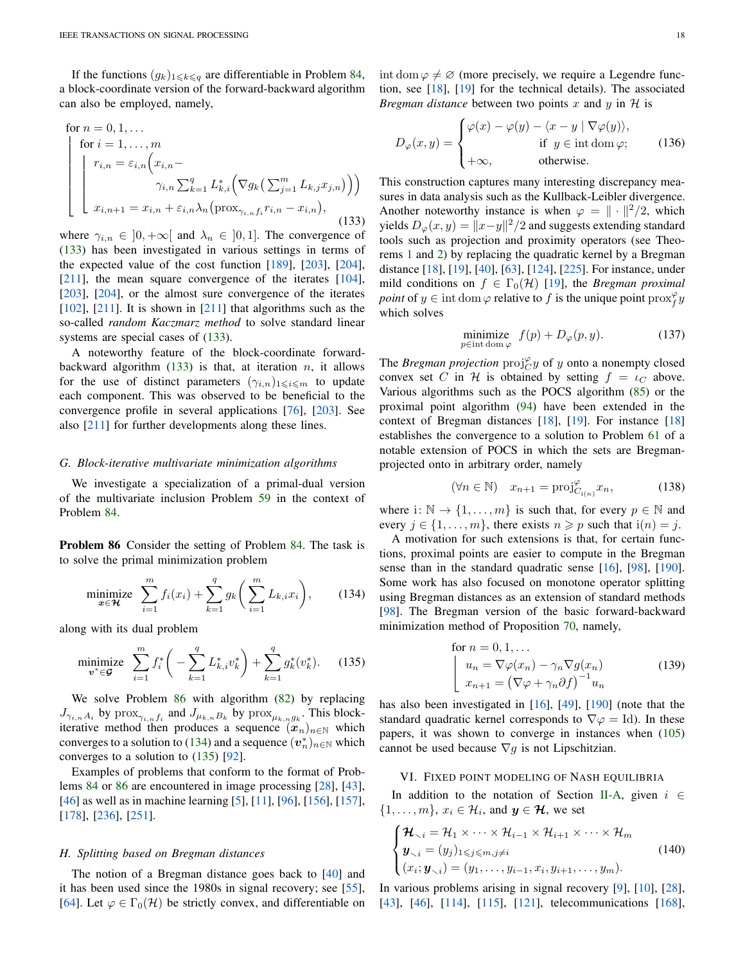If the functions  $(g_k)_{1\leq k\leq q}$  are differentiable in Problem [84,](#page-16-0) a block-coordinate version of the forward-backward algorithm can also be employed, namely,

<span id="page-17-2"></span>for 
$$
n = 0, 1, ...
$$
  
\nfor  $i = 1, ..., m$   
\n
$$
\begin{bmatrix}\nr_{i,n} = \varepsilon_{i,n} \left( x_{i,n} - \frac{\gamma_{i,n} \sum_{k=1}^{q} L_{k,i}^{*} \left( \nabla g_k \left( \sum_{j=1}^{m} L_{k,j} x_{j,n} \right) \right) \right)}{\gamma_{i,n} \sum_{k=1}^{q} L_{k,i}^{*} \left( \nabla g_k \left( \sum_{j=1}^{m} L_{k,j} x_{j,n} \right) \right)}\n\end{bmatrix}
$$
\n
$$
x_{i,n+1} = x_{i,n} + \varepsilon_{i,n} \lambda_n \left( \text{prox}_{\gamma_{i,n} f_i} r_{i,n} - x_{i,n} \right),
$$
\n(133)

where  $\gamma_{i,n} \in [0, +\infty]$  and  $\lambda_n \in [0, 1]$ . The convergence of [\(133\)](#page-17-2) has been investigated in various settings in terms of the expected value of the cost function  $[189]$ ,  $[203]$ ,  $[204]$ , [\[211\]](#page-27-40), the mean square convergence of the iterates [\[104\]](#page-25-18), [\[203\]](#page-27-38), [\[204\]](#page-27-39), or the almost sure convergence of the iterates  $[102]$ ,  $[211]$ . It is shown in  $[211]$  that algorithms such as the so-called *random Kaczmarz method* to solve standard linear systems are special cases of  $(133)$ .

A noteworthy feature of the block-coordinate forwardbackward algorithm  $(133)$  is that, at iteration *n*, it allows for the use of distinct parameters  $(\gamma_{i,n})_{1\leqslant i\leqslant m}$  to update each component. This was observed to be beneficial to the convergence profile in several applications [\[76\]](#page-25-38), [\[203\]](#page-27-38). See also [\[211\]](#page-27-40) for further developments along these lines.

#### *G. Block-iterative multivariate minimization algorithms*

<span id="page-17-1"></span>We investigate a specialization of a primal-dual version of the multivariate inclusion Problem [59](#page-10-2) in the context of Problem [84.](#page-16-0)

Problem 86 Consider the setting of Problem [84.](#page-16-0) The task is to solve the primal minimization problem

<span id="page-17-4"></span>
$$
\underset{\boldsymbol{x}\in\boldsymbol{\mathcal{H}}}{\text{minimize}} \quad \sum_{i=1}^{m} f_i(x_i) + \sum_{k=1}^{q} g_k\bigg(\sum_{i=1}^{m} L_{k,i} x_i\bigg),\tag{134}
$$

along with its dual problem

$$
\underset{\mathbf{v}^* \in \mathcal{G}}{\text{minimize}} \quad \sum_{i=1}^m f_i^* \bigg( -\sum_{k=1}^q L_{k,i}^* v_k^* \bigg) + \sum_{k=1}^q g_k^*(v_k^*). \tag{135}
$$

We solve Problem [86](#page-17-1) with algorithm [\(82\)](#page-11-6) by replacing  $J_{\gamma_{i,n}A_i}$  by  $\text{prox}_{\gamma_{i,n}f_i}$  and  $J_{\mu_{k,n}B_k}$  by  $\text{prox}_{\mu_{k,n}g_k}$ . This blockiterative method then produces a sequence  $(x_n)_{n\in\mathbb{N}}$  which converges to a solution to [\(134\)](#page-17-3) and a sequence  $(v_n^*)_{n \in \mathbb{N}}$  which converges to a solution to [\(135\)](#page-17-4) [\[92\]](#page-25-24).

Examples of problems that conform to the format of Problems [84](#page-16-0) or [86](#page-17-1) are encountered in image processing [\[28\]](#page-24-35), [\[43\]](#page-24-36), [\[46\]](#page-24-37) as well as in machine learning [\[5\]](#page-23-6), [\[11\]](#page-23-1), [\[96\]](#page-25-11), [\[156\]](#page-26-50), [\[157\]](#page-26-51), [\[178\]](#page-26-11), [\[236\]](#page-27-41), [\[251\]](#page-28-7).

#### *H. Splitting based on Bregman distances*

The notion of a Bregman distance goes back to [\[40\]](#page-24-38) and it has been used since the 1980s in signal recovery; see [\[55\]](#page-24-39), [\[64\]](#page-24-40). Let  $\varphi \in \Gamma_0(\mathcal{H})$  be strictly convex, and differentiable on int dom  $\varphi \neq \varnothing$  (more precisely, we require a Legendre function, see [\[18\]](#page-23-15), [\[19\]](#page-23-16) for the technical details). The associated *Bregman distance* between two points  $x$  and  $y$  in  $H$  is

$$
D_{\varphi}(x,y) = \begin{cases} \varphi(x) - \varphi(y) - \langle x - y | \nabla \varphi(y) \rangle, \\ \text{if } y \in \text{int dom } \varphi; \\ +\infty, \end{cases}
$$
 (136)

This construction captures many interesting discrepancy measures in data analysis such as the Kullback-Leibler divergence. Another noteworthy instance is when  $\varphi = \| \cdot \|^2 / 2$ , which yields  $D_{\varphi}(x, y) = ||x - y||^2 / 2$  and suggests extending standard tools such as projection and proximity operators (see Theorems [1](#page-1-4) and [2\)](#page-1-3) by replacing the quadratic kernel by a Bregman distance [\[18\]](#page-23-15), [\[19\]](#page-23-16), [\[40\]](#page-24-38), [\[63\]](#page-24-41), [\[124\]](#page-25-39), [\[225\]](#page-27-42). For instance, under mild conditions on  $f \in \Gamma_0(\mathcal{H})$  [\[19\]](#page-23-16), the *Bregman proximal point* of  $y \in \text{int dom } \varphi$  relative to f is the unique point  $\text{prox}_{f}^{\varphi} y$ which solves

$$
\underset{p \in \text{int dom }\varphi}{\text{minimize}} \ f(p) + D_{\varphi}(p, y). \tag{137}
$$

The *Bregman projection*  $proj_C^{\varphi} y$  of y onto a nonempty closed convex set C in H is obtained by setting  $f = \iota_C$  above. Various algorithms such as the POCS algorithm [\(85\)](#page-11-3) or the proximal point algorithm [\(94\)](#page-12-4) have been extended in the context of Bregman distances [\[18\]](#page-23-15), [\[19\]](#page-23-16). For instance [\[18\]](#page-23-15) establishes the convergence to a solution to Problem [61](#page-11-1) of a notable extension of POCS in which the sets are Bregmanprojected onto in arbitrary order, namely

$$
(\forall n \in \mathbb{N}) \quad x_{n+1} = \text{proj}_{C_{i(n)}}^{\varphi} x_n,\tag{138}
$$

where i:  $\mathbb{N} \to \{1, \ldots, m\}$  is such that, for every  $p \in \mathbb{N}$  and every  $j \in \{1, \ldots, m\}$ , there exists  $n \geq p$  such that  $i(n) = j$ .

<span id="page-17-3"></span>A motivation for such extensions is that, for certain functions, proximal points are easier to compute in the Bregman sense than in the standard quadratic sense [\[16\]](#page-23-17), [\[98\]](#page-25-40), [\[190\]](#page-27-43). Some work has also focused on monotone operator splitting using Bregman distances as an extension of standard methods [\[98\]](#page-25-40). The Bregman version of the basic forward-backward minimization method of Proposition [70,](#page-13-5) namely,

for 
$$
n = 0, 1, ...
$$
  
\n
$$
\begin{cases}\n u_n = \nabla \varphi(x_n) - \gamma_n \nabla g(x_n) \\
 x_{n+1} = (\nabla \varphi + \gamma_n \partial f)^{-1} u_n\n\end{cases}
$$
\n(139)

has also been investigated in [\[16\]](#page-23-17), [\[49\]](#page-24-42), [\[190\]](#page-27-43) (note that the standard quadratic kernel corresponds to  $\nabla \varphi = Id$ ). In these papers, it was shown to converge in instances when [\(105\)](#page-13-4) cannot be used because  $\nabla g$  is not Lipschitzian.

## <span id="page-17-0"></span>VI. FIXED POINT MODELING OF NASH EQUILIBRIA

In addition to the notation of Section [II-A,](#page-1-10) given  $i \in$  $\{1, \ldots, m\}, x_i \in \mathcal{H}_i$ , and  $\mathbf{y} \in \mathbf{\mathcal{H}}$ , we set

$$
\begin{cases} \mathcal{H}_{\backsim i} = \mathcal{H}_1 \times \cdots \times \mathcal{H}_{i-1} \times \mathcal{H}_{i+1} \times \cdots \times \mathcal{H}_m \\ y_{\backsim i} = (y_j)_{1 \leqslant j \leqslant m, j \neq i} \\ (x_i; \mathbf{y}_{\backsim i}) = (y_1, \ldots, y_{i-1}, x_i, y_{i+1}, \ldots, y_m). \end{cases} \tag{140}
$$

In various problems arising in signal recovery [\[9\]](#page-23-18), [\[10\]](#page-23-19), [\[28\]](#page-24-35), [\[43\]](#page-24-36), [\[46\]](#page-24-37), [\[114\]](#page-25-41), [\[115\]](#page-25-42), [\[121\]](#page-25-43), telecommunications [\[168\]](#page-26-52),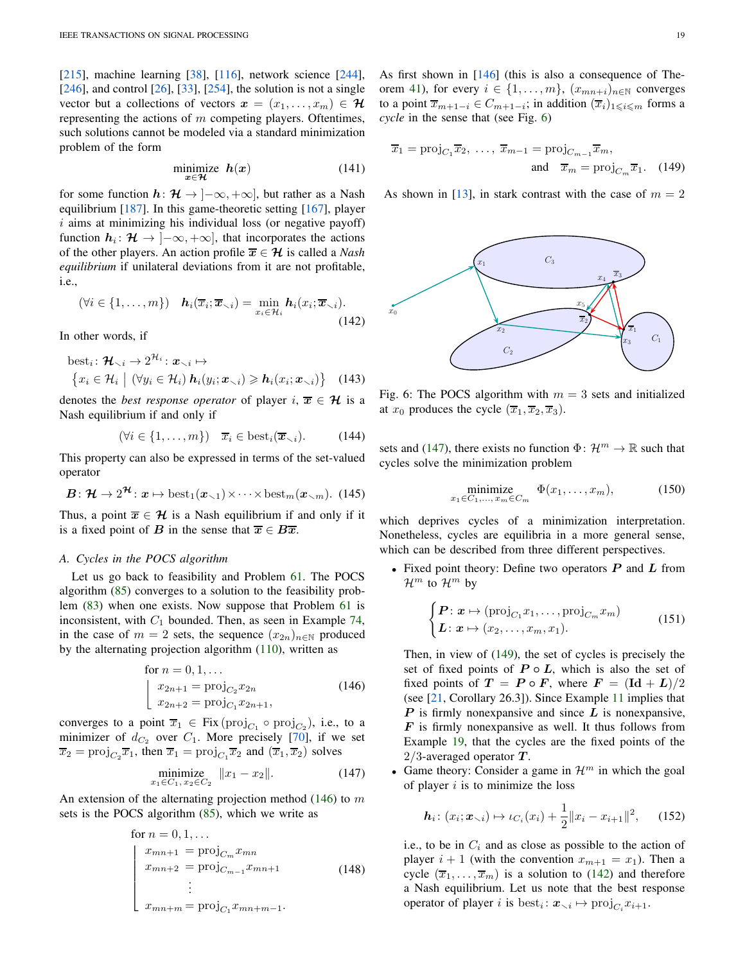[\[215\]](#page-27-44), machine learning [\[38\]](#page-24-43), [\[116\]](#page-25-44), network science [\[244\]](#page-28-8),  $[246]$ , and control  $[26]$ ,  $[33]$ ,  $[254]$ , the solution is not a single vector but a collections of vectors  $x = (x_1, \ldots, x_m) \in \mathcal{H}$ representing the actions of  $m$  competing players. Oftentimes, such solutions cannot be modeled via a standard minimization problem of the form

$$
\underset{x \in \mathcal{H}}{\text{minimize}} \quad \mathbf{h}(x) \tag{141}
$$

for some function  $h: \mathcal{H} \to [-\infty, +\infty]$ , but rather as a Nash equilibrium [\[187\]](#page-27-45). In this game-theoretic setting [\[167\]](#page-26-53), player  $i$  aims at minimizing his individual loss (or negative payoff) function  $h_i: \mathcal{H} \to ]-\infty, +\infty]$ , that incorporates the actions of the other players. An action profile  $\overline{x} \in \mathcal{H}$  is called a *Nash equilibrium* if unilateral deviations from it are not profitable, i.e.,

<span id="page-18-4"></span>
$$
(\forall i \in \{1,\ldots,m\}) \quad \mathbf{h}_i(\overline{x}_i; \overline{x}_{\smallsetminus i}) = \min_{x_i \in \mathcal{H}_i} \mathbf{h}_i(x_i; \overline{x}_{\smallsetminus i}).
$$
\n(142)

In other words, if

best<sub>i</sub>: 
$$
\mathcal{H}_{\setminus i} \to 2^{\mathcal{H}_i}: \mathbf{x}_{\setminus i} \mapsto
$$
  
\n
$$
\{x_i \in \mathcal{H}_i \mid (\forall y_i \in \mathcal{H}_i) \mathbf{h}_i(y_i; \mathbf{x}_{\setminus i}) \geqslant \mathbf{h}_i(x_i; \mathbf{x}_{\setminus i})\} \quad (143)
$$

denotes the *best response operator* of player  $i, \overline{x} \in \mathcal{H}$  is a Nash equilibrium if and only if

$$
(\forall i \in \{1, \ldots, m\}) \quad \overline{x}_i \in \text{best}_i(\overline{x}_{\smallsetminus i}).\tag{144}
$$

This property can also be expressed in terms of the set-valued operator

$$
\boldsymbol{B} : \boldsymbol{\mathcal{H}} \to 2^{\boldsymbol{\mathcal{H}}} : \boldsymbol{x} \mapsto \text{best}_1(\boldsymbol{x}_{\setminus 1}) \times \cdots \times \text{best}_m(\boldsymbol{x}_{\setminus m}). \tag{145}
$$

Thus, a point  $\overline{x} \in \mathcal{H}$  is a Nash equilibrium if and only if it is a fixed point of B in the sense that  $\overline{x} \in B\overline{x}$ .

# <span id="page-18-6"></span>*A. Cycles in the POCS algorithm*

Let us go back to feasibility and Problem [61.](#page-11-1) The POCS algorithm [\(85\)](#page-11-3) converges to a solution to the feasibility problem [\(83\)](#page-11-2) when one exists. Now suppose that Problem [61](#page-11-1) is inconsistent, with  $C_1$  bounded. Then, as seen in Example [74,](#page-14-10) in the case of  $m = 2$  sets, the sequence  $(x_{2n})_{n \in \mathbb{N}}$  produced by the alternating projection algorithm [\(110\)](#page-14-1), written as

for 
$$
n = 0, 1, ...
$$
  
\n
$$
\begin{cases}\nx_{2n+1} = \text{proj}_{C_2} x_{2n} \\
x_{2n+2} = \text{proj}_{C_1} x_{2n+1},\n\end{cases}
$$
\n(146)

converges to a point  $\overline{x}_1 \in \text{Fix}(\text{proj}_{C_1} \circ \text{proj}_{C_2})$ , i.e., to a minimizer of  $d_{C_2}$  over  $C_1$ . More precisely [\[70\]](#page-24-27), if we set  $\overline{x}_2 = \text{proj}_{C_2} \overline{x}_1$ , then  $\overline{x}_1 = \text{proj}_{C_1} \overline{x}_2$  and  $(\overline{x}_1, \overline{x}_2)$  solves

$$
\underset{x_1 \in C_1, x_2 \in C_2}{\text{minimize}} \|x_1 - x_2\|.\tag{147}
$$

An extension of the alternating projection method  $(146)$  to m sets is the POCS algorithm [\(85\)](#page-11-3), which we write as

for 
$$
n = 0, 1, ...
$$
  
\n
$$
\begin{cases}\nx_{mn+1} = \text{proj}_{C_m} x_{mn} \\
x_{mn+2} = \text{proj}_{C_{m-1}} x_{mn+1} \\
\vdots \\
x_{mn+m} = \text{proj}_{C_1} x_{mn+m-1}.\n\end{cases}
$$
\n(148)

As first shown in [\[146\]](#page-26-54) (this is also a consequence of The-orem [41\)](#page-6-9), for every  $i \in \{1, \ldots, m\}$ ,  $(x_{mn+i})_{n \in \mathbb{N}}$  converges to a point  $\overline{x}_{m+1-i} \in C_{m+1-i}$ ; in addition  $(\overline{x}_i)_{1 \leq i \leq m}$  forms a *cycle* in the sense that (see Fig. [6\)](#page-18-1)

<span id="page-18-3"></span>
$$
\overline{x}_1 = \text{proj}_{C_1} \overline{x}_2, \dots, \overline{x}_{m-1} = \text{proj}_{C_{m-1}} \overline{x}_m,
$$
  
and  $\overline{x}_m = \text{proj}_{C_m} \overline{x}_1.$  (149)

<span id="page-18-1"></span>As shown in [\[13\]](#page-23-20), in stark contrast with the case of  $m = 2$ 



Fig. 6: The POCS algorithm with  $m = 3$  sets and initialized at  $x_0$  produces the cycle  $(\overline{x}_1, \overline{x}_2, \overline{x}_3)$ .

sets and [\(147\)](#page-18-2), there exists no function  $\Phi \colon \mathcal{H}^m \to \mathbb{R}$  such that cycles solve the minimization problem

$$
\underset{x_1 \in C_1, \dots, x_m \in C_m}{\text{minimize}} \Phi(x_1, \dots, x_m), \tag{150}
$$

which deprives cycles of a minimization interpretation. Nonetheless, cycles are equilibria in a more general sense, which can be described from three different perspectives.

• Fixed point theory: Define two operators  $P$  and  $L$  from  $\mathcal{H}^m$  to  $\mathcal{H}^m$  by

$$
\begin{cases}\nP: x \mapsto (\text{proj}_{C_1} x_1, \dots, \text{proj}_{C_m} x_m) \\
L: x \mapsto (x_2, \dots, x_m, x_1).\n\end{cases} \tag{151}
$$

<span id="page-18-0"></span>Then, in view of [\(149\)](#page-18-3), the set of cycles is precisely the set of fixed points of  $P \circ L$ , which is also the set of fixed points of  $T = P \circ F$ , where  $F = (\text{Id} + L)/2$ (see [\[21,](#page-23-4) Corollary 26.3]). Since Example [11](#page-3-10) implies that  $P$  is firmly nonexpansive and since  $L$  is nonexpansive,  $\bf{F}$  is firmly nonexpansive as well. It thus follows from Example [19,](#page-3-8) that the cycles are the fixed points of the  $2/3$ -averaged operator  $T$ .

<span id="page-18-2"></span>Game theory: Consider a game in  $\mathcal{H}^m$  in which the goal of player  $i$  is to minimize the loss

<span id="page-18-5"></span>
$$
\boldsymbol{h}_i \colon (x_i; \boldsymbol{x}_{\smallsetminus i}) \mapsto \iota_{C_i}(x_i) + \frac{1}{2} \|x_i - x_{i+1}\|^2, \qquad (152)
$$

i.e., to be in  $C_i$  and as close as possible to the action of player  $i + 1$  (with the convention  $x_{m+1} = x_1$ ). Then a cycle  $(\overline{x}_1, \ldots, \overline{x}_m)$  is a solution to [\(142\)](#page-18-4) and therefore a Nash equilibrium. Let us note that the best response operator of player *i* is  $best_i: \mathbf{x}_{\setminus i} \mapsto \text{proj}_{C_i} x_{i+1}.$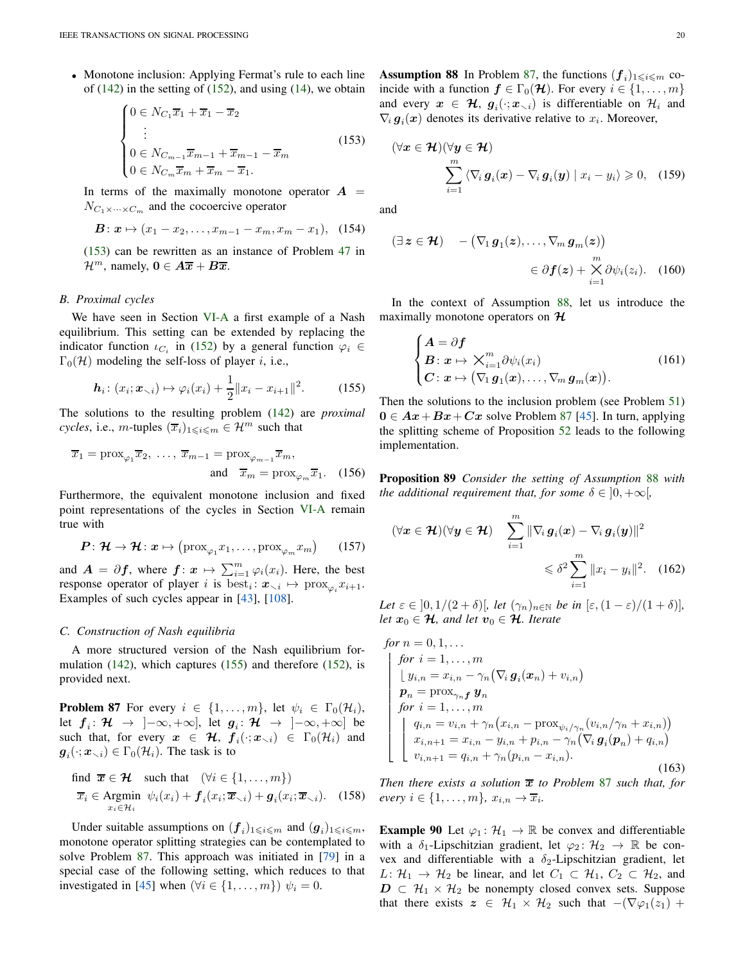• Monotone inclusion: Applying Fermat's rule to each line of  $(142)$  in the setting of  $(152)$ , and using  $(14)$ , we obtain

$$
\begin{cases}\n0 \in N_{C_1}\overline{x}_1 + \overline{x}_1 - \overline{x}_2 \\
\vdots \\
0 \in N_{C_{m-1}}\overline{x}_{m-1} + \overline{x}_{m-1} - \overline{x}_m \\
0 \in N_{C_m}\overline{x}_m + \overline{x}_m - \overline{x}_1.\n\end{cases} (153)
$$

In terms of the maximally monotone operator  $A =$  $N_{C_1 \times \cdots \times C_m}$  and the cocoercive operator

$$
\mathbf{B}: \mathbf{x} \mapsto (x_1 - x_2, \dots, x_{m-1} - x_m, x_m - x_1), \quad (154)
$$

[\(153\)](#page-19-0) can be rewritten as an instance of Problem [47](#page-7-2) in  $\mathcal{H}^m$ , namely,  $\mathbf{0} \in \overline{A\overline{x}} + \overline{B\overline{x}}$ .

# <span id="page-19-7"></span>*B. Proximal cycles*

We have seen in Section [VI-A](#page-18-6) a first example of a Nash equilibrium. This setting can be extended by replacing the indicator function  $\iota_{C_i}$  in [\(152\)](#page-18-5) by a general function  $\varphi_i \in$  $\Gamma_0(\mathcal{H})$  modeling the self-loss of player *i*, i.e.,

$$
\boldsymbol{h}_i \colon (x_i; \boldsymbol{x}_{\setminus i}) \mapsto \varphi_i(x_i) + \frac{1}{2} \|x_i - x_{i+1}\|^2. \tag{155}
$$

The solutions to the resulting problem [\(142\)](#page-18-4) are *proximal cycles*, i.e., *m*-tuples  $(\overline{x}_i)_{1\leq i\leq m} \in \mathcal{H}^m$  such that

$$
\overline{x}_1 = \text{prox}_{\varphi_1} \overline{x}_2, \dots, \overline{x}_{m-1} = \text{prox}_{\varphi_{m-1}} \overline{x}_m,
$$
  
and  $\overline{x}_m = \text{prox}_{\varphi_m} \overline{x}_1.$  (156)

Furthermore, the equivalent monotone inclusion and fixed point representations of the cycles in Section [VI-A](#page-18-6) remain true with

$$
\boldsymbol{P} \colon \boldsymbol{\mathcal{H}} \to \boldsymbol{\mathcal{H}} \colon \boldsymbol{x} \mapsto \left(\text{prox}_{\varphi_1} x_1, \dots, \text{prox}_{\varphi_m} x_m\right) \qquad (157)
$$

and  $A = \partial f$ , where  $f: \mathbf{x} \mapsto \sum_{i=1}^{m} \varphi_i(x_i)$ . Here, the best response operator of player i is  $\text{best}_i : \mathbf{x}_{\setminus i} \mapsto \text{prox}_{\varphi_i} x_{i+1}.$ Examples of such cycles appear in [\[43\]](#page-24-36), [\[108\]](#page-25-3).

#### *C. Construction of Nash equilibria*

A more structured version of the Nash equilibrium formulation [\(142\)](#page-18-4), which captures [\(155\)](#page-19-1) and therefore [\(152\)](#page-18-5), is provided next.

<span id="page-19-2"></span>**Problem 87** For every  $i \in \{1, \ldots, m\}$ , let  $\psi_i \in \Gamma_0(\mathcal{H}_i)$ , let  $f_i: \mathcal{H} \rightarrow ]-\infty, +\infty]$ , let  $g_i: \mathcal{H} \rightarrow ]-\infty, +\infty]$  be such that, for every  $x \in \mathcal{H}$ ,  $f_i(\cdot; x_{\setminus i}) \in \Gamma_0(\mathcal{H}_i)$  and  $g_i(\cdot; \mathbf{x}_{\setminus i}) \in \Gamma_0(\mathcal{H}_i)$ . The task is to

find 
$$
\overline{x} \in \mathcal{H}
$$
 such that  $(\forall i \in \{1, ..., m\})$   
\n $\overline{x}_i \in \text{Argmin } \psi_i(x_i) + f_i(x_i; \overline{x}_{\setminus i}) + g_i(x_i; \overline{x}_{\setminus i}).$  (158)

<span id="page-19-3"></span>Under suitable assumptions on  $(f_i)_{1 \leqslant i \leqslant m}$  and  $(g_i)_{1 \leqslant i \leqslant m}$ , monotone operator splitting strategies can be contemplated to solve Problem [87.](#page-19-2) This approach was initiated in [\[79\]](#page-25-45) in a special case of the following setting, which reduces to that investigated in [\[45\]](#page-24-46) when  $(\forall i \in \{1, ..., m\}) \psi_i = 0$ .

<span id="page-19-0"></span>**Assumption 88** In Problem [87,](#page-19-2) the functions  $(f_i)_{1 \leq i \leq m}$  coincide with a function  $f \in \Gamma_0(\mathcal{H})$ . For every  $i \in \{1, \ldots, m\}$ and every  $x \in \mathcal{H}$ ,  $g_i(\cdot; x_{\setminus i})$  is differentiable on  $\mathcal{H}_i$  and  $\nabla_i \mathbf{g}_i(\mathbf{x})$  denotes its derivative relative to  $x_i$ . Moreover,

$$
(\forall x \in \mathcal{H})(\forall y \in \mathcal{H})
$$

$$
\sum_{i=1}^{m} \langle \nabla_i g_i(x) - \nabla_i g_i(y) | x_i - y_i \rangle \geq 0, \quad (159)
$$

and

$$
(\exists z \in \mathcal{H}) \quad -(\nabla_1 g_1(z), \dots, \nabla_m g_m(z))
$$

$$
\in \partial f(z) + \underset{i=1}{\overset{m}{\times}} \partial \psi_i(z_i). \quad (160)
$$

In the context of Assumption [88,](#page-19-3) let us introduce the maximally monotone operators on  $H$ 

<span id="page-19-6"></span>
$$
\begin{cases}\nA = \partial f \\
B \colon x \mapsto \bigvee_{i=1}^{m} \partial \psi_i(x_i) \\
C \colon x \mapsto (\nabla_1 g_1(x), \dots, \nabla_m g_m(x)).\n\end{cases}
$$
\n(161)

<span id="page-19-1"></span>Then the solutions to the inclusion problem (see Problem [51\)](#page-8-2)  $0 \in Ax + Bx + Cx$  solve Problem [87](#page-19-2) [\[45\]](#page-24-46). In turn, applying the splitting scheme of Proposition [52](#page-8-8) leads to the following implementation.

Proposition 89 *Consider the setting of Assumption* [88](#page-19-3) *with the additional requirement that, for some*  $\delta \in [0, +\infty]$ *,* 

<span id="page-19-4"></span>
$$
(\forall x \in \mathcal{H})(\forall y \in \mathcal{H}) \quad \sum_{i=1}^{m} \|\nabla_i g_i(x) - \nabla_i g_i(y)\|^2
$$

$$
\leq \delta^2 \sum_{i=1}^{m} \|x_i - y_i\|^2. \quad (162)
$$

Let  $\varepsilon \in (0, 1/(2+\delta))$ *, let*  $(\gamma_n)_{n \in \mathbb{N}}$  *be in*  $|\varepsilon, (1-\varepsilon)/(1+\delta)|$ *, let*  $x_0 \in \mathcal{H}$ *, and let*  $v_0 \in \mathcal{H}$ *. Iterate* 

<span id="page-19-5"></span>for 
$$
n = 0, 1, ...
$$
  
\nfor  $i = 1, ..., m$   
\n
$$
\begin{cases}\n\int y_{i,n} = x_{i,n} - \gamma_n (\nabla_i \mathbf{g}_i(\mathbf{x}_n) + v_{i,n}) \\
\mathbf{p}_n = \text{prox}_{\gamma_n f} \mathbf{y}_n \\
\text{for } i = 1, ..., m \\
\begin{cases}\nq_{i,n} = v_{i,n} + \gamma_n (x_{i,n} - \text{prox}_{\psi_i/\gamma_n} (v_{i,n}/\gamma_n + x_{i,n})) \\
x_{i,n+1} = x_{i,n} - y_{i,n} + p_{i,n} - \gamma_n (\nabla_i \mathbf{g}_i(\mathbf{p}_n) + q_{i,n}) \\
v_{i,n+1} = q_{i,n} + \gamma_n (p_{i,n} - x_{i,n}).\n\end{cases}
$$
\n(163)

*Then there exists a solution*  $\overline{x}$  *to Problem* [87](#page-19-2) *such that, for*  $every \ i \in \{1, \ldots, m\}, \ x_{i,n} \to \overline{x}_i.$ 

<span id="page-19-8"></span>**Example 90** Let  $\varphi_1: \mathcal{H}_1 \to \mathbb{R}$  be convex and differentiable with a  $\delta_1$ -Lipschitzian gradient, let  $\varphi_2: \mathcal{H}_2 \to \mathbb{R}$  be convex and differentiable with a  $\delta_2$ -Lipschitzian gradient, let  $L: \mathcal{H}_1 \to \mathcal{H}_2$  be linear, and let  $C_1 \subset \mathcal{H}_1$ ,  $C_2 \subset \mathcal{H}_2$ , and  $D \subset \mathcal{H}_1 \times \mathcal{H}_2$  be nonempty closed convex sets. Suppose that there exists  $z \in \mathcal{H}_1 \times \mathcal{H}_2$  such that  $-(\nabla \varphi_1(z_1))$  +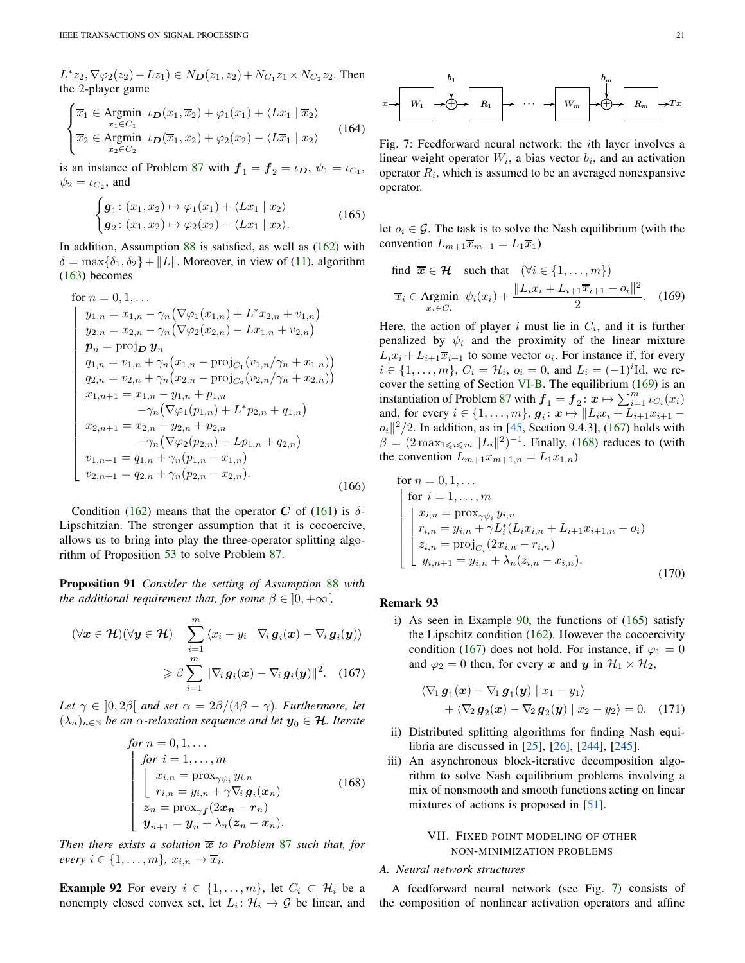$L^*z_2, \nabla \varphi_2(z_2) - Lz_1) \in N_{\mathbf{D}}(z_1, z_2) + N_{C_1}z_1 \times N_{C_2}z_2$ . Then the 2-player game

$$
\begin{cases}\n\overline{x}_1 \in \text{Argmin} \quad \iota_D(x_1, \overline{x}_2) + \varphi_1(x_1) + \langle Lx_1 | \overline{x}_2 \rangle \\
\overline{x}_2 \in \text{Argmin} \quad \iota_D(\overline{x}_1, x_2) + \varphi_2(x_2) - \langle L\overline{x}_1 | x_2 \rangle\n\end{cases} (164)
$$

is an instance of Problem [87](#page-19-2) with  $f_1 = f_2 = \iota_D$ ,  $\psi_1 = \iota_{C_1}$ ,  $\psi_2 = \iota_{C_2}$ , and

<span id="page-20-4"></span>
$$
\begin{cases}\n\boldsymbol{g}_1\colon(x_1,x_2)\mapsto\varphi_1(x_1)+\langle Lx_1\mid x_2\rangle \\
\boldsymbol{g}_2\colon(x_1,x_2)\mapsto\varphi_2(x_2)-\langle Lx_1\mid x_2\rangle.\n\end{cases}\n\tag{165}
$$

In addition, Assumption [88](#page-19-3) is satisfied, as well as [\(162\)](#page-19-4) with  $\delta = \max{\{\delta_1, \delta_2\}} + ||L||$ . Moreover, in view of [\(11\)](#page-1-8), algorithm [\(163\)](#page-19-5) becomes

for 
$$
n = 0, 1, ...
$$
  
\n
$$
\begin{cases}\ny_{1,n} = x_{1,n} - \gamma_n (\nabla \varphi_1(x_{1,n}) + L^* x_{2,n} + v_{1,n}) \\
y_{2,n} = x_{2,n} - \gamma_n (\nabla \varphi_2(x_{2,n}) - L x_{1,n} + v_{2,n}) \\
p_n = \text{proj}_D \mathbf{y}_n \\
q_{1,n} = v_{1,n} + \gamma_n (x_{1,n} - \text{proj}_{C_1}(v_{1,n}/\gamma_n + x_{1,n})) \\
q_{2,n} = v_{2,n} + \gamma_n (x_{2,n} - \text{proj}_{C_2}(v_{2,n}/\gamma_n + x_{2,n})) \\
x_{1,n+1} = x_{1,n} - y_{1,n} + p_{1,n} \\
-\gamma_n (\nabla \varphi_1(p_{1,n}) + L^* p_{2,n} + q_{1,n}) \\
x_{2,n+1} = x_{2,n} - y_{2,n} + p_{2,n} \\
-\gamma_n (\nabla \varphi_2(p_{2,n}) - L p_{1,n} + q_{2,n}) \\
v_{1,n+1} = q_{1,n} + \gamma_n (p_{1,n} - x_{1,n}) \\
v_{2,n+1} = q_{2,n} + \gamma_n (p_{2,n} - x_{2,n}).\n\end{cases}
$$
\n(166)

Condition [\(162\)](#page-19-4) means that the operator C of [\(161\)](#page-19-6) is  $\delta$ -Lipschitzian. The stronger assumption that it is cocoercive, allows us to bring into play the three-operator splitting algorithm of Proposition [53](#page-8-3) to solve Problem [87.](#page-19-2)

Proposition 91 *Consider the setting of Assumption* [88](#page-19-3) *with the additional requirement that, for some*  $\beta \in (0, +\infty)$ *,* 

$$
(\forall \boldsymbol{x} \in \mathcal{H})(\forall \boldsymbol{y} \in \mathcal{H}) \sum_{i=1}^{m} \langle x_i - y_i | \nabla_i \boldsymbol{g}_i(\boldsymbol{x}) - \nabla_i \boldsymbol{g}_i(\boldsymbol{y}) \rangle
$$

$$
\geq \beta \sum_{i=1}^{m} || \nabla_i \boldsymbol{g}_i(\boldsymbol{x}) - \nabla_i \boldsymbol{g}_i(\boldsymbol{y}) ||^2. \quad (167)
$$

*Let*  $\gamma \in [0, 2\beta]$  *and set*  $\alpha = 2\beta/(4\beta - \gamma)$ *. Furthermore, let*  $(\lambda_n)_{n\in\mathbb{N}}$  *be an*  $\alpha$ -relaxation sequence and let  $y_0 \in \mathcal{H}$ . Iterate

for 
$$
n = 0, 1, ...
$$
  
\nfor  $i = 1, ..., m$   
\n
$$
\begin{cases}\nx_{i,n} = \text{prox}_{\gamma \psi_i} y_{i,n} \\
r_{i,n} = y_{i,n} + \gamma \nabla_i g_i(x_n) \\
z_n = \text{prox}_{\gamma f}(2x_n - r_n) \\
y_{n+1} = y_n + \lambda_n (z_n - x_n).\n\end{cases}
$$
\n(168)

*Then there exists a solution*  $\overline{x}$  *to Problem [87](#page-19-2) such that, for*  $every \ i \in \{1, \ldots, m\}, \ x_{i,n} \to \overline{x}_i.$ 

**Example 92** For every  $i \in \{1, \ldots, m\}$ , let  $C_i \subset \mathcal{H}_i$  be a nonempty closed convex set, let  $L_i: \mathcal{H}_i \to \mathcal{G}$  be linear, and

<span id="page-20-5"></span>

Fig. 7: Feedforward neural network: the ith layer involves a linear weight operator  $W_i$ , a bias vector  $b_i$ , and an activation operator  $R_i$ , which is assumed to be an averaged nonexpansive operator.

let  $o_i \in \mathcal{G}$ . The task is to solve the Nash equilibrium (with the convention  $L_{m+1}\overline{x}_{m+1} = L_1\overline{x}_1$ 

<span id="page-20-1"></span>find 
$$
\overline{x} \in \mathcal{H}
$$
 such that  $(\forall i \in \{1, ..., m\})$   
\n $\overline{x}_i \in \text{Argmin } \psi_i(x_i) + \frac{\|L_i x_i + L_{i+1} \overline{x}_{i+1} - o_i\|^2}{2}.$  (169)

Here, the action of player i must lie in  $C_i$ , and it is further penalized by  $\psi_i$  and the proximity of the linear mixture  $L_i x_i + L_{i+1} \overline{x}_{i+1}$  to some vector  $o_i$ . For instance if, for every  $i \in \{1, ..., m\}, C_i = \mathcal{H}_i, o_i = 0$ , and  $L_i = (-1)^i \text{Id}$ , we recover the setting of Section [VI-B.](#page-19-7) The equilibrium [\(169\)](#page-20-1) is an instantiation of Problem [87](#page-19-2) with  $f_1 = f_2: \mathbf{x} \mapsto \sum_{i=1}^m \iota_{C_i}(x_i)$ and, for every  $i \in \{1, ..., m\}$ ,  $g_i: \mathbf{x} \mapsto ||L_i x_i + L_{i+1} x_{i+1}$  $o_i||^2/2$ . In addition, as in [\[45,](#page-24-46) Section 9.4.3], [\(167\)](#page-20-2) holds with  $\beta = (2 \max_{1 \leq i \leq m} ||L_i||^2)^{-1}$ . Finally, [\(168\)](#page-20-3) reduces to (with the convention  $L_{m+1}x_{m+1,n} = L_1x_{1,n}$ 

for 
$$
n = 0, 1, ...
$$
  
\nfor  $i = 1, ..., m$   
\n
$$
\begin{cases}\nx_{i,n} = \text{prox}_{\gamma \psi_i} y_{i,n} \\
r_{i,n} = y_{i,n} + \gamma L_i^*(L_i x_{i,n} + L_{i+1} x_{i+1,n} - o_i) \\
z_{i,n} = \text{proj}_{C_i} (2x_{i,n} - r_{i,n}) \\
y_{i,n+1} = y_{i,n} + \lambda_n (z_{i,n} - x_{i,n}).\n\end{cases}
$$
\n(170)

# Remark 93

<span id="page-20-2"></span>i) As seen in Example [90,](#page-19-8) the functions of [\(165\)](#page-20-4) satisfy the Lipschitz condition [\(162\)](#page-19-4). However the cocoercivity condition [\(167\)](#page-20-2) does not hold. For instance, if  $\varphi_1 = 0$ and  $\varphi_2 = 0$  then, for every x and y in  $\mathcal{H}_1 \times \mathcal{H}_2$ ,

$$
\langle \nabla_1 \mathbf{g}_1(\mathbf{x}) - \nabla_1 \mathbf{g}_1(\mathbf{y}) \mid x_1 - y_1 \rangle + \langle \nabla_2 \mathbf{g}_2(\mathbf{x}) - \nabla_2 \mathbf{g}_2(\mathbf{y}) \mid x_2 - y_2 \rangle = 0.
$$
 (171)

- <span id="page-20-3"></span>ii) Distributed splitting algorithms for finding Nash equilibria are discussed in [\[25\]](#page-24-47), [\[26\]](#page-24-44), [\[244\]](#page-28-8), [\[245\]](#page-28-11).
- iii) An asynchronous block-iterative decomposition algorithm to solve Nash equilibrium problems involving a mix of nonsmooth and smooth functions acting on linear mixtures of actions is proposed in [\[51\]](#page-24-48).

## <span id="page-20-0"></span>VII. FIXED POINT MODELING OF OTHER NON-MINIMIZATION PROBLEMS

# *A. Neural network structures*

A feedforward neural network (see Fig. [7\)](#page-20-5) consists of the composition of nonlinear activation operators and affine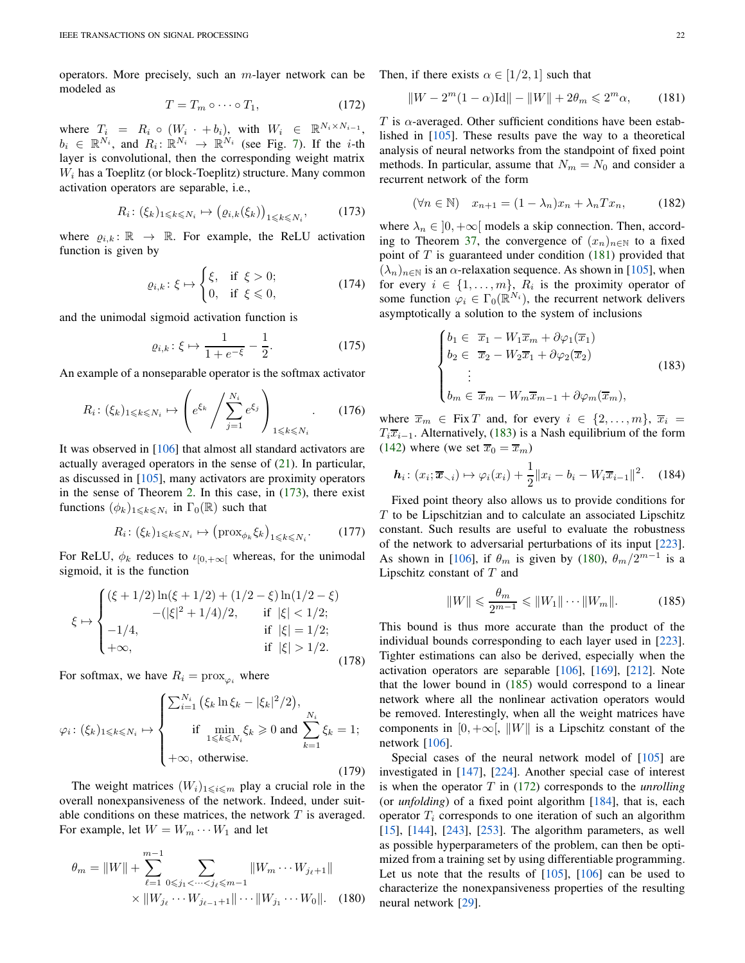operators. More precisely, such an m-layer network can be modeled as

<span id="page-21-5"></span><span id="page-21-1"></span>
$$
T = T_m \circ \cdots \circ T_1,\tag{172}
$$

where  $T_i = R_i \circ (W_i \cdot + b_i)$ , with  $W_i \in \mathbb{R}^{N_i \times N_{i-1}}$ ,  $b_i \in \mathbb{R}^{N_i}$ , and  $R_i: \mathbb{R}^{N_i} \to \mathbb{R}^{N_i}$  (see Fig. [7\)](#page-20-5). If the *i*-th layer is convolutional, then the corresponding weight matrix  $W<sub>i</sub>$  has a Toeplitz (or block-Toeplitz) structure. Many common activation operators are separable, i.e.,

$$
R_i\colon (\xi_k)_{1\leqslant k\leqslant N_i} \mapsto \big(\varrho_{i,k}(\xi_k)\big)_{1\leqslant k\leqslant N_i},\tag{173}
$$

where  $\rho_{i,k} : \mathbb{R} \to \mathbb{R}$ . For example, the ReLU activation function is given by

$$
\varrho_{i,k} : \xi \mapsto \begin{cases} \xi, & \text{if } \xi > 0; \\ 0, & \text{if } \xi \leq 0, \end{cases}
$$
 (174)

and the unimodal sigmoid activation function is

$$
\varrho_{i,k} : \xi \mapsto \frac{1}{1 + e^{-\xi}} - \frac{1}{2}.
$$
 (175)

An example of a nonseparable operator is the softmax activator

$$
R_i: (\xi_k)_{1 \leq k \leq N_i} \mapsto \left( e^{\xi_k} / \sum_{j=1}^{N_i} e^{\xi_j} \right)_{1 \leq k \leq N_i}.
$$
 (176)

It was observed in [\[106\]](#page-25-2) that almost all standard activators are actually averaged operators in the sense of  $(21)$ . In particular, as discussed in [\[105\]](#page-25-46), many activators are proximity operators in the sense of Theorem [2.](#page-1-3) In this case, in [\(173\)](#page-21-1), there exist functions  $(\phi_k)_{1 \leq k \leq N_i}$  in  $\Gamma_0(\mathbb{R})$  such that

$$
R_i \colon (\xi_k)_{1 \leq k \leq N_i} \mapsto \left(\text{prox}_{\phi_k} \xi_k\right)_{1 \leq k \leq N_i}.\tag{177}
$$

For ReLU,  $\phi_k$  reduces to  $\iota_{[0,+\infty]}$  whereas, for the unimodal sigmoid, it is the function

$$
\xi \mapsto \begin{cases}\n(\xi + 1/2) \ln(\xi + 1/2) + (1/2 - \xi) \ln(1/2 - \xi) \\
-(|\xi|^2 + 1/4)/2, & \text{if } |\xi| < 1/2; \\
-1/4, & \text{if } |\xi| = 1/2; \\
+\infty, & \text{if } |\xi| > 1/2.\n\end{cases}
$$
\n(178)

For softmax, we have  $R_i = \text{prox}_{\varphi_i}$  where

$$
\varphi_i \colon (\xi_k)_{1 \leq k \leq N_i} \mapsto \begin{cases} \sum_{i=1}^{N_i} \left( \xi_k \ln \xi_k - |\xi_k|^2 / 2 \right), \\ \text{if } \min_{1 \leq k \leq N_i} \xi_k \geq 0 \text{ and } \sum_{k=1}^{N_i} \xi_k = 1; \\ +\infty, \text{ otherwise.} \end{cases}
$$
(179)

The weight matrices  $(W_i)_{1\leq i\leq m}$  play a crucial role in the overall nonexpansiveness of the network. Indeed, under suitable conditions on these matrices, the network  $T$  is averaged. For example, let  $W = W_m \cdots W_1$  and let

$$
\theta_m = ||W|| + \sum_{\ell=1}^{m-1} \sum_{0 \le j_1 < \dots < j_\ell \le m-1} ||W_m \dots W_{j_\ell+1}||
$$
  
 
$$
\times ||W_{j_\ell} \dots W_{j_{\ell-1}+1}|| \dots ||W_{j_1} \dots W_0||. \quad (180)
$$

Then, if there exists  $\alpha \in [1/2, 1]$  such that

<span id="page-21-2"></span>
$$
||W - 2m(1 - \alpha)Id|| - ||W|| + 2\theta_m \le 2m\alpha,
$$
 (181)

T is  $\alpha$ -averaged. Other sufficient conditions have been established in [\[105\]](#page-25-46). These results pave the way to a theoretical analysis of neural networks from the standpoint of fixed point methods. In particular, assume that  $N_m = N_0$  and consider a recurrent network of the form

$$
(\forall n \in \mathbb{N}) \quad x_{n+1} = (1 - \lambda_n)x_n + \lambda_n Tx_n, \tag{182}
$$

where  $\lambda_n \in [0, +\infty]$  models a skip connection. Then, accord-ing to Theorem [37,](#page-5-8) the convergence of  $(x_n)_{n\in\mathbb{N}}$  to a fixed point of  $T$  is guaranteed under condition [\(181\)](#page-21-2) provided that  $(\lambda_n)_{n\in\mathbb{N}}$  is an  $\alpha$ -relaxation sequence. As shown in [\[105\]](#page-25-46), when for every  $i \in \{1, \ldots, m\}$ ,  $R_i$  is the proximity operator of some function  $\varphi_i \in \Gamma_0(\mathbb{R}^{N_i})$ , the recurrent network delivers asymptotically a solution to the system of inclusions

<span id="page-21-0"></span>
$$
\begin{cases}\nb_1 \in \overline{x}_1 - W_1 \overline{x}_m + \partial \varphi_1(\overline{x}_1) \\
b_2 \in \overline{x}_2 - W_2 \overline{x}_1 + \partial \varphi_2(\overline{x}_2) \\
\vdots \\
b_m \in \overline{x}_m - W_m \overline{x}_{m-1} + \partial \varphi_m(\overline{x}_m),\n\end{cases} \tag{183}
$$

where  $\overline{x}_m \in \text{Fix } T$  and, for every  $i \in \{2, ..., m\}, \overline{x}_i =$  $T_i\overline{x}_{i-1}$ . Alternatively, [\(183\)](#page-21-0) is a Nash equilibrium of the form [\(142\)](#page-18-4) where (we set  $\overline{x}_0 = \overline{x}_m$ )

$$
\boldsymbol{h}_i \colon (x_i; \overline{\boldsymbol{x}}_{\setminus i}) \mapsto \varphi_i(x_i) + \frac{1}{2} \|x_i - b_i - W_i \overline{x}_{i-1}\|^2. \tag{184}
$$

Fixed point theory also allows us to provide conditions for  $T$  to be Lipschitzian and to calculate an associated Lipschitz constant. Such results are useful to evaluate the robustness of the network to adversarial perturbations of its input [\[223\]](#page-27-46). As shown in [\[106\]](#page-25-2), if  $\theta_m$  is given by [\(180\)](#page-21-3),  $\theta_m/2^{m-1}$  is a Lipschitz constant of  $T$  and

<span id="page-21-4"></span>
$$
||W|| \leq \frac{\theta_m}{2^{m-1}} \leq ||W_1|| \cdots ||W_m||. \tag{185}
$$

This bound is thus more accurate than the product of the individual bounds corresponding to each layer used in [\[223\]](#page-27-46). Tighter estimations can also be derived, especially when the activation operators are separable [\[106\]](#page-25-2), [\[169\]](#page-26-55), [\[212\]](#page-27-47). Note that the lower bound in [\(185\)](#page-21-4) would correspond to a linear network where all the nonlinear activation operators would be removed. Interestingly, when all the weight matrices have components in [0, + $\infty$ [, ||W|| is a Lipschitz constant of the network [\[106\]](#page-25-2).

<span id="page-21-3"></span>Special cases of the neural network model of [\[105\]](#page-25-46) are investigated in [\[147\]](#page-26-56), [\[224\]](#page-27-48). Another special case of interest is when the operator T in [\(172\)](#page-21-5) corresponds to the *unrolling* (or *unfolding*) of a fixed point algorithm [\[184\]](#page-27-49), that is, each operator  $T_i$  corresponds to one iteration of such an algorithm [\[15\]](#page-23-21), [\[144\]](#page-26-57), [\[243\]](#page-28-12), [\[253\]](#page-28-13). The algorithm parameters, as well as possible hyperparameters of the problem, can then be optimized from a training set by using differentiable programming. Let us note that the results of  $[105]$ ,  $[106]$  can be used to characterize the nonexpansiveness properties of the resulting neural network [\[29\]](#page-24-49).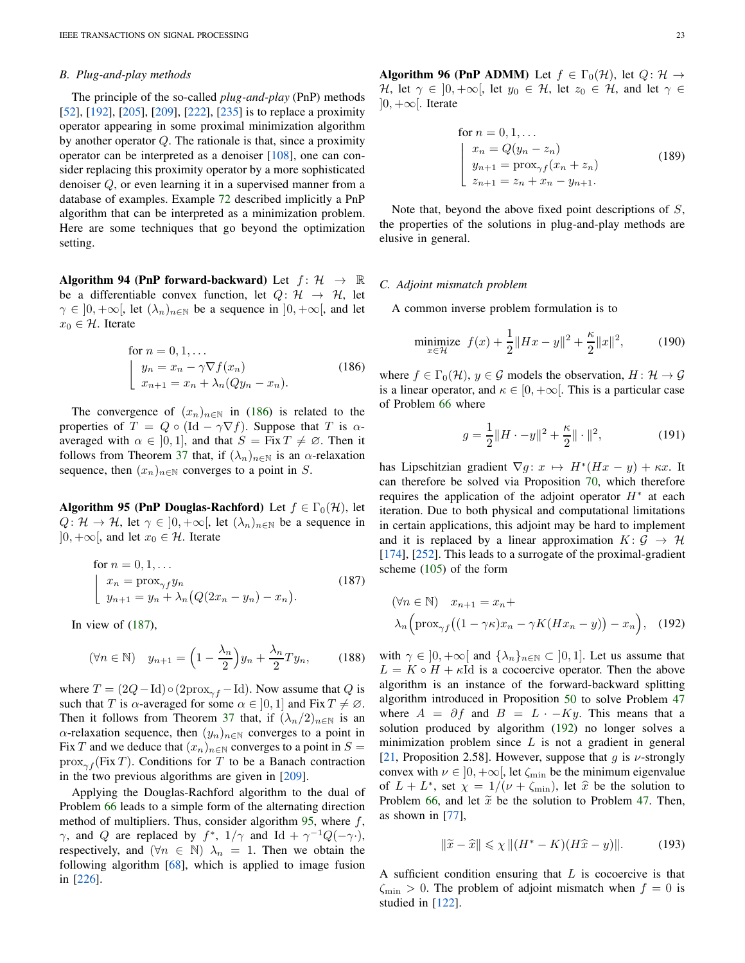## *B. Plug-and-play methods*

The principle of the so-called *plug-and-play* (PnP) methods [\[52\]](#page-24-50), [\[192\]](#page-27-50), [\[205\]](#page-27-51), [\[209\]](#page-27-52), [\[222\]](#page-27-53), [\[235\]](#page-27-54) is to replace a proximity operator appearing in some proximal minimization algorithm by another operator  $Q$ . The rationale is that, since a proximity operator can be interpreted as a denoiser [\[108\]](#page-25-3), one can consider replacing this proximity operator by a more sophisticated denoiser Q, or even learning it in a supervised manner from a database of examples. Example [72](#page-13-7) described implicitly a PnP algorithm that can be interpreted as a minimization problem. Here are some techniques that go beyond the optimization setting.

Algorithm 94 (PnP forward-backward) Let  $f: \mathcal{H} \rightarrow \mathbb{R}$ be a differentiable convex function, let  $Q: \mathcal{H} \rightarrow \mathcal{H}$ , let  $\gamma \in [0, +\infty]$ , let  $(\lambda_n)_{n \in \mathbb{N}}$  be a sequence in  $[0, +\infty]$ , and let  $x_0 \in \mathcal{H}$ . Iterate

<span id="page-22-0"></span>for 
$$
n = 0, 1, ...
$$
  
\n
$$
\begin{cases}\ny_n = x_n - \gamma \nabla f(x_n) \\
x_{n+1} = x_n + \lambda_n (Qy_n - x_n).\n\end{cases}
$$
\n(186)

The convergence of  $(x_n)_{n\in\mathbb{N}}$  in [\(186\)](#page-22-0) is related to the properties of  $T = Q \circ (\text{Id} - \gamma \nabla f)$ . Suppose that T is  $\alpha$ averaged with  $\alpha \in [0, 1]$ , and that  $S = Fix T \neq \emptyset$ . Then it follows from Theorem [37](#page-5-8) that, if  $(\lambda_n)_{n\in\mathbb{N}}$  is an  $\alpha$ -relaxation sequence, then  $(x_n)_{n \in \mathbb{N}}$  converges to a point in S.

<span id="page-22-2"></span>**Algorithm 95 (PnP Douglas-Rachford)** Let  $f \in \Gamma_0(\mathcal{H})$ , let  $Q: \mathcal{H} \to \mathcal{H}$ , let  $\gamma \in [0, +\infty)$ , let  $(\lambda_n)_{n \in \mathbb{N}}$  be a sequence in  $]0, +\infty[$ , and let  $x_0 \in \mathcal{H}$ . Iterate

<span id="page-22-1"></span>for 
$$
n = 0, 1, ...
$$
  
\n
$$
\begin{cases}\nx_n = \text{prox}_{\gamma f} y_n \\
y_{n+1} = y_n + \lambda_n \big(Q(2x_n - y_n) - x_n\big).\n\end{cases}
$$
\n(187)

In view of  $(187)$ ,

$$
(\forall n \in \mathbb{N}) \quad y_{n+1} = \left(1 - \frac{\lambda_n}{2}\right) y_n + \frac{\lambda_n}{2} T y_n, \tag{188}
$$

where  $T = (2Q - \text{Id}) \circ (2\text{prox}_{\gamma f} - \text{Id})$ . Now assume that Q is such that T is  $\alpha$ -averaged for some  $\alpha \in [0,1]$  and Fix  $T \neq \emptyset$ . Then it follows from Theorem [37](#page-5-8) that, if  $(\lambda_n/2)_{n\in\mathbb{N}}$  is an  $\alpha$ -relaxation sequence, then  $(y_n)_{n\in\mathbb{N}}$  converges to a point in Fix T and we deduce that  $(x_n)_{n\in\mathbb{N}}$  converges to a point in  $S =$  $prox_{\gamma f}$ (Fix T). Conditions for T to be a Banach contraction in the two previous algorithms are given in [\[209\]](#page-27-52).

Applying the Douglas-Rachford algorithm to the dual of Problem [66](#page-12-5) leads to a simple form of the alternating direction method of multipliers. Thus, consider algorithm  $95$ , where f,  $\gamma$ , and Q are replaced by  $f^*$ ,  $1/\gamma$  and Id +  $\gamma^{-1}Q(-\gamma)$ , respectively, and  $(\forall n \in \mathbb{N})$   $\lambda_n = 1$ . Then we obtain the following algorithm [\[68\]](#page-24-51), which is applied to image fusion in [\[226\]](#page-27-55).

**Algorithm 96 (PnP ADMM)** Let  $f \in \Gamma_0(\mathcal{H})$ , let  $Q: \mathcal{H} \to$ H, let  $\gamma \in [0, +\infty)$ , let  $y_0 \in H$ , let  $z_0 \in H$ , and let  $\gamma \in$  $]0, +\infty[$ . Iterate

for 
$$
n = 0, 1, ...
$$
  
\n
$$
\begin{cases}\nx_n = Q(y_n - z_n) \\
y_{n+1} = \text{prox}_{\gamma f}(x_n + z_n) \\
z_{n+1} = z_n + x_n - y_{n+1}.\n\end{cases}
$$
\n(189)

Note that, beyond the above fixed point descriptions of S, the properties of the solutions in plug-and-play methods are elusive in general.

#### *C. Adjoint mismatch problem*

A common inverse problem formulation is to

minimize 
$$
f(x) + \frac{1}{2} ||Hx - y||^2 + \frac{\kappa}{2} ||x||^2
$$
, (190)

where  $f \in \Gamma_0(\mathcal{H}), y \in \mathcal{G}$  models the observation,  $H: \mathcal{H} \to \mathcal{G}$ is a linear operator, and  $\kappa \in [0, +\infty]$ . This is a particular case of Problem [66](#page-12-5) where

$$
g = \frac{1}{2} ||H - y||^2 + \frac{\kappa}{2} || \cdot ||^2,
$$
 (191)

has Lipschitzian gradient  $\nabla g: x \mapsto H^*(Hx - y) + \kappa x$ . It can therefore be solved via Proposition [70,](#page-13-5) which therefore requires the application of the adjoint operator  $H^*$  at each iteration. Due to both physical and computational limitations in certain applications, this adjoint may be hard to implement and it is replaced by a linear approximation  $K: \mathcal{G} \to \mathcal{H}$ [\[174\]](#page-26-58), [\[252\]](#page-28-14). This leads to a surrogate of the proximal-gradient scheme [\(105\)](#page-13-4) of the form

<span id="page-22-3"></span>
$$
(\forall n \in \mathbb{N}) \quad x_{n+1} = x_n +
$$

$$
\lambda_n \Big( \text{prox}_{\gamma f} \big( (1 - \gamma \kappa) x_n - \gamma K (H x_n - y) \big) - x_n \Big), \quad (192)
$$

with  $\gamma \in ]0, +\infty[$  and  $\{\lambda_n\}_{n\in\mathbb{N}} \subset ]0,1]$ . Let us assume that  $L = K \circ H + \kappa \text{Id}$  is a cocoercive operator. Then the above algorithm is an instance of the forward-backward splitting algorithm introduced in Proposition [50](#page-8-6) to solve Problem [47](#page-7-2) where  $A = \partial f$  and  $B = L - Ky$ . This means that a solution produced by algorithm [\(192\)](#page-22-3) no longer solves a minimization problem since  $L$  is not a gradient in general [\[21,](#page-23-4) Proposition 2.58]. However, suppose that g is  $\nu$ -strongly convex with  $\nu \in ]0, +\infty[$ , let  $\zeta_{\min}$  be the minimum eigenvalue of  $L + L^*$ , set  $\chi = 1/(\nu + \zeta_{\min})$ , let  $\hat{x}$  be the solution to Displace 47. Then Problem [66,](#page-12-5) and let  $\tilde{x}$  be the solution to Problem [47.](#page-7-2) Then, as shown in [\[77\]](#page-25-47),

$$
\|\widetilde{x} - \widehat{x}\| \leq \chi \| (H^* - K)(H\widehat{x} - y) \|.
$$
 (193)

A sufficient condition ensuring that  $L$  is cocoercive is that  $\zeta_{\text{min}} > 0$ . The problem of adjoint mismatch when  $f = 0$  is studied in [\[122\]](#page-25-48).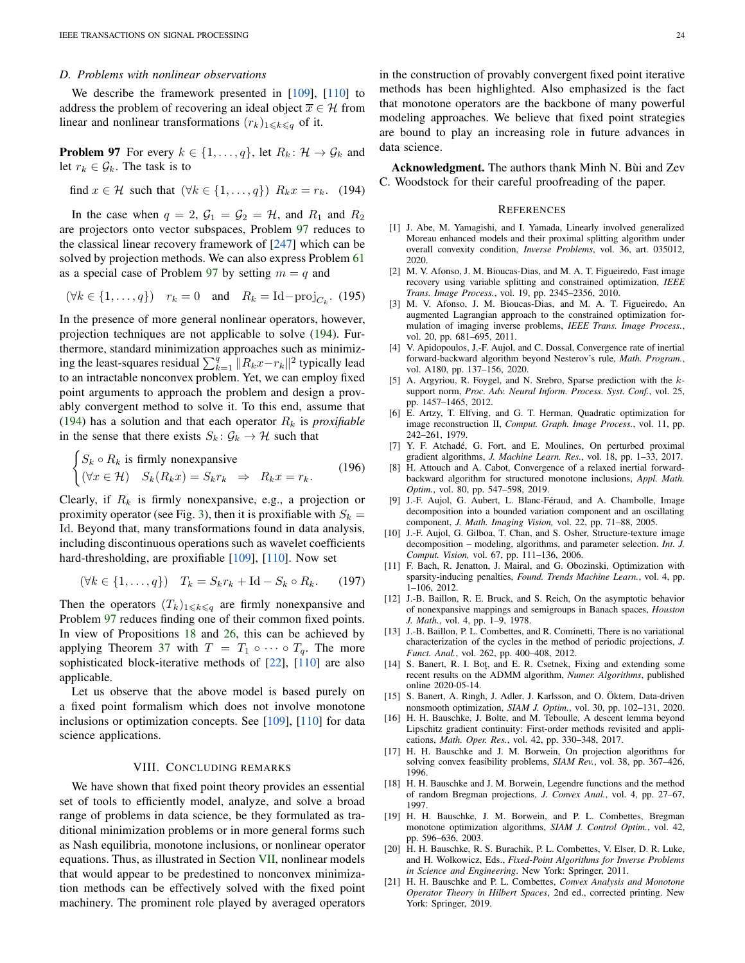## *D. Problems with nonlinear observations*

<span id="page-23-22"></span>We describe the framework presented in [\[109\]](#page-25-49), [\[110\]](#page-25-50) to address the problem of recovering an ideal object  $\overline{x} \in \mathcal{H}$  from linear and nonlinear transformations  $(r_k)_{1\leq k\leq q}$  of it.

**Problem 97** For every  $k \in \{1, ..., q\}$ , let  $R_k: \mathcal{H} \to \mathcal{G}_k$  and let  $r_k \in \mathcal{G}_k$ . The task is to

<span id="page-23-23"></span>find  $x \in \mathcal{H}$  such that  $(\forall k \in \{1, ..., q\})$   $R_k x = r_k$ . (194)

In the case when  $q = 2$ ,  $\mathcal{G}_1 = \mathcal{G}_2 = \mathcal{H}$ , and  $R_1$  and  $R_2$ are projectors onto vector subspaces, Problem [97](#page-23-22) reduces to the classical linear recovery framework of [\[247\]](#page-28-0) which can be solved by projection methods. We can also express Problem [61](#page-11-1) as a special case of Problem [97](#page-23-22) by setting  $m = q$  and

$$
(\forall k \in \{1, \ldots, q\}) \quad r_k = 0 \quad \text{and} \quad R_k = \text{Id} - \text{proj}_{C_k}. \tag{195}
$$

In the presence of more general nonlinear operators, however, projection techniques are not applicable to solve [\(194\)](#page-23-23). Furthermore, standard minimization approaches such as minimizing the least-squares residual  $\sum_{k=1}^{q} ||R_kx - r_k||^2$  typically lead to an intractable nonconvex problem. Yet, we can employ fixed point arguments to approach the problem and design a provably convergent method to solve it. To this end, assume that [\(194\)](#page-23-23) has a solution and that each operator  $R_k$  is *proxifiable* in the sense that there exists  $S_k: \mathcal{G}_k \to \mathcal{H}$  such that

$$
\begin{cases}\nS_k \circ R_k \text{ is firmly nonexpansive} \\
(\forall x \in \mathcal{H}) \quad S_k(R_k x) = S_k r_k \Rightarrow R_k x = r_k.\n\end{cases}
$$
\n(196)

Clearly, if  $R_k$  is firmly nonexpansive, e.g., a projection or proximity operator (see Fig. [3\)](#page-3-1), then it is proxifiable with  $S_k =$ Id. Beyond that, many transformations found in data analysis, including discontinuous operations such as wavelet coefficients hard-thresholding, are proxifiable [\[109\]](#page-25-49), [\[110\]](#page-25-50). Now set

$$
(\forall k \in \{1, \ldots, q\}) \quad T_k = S_k r_k + \mathrm{Id} - S_k \circ R_k. \tag{197}
$$

Then the operators  $(T_k)_{1\leq k\leq q}$  are firmly nonexpansive and Problem [97](#page-23-22) reduces finding one of their common fixed points. In view of Propositions [18](#page-3-6) and [26,](#page-4-5) this can be achieved by applying Theorem [37](#page-5-8) with  $T = T_1 \circ \cdots \circ T_q$ . The more sophisticated block-iterative methods of [\[22\]](#page-24-8), [\[110\]](#page-25-50) are also applicable.

Let us observe that the above model is based purely on a fixed point formalism which does not involve monotone inclusions or optimization concepts. See [\[109\]](#page-25-49), [\[110\]](#page-25-50) for data science applications.

## VIII. CONCLUDING REMARKS

<span id="page-23-3"></span>We have shown that fixed point theory provides an essential set of tools to efficiently model, analyze, and solve a broad range of problems in data science, be they formulated as traditional minimization problems or in more general forms such as Nash equilibria, monotone inclusions, or nonlinear operator equations. Thus, as illustrated in Section [VII,](#page-20-0) nonlinear models that would appear to be predestined to nonconvex minimization methods can be effectively solved with the fixed point machinery. The prominent role played by averaged operators

in the construction of provably convergent fixed point iterative methods has been highlighted. Also emphasized is the fact that monotone operators are the backbone of many powerful modeling approaches. We believe that fixed point strategies are bound to play an increasing role in future advances in data science.

Acknowledgment. The authors thank Minh N. Bùi and Zev C. Woodstock for their careful proofreading of the paper.

#### **REFERENCES**

- <span id="page-23-10"></span>[1] J. Abe, M. Yamagishi, and I. Yamada, Linearly involved generalized Moreau enhanced models and their proximal splitting algorithm under overall convexity condition, *Inverse Problems*, vol. 36, art. 035012, 2020.
- <span id="page-23-12"></span>[2] M. V. Afonso, J. M. Bioucas-Dias, and M. A. T. Figueiredo, Fast image recovery using variable splitting and constrained optimization, *IEEE Trans. Image Process.*, vol. 19, pp. 2345–2356, 2010.
- <span id="page-23-13"></span>[3] M. V. Afonso, J. M. Bioucas-Dias, and M. A. T. Figueiredo, An augmented Lagrangian approach to the constrained optimization formulation of imaging inverse problems, *IEEE Trans. Image Process.*, vol. 20, pp. 681–695, 2011.
- <span id="page-23-8"></span>[4] V. Apidopoulos, J.-F. Aujol, and C. Dossal, Convergence rate of inertial forward-backward algorithm beyond Nesterov's rule, *Math. Program.*, vol. A180, pp. 137–156, 2020.
- <span id="page-23-6"></span>[5] A. Argyriou, R. Foygel, and N. Srebro, Sparse prediction with the ksupport norm, *Proc. Adv. Neural Inform. Process. Syst. Conf.*, vol. 25, pp. 1457–1465, 2012.
- <span id="page-23-0"></span>[6] E. Artzy, T. Elfving, and G. T. Herman, Quadratic optimization for image reconstruction II, *Comput. Graph. Image Process.*, vol. 11, pp. 242–261, 1979.
- <span id="page-23-14"></span>[7] Y. F. Atchadé, G. Fort, and E. Moulines, On perturbed proximal gradient algorithms, *J. Machine Learn. Res.*, vol. 18, pp. 1–33, 2017.
- <span id="page-23-9"></span>[8] H. Attouch and A. Cabot, Convergence of a relaxed inertial forwardbackward algorithm for structured monotone inclusions, *Appl. Math. Optim.*, vol. 80, pp. 547–598, 2019.
- <span id="page-23-18"></span>[9] J.-F. Aujol, G. Aubert, L. Blanc-Féraud, and A. Chambolle, Image decomposition into a bounded variation component and an oscillating component, *J. Math. Imaging Vision,* vol. 22, pp. 71–88, 2005.
- <span id="page-23-19"></span>[10] J.-F. Aujol, G. Gilboa, T. Chan, and S. Osher, Structure-texture image decomposition – modeling, algorithms, and parameter selection. *Int. J. Comput. Vision,* vol. 67, pp. 111–136, 2006.
- <span id="page-23-1"></span>[11] F. Bach, R. Jenatton, J. Mairal, and G. Obozinski, Optimization with sparsity-inducing penalties, *Found. Trends Machine Learn.*, vol. 4, pp. 1–106, 2012.
- <span id="page-23-5"></span>[12] J.-B. Baillon, R. E. Bruck, and S. Reich, On the asymptotic behavior of nonexpansive mappings and semigroups in Banach spaces, *Houston J. Math.*, vol. 4, pp. 1–9, 1978.
- <span id="page-23-20"></span>[13] J.-B. Baillon, P. L. Combettes, and R. Cominetti, There is no variational characterization of the cycles in the method of periodic projections, *J. Funct. Anal.*, vol. 262, pp. 400–408, 2012.
- <span id="page-23-11"></span>[14] S. Banert, R. I. Bot, and E. R. Csetnek, Fixing and extending some recent results on the ADMM algorithm, *Numer. Algorithms*, published online 2020-05-14.
- <span id="page-23-21"></span>[15] S. Banert, A. Ringh, J. Adler, J. Karlsson, and O. Öktem, Data-driven nonsmooth optimization, *SIAM J. Optim.*, vol. 30, pp. 102–131, 2020.
- <span id="page-23-17"></span>[16] H. H. Bauschke, J. Bolte, and M. Teboulle, A descent lemma beyond Lipschitz gradient continuity: First-order methods revisited and applications, *Math. Oper. Res.*, vol. 42, pp. 330–348, 2017.
- <span id="page-23-7"></span>[17] H. H. Bauschke and J. M. Borwein, On projection algorithms for solving convex feasibility problems, *SIAM Rev.*, vol. 38, pp. 367–426, 1996.
- <span id="page-23-15"></span>[18] H. H. Bauschke and J. M. Borwein, Legendre functions and the method of random Bregman projections, *J. Convex Anal.*, vol. 4, pp. 27–67, 1997.
- <span id="page-23-16"></span>[19] H. H. Bauschke, J. M. Borwein, and P. L. Combettes, Bregman monotone optimization algorithms, *SIAM J. Control Optim.*, vol. 42, pp. 596–636, 2003.
- <span id="page-23-2"></span>[20] H. H. Bauschke, R. S. Burachik, P. L. Combettes, V. Elser, D. R. Luke, and H. Wolkowicz, Eds., *Fixed-Point Algorithms for Inverse Problems in Science and Engineering*. New York: Springer, 2011.
- <span id="page-23-4"></span>[21] H. H. Bauschke and P. L. Combettes, *Convex Analysis and Monotone Operator Theory in Hilbert Spaces*, 2nd ed., corrected printing. New York: Springer, 2019.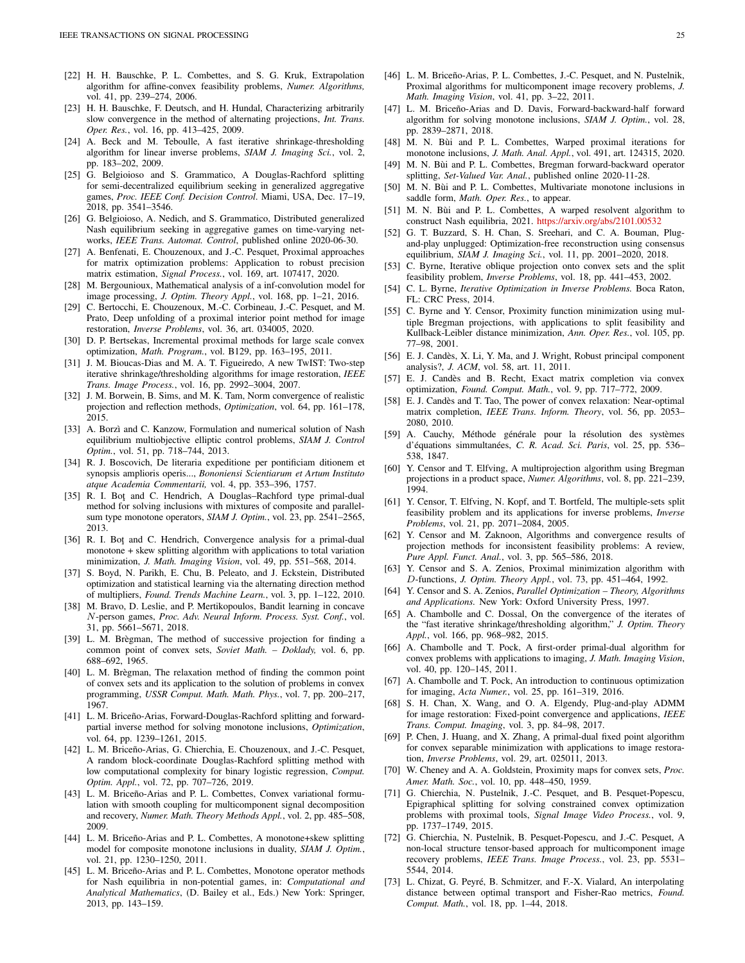- <span id="page-24-8"></span>[22] H. H. Bauschke, P. L. Combettes, and S. G. Kruk, Extrapolation algorithm for affine-convex feasibility problems, *Numer. Algorithms,* vol. 41, pp. 239–274, 2006.
- <span id="page-24-6"></span>[23] H. H. Bauschke, F. Deutsch, and H. Hundal, Characterizing arbitrarily slow convergence in the method of alternating projections, *Int. Trans. Oper. Res.*, vol. 16, pp. 413–425, 2009.
- <span id="page-24-22"></span>[24] A. Beck and M. Teboulle, A fast iterative shrinkage-thresholding algorithm for linear inverse problems, *SIAM J. Imaging Sci.*, vol. 2, pp. 183–202, 2009.
- <span id="page-24-47"></span>[25] G. Belgioioso and S. Grammatico, A Douglas-Rachford splitting for semi-decentralized equilibrium seeking in generalized aggregative games, *Proc. IEEE Conf. Decision Control*. Miami, USA, Dec. 17–19, 2018, pp. 3541–3546.
- <span id="page-24-44"></span>[26] G. Belgioioso, A. Nedich, and S. Grammatico, Distributed generalized Nash equilibrium seeking in aggregative games on time-varying networks, *IEEE Trans. Automat. Control*, published online 2020-06-30.
- <span id="page-24-20"></span>[27] A. Benfenati, E. Chouzenoux, and J.-C. Pesquet, Proximal approaches for matrix optimization problems: Application to robust precision matrix estimation, *Signal Process.*, vol. 169, art. 107417, 2020.
- <span id="page-24-35"></span>[28] M. Bergounioux, Mathematical analysis of a inf-convolution model for image processing, *J. Optim. Theory Appl.*, vol. 168, pp. 1–21, 2016.
- <span id="page-24-49"></span>[29] C. Bertocchi, E. Chouzenoux, M.-C. Corbineau, J.-C. Pesquet, and M. Prato, Deep unfolding of a proximal interior point method for image restoration, *Inverse Problems*, vol. 36, art. 034005, 2020.
- <span id="page-24-33"></span>[30] D. P. Bertsekas, Incremental proximal methods for large scale convex optimization, *Math. Program.*, vol. B129, pp. 163–195, 2011.
- <span id="page-24-23"></span>[31] J. M. Bioucas-Dias and M. A. T. Figueiredo, A new TwIST: Two-step iterative shrinkage/thresholding algorithms for image restoration, *IEEE Trans. Image Process.*, vol. 16, pp. 2992–3004, 2007.
- <span id="page-24-7"></span>[32] J. M. Borwein, B. Sims, and M. K. Tam, Norm convergence of realistic projection and reflection methods, *Optimization*, vol. 64, pp. 161–178, 2015.
- <span id="page-24-45"></span>[33] A. Borzì and C. Kanzow, Formulation and numerical solution of Nash equilibrium multiobjective elliptic control problems, *SIAM J. Control Optim.*, vol. 51, pp. 718–744, 2013.
- <span id="page-24-0"></span>[34] R. J. Boscovich, De literaria expeditione per pontificiam ditionem et synopsis amplioris operis..., *Bononiensi Scientiarum et Artum Instituto atque Academia Commentarii,* vol. 4, pp. 353–396, 1757.
- <span id="page-24-11"></span>[35] R. I. Bot and C. Hendrich, A Douglas-Rachford type primal-dual method for solving inclusions with mixtures of composite and parallelsum type monotone operators, *SIAM J. Optim.*, vol. 23, pp. 2541–2565, 2013.
- <span id="page-24-12"></span>[36] R. I. Bot and C. Hendrich, Convergence analysis for a primal-dual monotone + skew splitting algorithm with applications to total variation minimization, *J. Math. Imaging Vision*, vol. 49, pp. 551–568, 2014.
- <span id="page-24-31"></span>[37] S. Boyd, N. Parikh, E. Chu, B. Peleato, and J. Eckstein, Distributed optimization and statistical learning via the alternating direction method of multipliers, *Found. Trends Machine Learn.*, vol. 3, pp. 1–122, 2010.
- <span id="page-24-43"></span>[38] M. Bravo, D. Leslie, and P. Mertikopoulos, Bandit learning in concave N-person games, *Proc. Adv. Neural Inform. Process. Syst. Conf.*, vol. 31, pp. 5661–5671, 2018.
- <span id="page-24-15"></span>[39] L. M. Brègman, The method of successive projection for finding a common point of convex sets, *Soviet Math. – Doklady,* vol. 6, pp. 688–692, 1965.
- <span id="page-24-38"></span>[40] L. M. Brègman, The relaxation method of finding the common point of convex sets and its application to the solution of problems in convex programming, *USSR Comput. Math. Math. Phys.*, vol. 7, pp. 200–217, 1967.
- <span id="page-24-9"></span>[41] L. M. Briceño-Arias, Forward-Douglas-Rachford splitting and forwardpartial inverse method for solving monotone inclusions, *Optimization*, vol. 64, pp. 1239–1261, 2015.
- <span id="page-24-34"></span>[42] L. M. Briceño-Arias, G. Chierchia, E. Chouzenoux, and J.-C. Pesquet, A random block-coordinate Douglas-Rachford splitting method with low computational complexity for binary logistic regression, *Comput. Optim. Appl.*, vol. 72, pp. 707–726, 2019.
- <span id="page-24-36"></span>[43] L. M. Briceño-Arias and P. L. Combettes, Convex variational formulation with smooth coupling for multicomponent signal decomposition and recovery, *Numer. Math. Theory Methods Appl.*, vol. 2, pp. 485–508, 2009.
- <span id="page-24-4"></span>[44] L. M. Briceño-Arias and P. L. Combettes, A monotone+skew splitting model for composite monotone inclusions in duality, *SIAM J. Optim.*, vol. 21, pp. 1230–1250, 2011.
- <span id="page-24-46"></span>[45] L. M. Briceño-Arias and P. L. Combettes, Monotone operator methods for Nash equilibria in non-potential games, in: *Computational and Analytical Mathematics*, (D. Bailey et al., Eds.) New York: Springer, 2013, pp. 143–159.
- <span id="page-24-37"></span>[46] L. M. Briceño-Arias, P. L. Combettes, J.-C. Pesquet, and N. Pustelnik, Proximal algorithms for multicomponent image recovery problems, *J. Math. Imaging Vision*, vol. 41, pp. 3–22, 2011.
- <span id="page-24-10"></span>[47] L. M. Briceño-Arias and D. Davis, Forward-backward-half forward algorithm for solving monotone inclusions, *SIAM J. Optim.*, vol. 28, pp. 2839–2871, 2018.
- <span id="page-24-13"></span>[48] M. N. Bùi and P. L. Combettes, Warped proximal iterations for monotone inclusions, *J. Math. Anal. Appl.*, vol. 491, art. 124315, 2020.
- <span id="page-24-42"></span>[49] M. N. Bùi and P. L. Combettes, Bregman forward-backward operator splitting, *Set-Valued Var. Anal.*, published online 2020-11-28.
- <span id="page-24-14"></span>[50] M. N. Bùi and P. L. Combettes, Multivariate monotone inclusions in saddle form, *Math. Oper. Res.*, to appear.
- <span id="page-24-48"></span>[51] M. N. Bùi and P. L. Combettes, A warped resolvent algorithm to construct Nash equilibria, 2021. <https://arxiv.org/abs/2101.00532>
- <span id="page-24-50"></span>[52] G. T. Buzzard, S. H. Chan, S. Sreehari, and C. A. Bouman, Plugand-play unplugged: Optimization-free reconstruction using consensus equilibrium, *SIAM J. Imaging Sci.*, vol. 11, pp. 2001–2020, 2018.
- <span id="page-24-16"></span>[53] C. Byrne, Iterative oblique projection onto convex sets and the split feasibility problem, *Inverse Problems*, vol. 18, pp. 441–453, 2002.
- <span id="page-24-2"></span>[54] C. L. Byrne, *Iterative Optimization in Inverse Problems.* Boca Raton, FL: CRC Press, 2014.
- <span id="page-24-39"></span>[55] C. Byrne and Y. Censor, Proximity function minimization using multiple Bregman projections, with applications to split feasibility and Kullback-Leibler distance minimization, *Ann. Oper. Res.*, vol. 105, pp. 77–98, 2001.
- <span id="page-24-21"></span>[56] E. J. Candès, X. Li, Y. Ma, and J. Wright, Robust principal component analysis?, *J. ACM*, vol. 58, art. 11, 2011.
- <span id="page-24-25"></span>[57] E. J. Candès and B. Recht, Exact matrix completion via convex optimization, *Found. Comput. Math.*, vol. 9, pp. 717–772, 2009.
- <span id="page-24-26"></span>[58] E. J. Candès and T. Tao, The power of convex relaxation: Near-optimal matrix completion, *IEEE Trans. Inform. Theory*, vol. 56, pp. 2053– 2080, 2010.
- <span id="page-24-1"></span>[59] A. Cauchy, Méthode générale pour la résolution des systèmes d'équations simmultanées, *C. R. Acad. Sci. Paris*, vol. 25, pp. 536– 538, 1847.
- <span id="page-24-17"></span>[60] Y. Censor and T. Elfving, A multiprojection algorithm using Bregman projections in a product space, *Numer. Algorithms*, vol. 8, pp. 221–239, 1994.
- <span id="page-24-18"></span>[61] Y. Censor, T. Elfving, N. Kopf, and T. Bortfeld, The multiple-sets split feasibility problem and its applications for inverse problems, *Inverse Problems*, vol. 21, pp. 2071–2084, 2005.
- <span id="page-24-32"></span>[62] Y. Censor and M. Zaknoon, Algorithms and convergence results of projection methods for inconsistent feasibility problems: A review, *Pure Appl. Funct. Anal.*, vol. 3, pp. 565–586, 2018.
- <span id="page-24-41"></span>[63] Y. Censor and S. A. Zenios, Proximal minimization algorithm with D-functions, *J. Optim. Theory Appl.*, vol. 73, pp. 451–464, 1992.
- <span id="page-24-40"></span>[64] Y. Censor and S. A. Zenios, *Parallel Optimization – Theory, Algorithms and Applications.* New York: Oxford University Press, 1997.
- <span id="page-24-24"></span>[65] A. Chambolle and C. Dossal, On the convergence of the iterates of the "fast iterative shrinkage/thresholding algorithm," *J. Optim. Theory Appl.*, vol. 166, pp. 968–982, 2015.
- <span id="page-24-5"></span>[66] A. Chambolle and T. Pock, A first-order primal-dual algorithm for convex problems with applications to imaging, *J. Math. Imaging Vision*, vol. 40, pp. 120–145, 2011.
- <span id="page-24-3"></span>[67] A. Chambolle and T. Pock, An introduction to continuous optimization for imaging, *Acta Numer.*, vol. 25, pp. 161–319, 2016.
- <span id="page-24-51"></span>[68] S. H. Chan, X. Wang, and O. A. Elgendy, Plug-and-play ADMM for image restoration: Fixed-point convergence and applications, *IEEE Trans. Comput. Imaging*, vol. 3, pp. 84–98, 2017.
- <span id="page-24-30"></span>[69] P. Chen, J. Huang, and X. Zhang, A primal-dual fixed point algorithm for convex separable minimization with applications to image restoration, *Inverse Problems*, vol. 29, art. 025011, 2013.
- <span id="page-24-27"></span>[70] W. Cheney and A. A. Goldstein, Proximity maps for convex sets, *Proc. Amer. Math. Soc.*, vol. 10, pp. 448–450, 1959.
- <span id="page-24-28"></span>[71] G. Chierchia, N. Pustelnik, J.-C. Pesquet, and B. Pesquet-Popescu, Epigraphical splitting for solving constrained convex optimization problems with proximal tools, *Signal Image Video Process.*, vol. 9, pp. 1737–1749, 2015.
- <span id="page-24-29"></span>[72] G. Chierchia, N. Pustelnik, B. Pesquet-Popescu, and J.-C. Pesquet, A non-local structure tensor-based approach for multicomponent image recovery problems, *IEEE Trans. Image Process.*, vol. 23, pp. 5531– 5544, 2014.
- <span id="page-24-19"></span>[73] L. Chizat, G. Peyré, B. Schmitzer, and F.-X. Vialard, An interpolating distance between optimal transport and Fisher-Rao metrics, *Found. Comput. Math.*, vol. 18, pp. 1–44, 2018.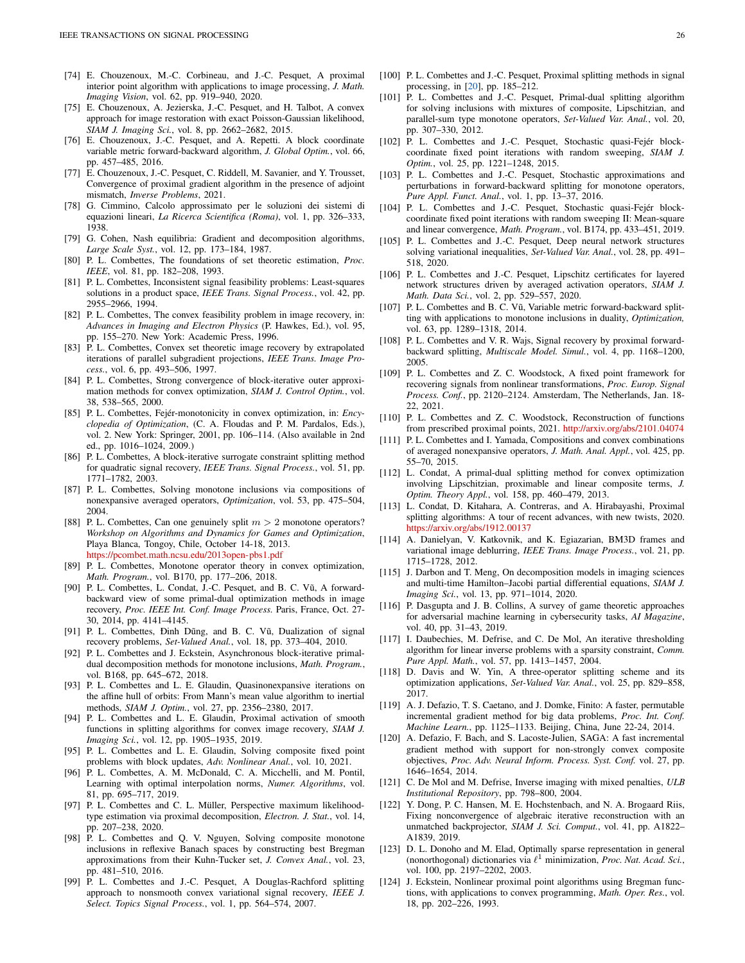- <span id="page-25-30"></span>[74] E. Chouzenoux, M.-C. Corbineau, and J.-C. Pesquet, A proximal interior point algorithm with applications to image processing, *J. Math. Imaging Vision*, vol. 62, pp. 919–940, 2020.
- <span id="page-25-31"></span>[75] E. Chouzenoux, A. Jezierska, J.-C. Pesquet, and H. Talbot, A convex approach for image restoration with exact Poisson-Gaussian likelihood, *SIAM J. Imaging Sci.*, vol. 8, pp. 2662–2682, 2015.
- <span id="page-25-38"></span>[76] E. Chouzenoux, J.-C. Pesquet, and A. Repetti. A block coordinate variable metric forward-backward algorithm, *J. Global Optim.*, vol. 66, pp. 457–485, 2016.
- <span id="page-25-47"></span>[77] E. Chouzenoux, J.-C. Pesquet, C. Riddell, M. Savanier, and Y. Trousset, Convergence of proximal gradient algorithm in the presence of adjoint mismatch, *Inverse Problems*, 2021.
- <span id="page-25-26"></span>[78] G. Cimmino, Calcolo approssimato per le soluzioni dei sistemi di equazioni lineari, *La Ricerca Scientifica (Roma)*, vol. 1, pp. 326–333, 1938.
- <span id="page-25-45"></span>[79] G. Cohen, Nash equilibria: Gradient and decomposition algorithms, *Large Scale Syst.*, vol. 12, pp. 173–184, 1987.
- <span id="page-25-25"></span>[80] P. L. Combettes, The foundations of set theoretic estimation, *Proc. IEEE*, vol. 81, pp. 182–208, 1993.
- <span id="page-25-34"></span>[81] P. L. Combettes, Inconsistent signal feasibility problems: Least-squares solutions in a product space, *IEEE Trans. Signal Process.*, vol. 42, pp. 2955–2966, 1994.
- <span id="page-25-0"></span>[82] P. L. Combettes, The convex feasibility problem in image recovery, in: *Advances in Imaging and Electron Physics* (P. Hawkes, Ed.), vol. 95, pp. 155–270. New York: Academic Press, 1996.
- <span id="page-25-27"></span>[83] P. L. Combettes, Convex set theoretic image recovery by extrapolated iterations of parallel subgradient projections, *IEEE Trans. Image Process.*, vol. 6, pp. 493–506, 1997.
- <span id="page-25-14"></span>[84] P. L. Combettes, Strong convergence of block-iterative outer approximation methods for convex optimization, *SIAM J. Control Optim.*, vol. 38, 538–565, 2000.
- <span id="page-25-19"></span>[85] P. L. Combettes, Fejér-monotonicity in convex optimization, in: *Encyclopedia of Optimization*, (C. A. Floudas and P. M. Pardalos, Eds.), vol. 2. New York: Springer, 2001, pp. 106–114. (Also available in 2nd ed., pp. 1016–1024, 2009.)
- <span id="page-25-13"></span>[86] P. L. Combettes, A block-iterative surrogate constraint splitting method for quadratic signal recovery, *IEEE Trans. Signal Process.*, vol. 51, pp. 1771–1782, 2003.
- <span id="page-25-6"></span>[87] P. L. Combettes, Solving monotone inclusions via compositions of nonexpansive averaged operators, *Optimization*, vol. 53, pp. 475–504, 2004.
- <span id="page-25-21"></span>[88] P. L. Combettes, Can one genuinely split  $m > 2$  monotone operators? *Workshop on Algorithms and Dynamics for Games and Optimization*, Playa Blanca, Tongoy, Chile, October 14-18, 2013. <https://pcombet.math.ncsu.edu/2013open-pbs1.pdf>
- <span id="page-25-5"></span>[89] P. L. Combettes, Monotone operator theory in convex optimization, *Math. Program.*, vol. B170, pp. 177–206, 2018.
- <span id="page-25-9"></span>[90] P. L. Combettes, L. Condat, J.-C. Pesquet, and B. C. Vũ, A forwardbackward view of some primal-dual optimization methods in image recovery, *Proc. IEEE Int. Conf. Image Process.* Paris, France, Oct. 27- 30, 2014, pp. 4141–4145.
- <span id="page-25-10"></span>[91] P. L. Combettes, Đinh Dũng, and B. C. Vũ, Dualization of signal recovery problems, *Set-Valued Anal.*, vol. 18, pp. 373–404, 2010.
- <span id="page-25-24"></span>[92] P. L. Combettes and J. Eckstein, Asynchronous block-iterative primaldual decomposition methods for monotone inclusions, *Math. Program.*, vol. B168, pp. 645–672, 2018.
- <span id="page-25-15"></span>[93] P. L. Combettes and L. E. Glaudin, Quasinonexpansive iterations on the affine hull of orbits: From Mann's mean value algorithm to inertial methods, *SIAM J. Optim.*, vol. 27, pp. 2356–2380, 2017.
- <span id="page-25-32"></span>[94] P. L. Combettes and L. E. Glaudin, Proximal activation of smooth functions in splitting algorithms for convex image recovery, *SIAM J. Imaging Sci.*, vol. 12, pp. 1905–1935, 2019.
- <span id="page-25-16"></span>[95] P. L. Combettes and L. E. Glaudin, Solving composite fixed point problems with block updates, *Adv. Nonlinear Anal.*, vol. 10, 2021.
- <span id="page-25-11"></span>[96] P. L. Combettes, A. M. McDonald, C. A. Micchelli, and M. Pontil, Learning with optimal interpolation norms, *Numer. Algorithms*, vol. 81, pp. 695–717, 2019.
- <span id="page-25-29"></span>[97] P. L. Combettes and C. L. Müller, Perspective maximum likelihoodtype estimation via proximal decomposition, *Electron. J. Stat.*, vol. 14, pp. 207–238, 2020.
- <span id="page-25-40"></span>[98] P. L. Combettes and Q. V. Nguyen, Solving composite monotone inclusions in reflexive Banach spaces by constructing best Bregman approximations from their Kuhn-Tucker set, *J. Convex Anal.*, vol. 23, pp. 481–510, 2016.
- <span id="page-25-28"></span>[99] P. L. Combettes and J.-C. Pesquet, A Douglas-Rachford splitting approach to nonsmooth convex variational signal recovery, *IEEE J. Select. Topics Signal Process.*, vol. 1, pp. 564–574, 2007.
- <span id="page-25-1"></span>[100] P. L. Combettes and J.-C. Pesquet, Proximal splitting methods in signal processing, in [\[20\]](#page-23-2), pp. 185–212.
- <span id="page-25-20"></span>[101] P. L. Combettes and J.-C. Pesquet, Primal-dual splitting algorithm for solving inclusions with mixtures of composite, Lipschitzian, and parallel-sum type monotone operators, *Set-Valued Var. Anal.*, vol. 20, pp. 307–330, 2012.
- <span id="page-25-17"></span>[102] P. L. Combettes and J.-C. Pesquet, Stochastic quasi-Fejér blockcoordinate fixed point iterations with random sweeping, *SIAM J. Optim.*, vol. 25, pp. 1221–1248, 2015.
- <span id="page-25-35"></span>[103] P. L. Combettes and J.-C. Pesquet, Stochastic approximations and perturbations in forward-backward splitting for monotone operators, *Pure Appl. Funct. Anal.*, vol. 1, pp. 13–37, 2016.
- <span id="page-25-18"></span>[104] P. L. Combettes and J.-C. Pesquet, Stochastic quasi-Fejér blockcoordinate fixed point iterations with random sweeping II: Mean-square and linear convergence, *Math. Program.*, vol. B174, pp. 433–451, 2019.
- <span id="page-25-46"></span>[105] P. L. Combettes and J.-C. Pesquet, Deep neural network structures solving variational inequalities, *Set-Valued Var. Anal.*, vol. 28, pp. 491– 518, 2020.
- <span id="page-25-2"></span>[106] P. L. Combettes and J.-C. Pesquet, Lipschitz certificates for layered network structures driven by averaged activation operators, *SIAM J. Math. Data Sci.*, vol. 2, pp. 529–557, 2020.
- <span id="page-25-22"></span>[107] P. L. Combettes and B. C. Vũ, Variable metric forward-backward splitting with applications to monotone inclusions in duality, *Optimization,* vol. 63, pp. 1289–1318, 2014.
- <span id="page-25-3"></span>[108] P. L. Combettes and V. R. Wajs, Signal recovery by proximal forwardbackward splitting, *Multiscale Model. Simul.*, vol. 4, pp. 1168–1200, 2005.
- <span id="page-25-49"></span>[109] P. L. Combettes and Z. C. Woodstock, A fixed point framework for recovering signals from nonlinear transformations, *Proc. Europ. Signal Process. Conf.*, pp. 2120–2124. Amsterdam, The Netherlands, Jan. 18- 22, 2021.
- <span id="page-25-50"></span>[110] P. L. Combettes and Z. C. Woodstock, Reconstruction of functions from prescribed proximal points, 2021. <http://arxiv.org/abs/2101.04074>
- <span id="page-25-7"></span>[111] P. L. Combettes and I. Yamada, Compositions and convex combinations of averaged nonexpansive operators, *J. Math. Anal. Appl.*, vol. 425, pp. 55–70, 2015.
- <span id="page-25-23"></span>[112] L. Condat, A primal-dual splitting method for convex optimization involving Lipschitzian, proximable and linear composite terms, *J. Optim. Theory Appl.*, vol. 158, pp. 460–479, 2013.
- <span id="page-25-33"></span>[113] L. Condat, D. Kitahara, A. Contreras, and A. Hirabayashi, Proximal splitting algorithms: A tour of recent advances, with new twists, 2020. <https://arxiv.org/abs/1912.00137>
- <span id="page-25-41"></span>[114] A. Danielyan, V. Katkovnik, and K. Egiazarian, BM3D frames and variational image deblurring, *IEEE Trans. Image Process.*, vol. 21, pp. 1715–1728, 2012.
- <span id="page-25-42"></span>[115] J. Darbon and T. Meng, On decomposition models in imaging sciences and multi-time Hamilton–Jacobi partial differential equations, *SIAM J. Imaging Sci.*, vol. 13, pp. 971–1014, 2020.
- <span id="page-25-44"></span>[116] P. Dasgupta and J. B. Collins, A survey of game theoretic approaches for adversarial machine learning in cybersecurity tasks, *AI Magazine*, vol. 40, pp. 31–43, 2019.
- <span id="page-25-4"></span>[117] I. Daubechies, M. Defrise, and C. De Mol, An iterative thresholding algorithm for linear inverse problems with a sparsity constraint, *Comm. Pure Appl. Math.*, vol. 57, pp. 1413–1457, 2004.
- <span id="page-25-8"></span>[118] D. Davis and W. Yin, A three-operator splitting scheme and its optimization applications, *Set-Valued Var. Anal.*, vol. 25, pp. 829–858, 2017.
- <span id="page-25-36"></span>[119] A. J. Defazio, T. S. Caetano, and J. Domke, Finito: A faster, permutable incremental gradient method for big data problems, *Proc. Int. Conf. Machine Learn.*, pp. 1125–1133. Beijing, China, June 22-24, 2014.
- <span id="page-25-37"></span>[120] A. Defazio, F. Bach, and S. Lacoste-Julien, SAGA: A fast incremental gradient method with support for non-strongly convex composite objectives, *Proc. Adv. Neural Inform. Process. Syst. Conf.* vol. 27, pp. 1646–1654, 2014.
- <span id="page-25-43"></span>[121] C. De Mol and M. Defrise, Inverse imaging with mixed penalties, *ULB Institutional Repository*, pp. 798–800, 2004.
- <span id="page-25-48"></span>[122] Y. Dong, P. C. Hansen, M. E. Hochstenbach, and N. A. Brogaard Riis, Fixing nonconvergence of algebraic iterative reconstruction with an unmatched backprojector, *SIAM J. Sci. Comput.*, vol. 41, pp. A1822– A1839, 2019.
- <span id="page-25-12"></span>[123] D. L. Donoho and M. Elad, Optimally sparse representation in general (nonorthogonal) dictionaries via ℓ <sup>1</sup> minimization, *Proc. Nat. Acad. Sci.*, vol. 100, pp. 2197–2202, 2003.
- <span id="page-25-39"></span>[124] J. Eckstein, Nonlinear proximal point algorithms using Bregman functions, with applications to convex programming, *Math. Oper. Res.*, vol. 18, pp. 202–226, 1993.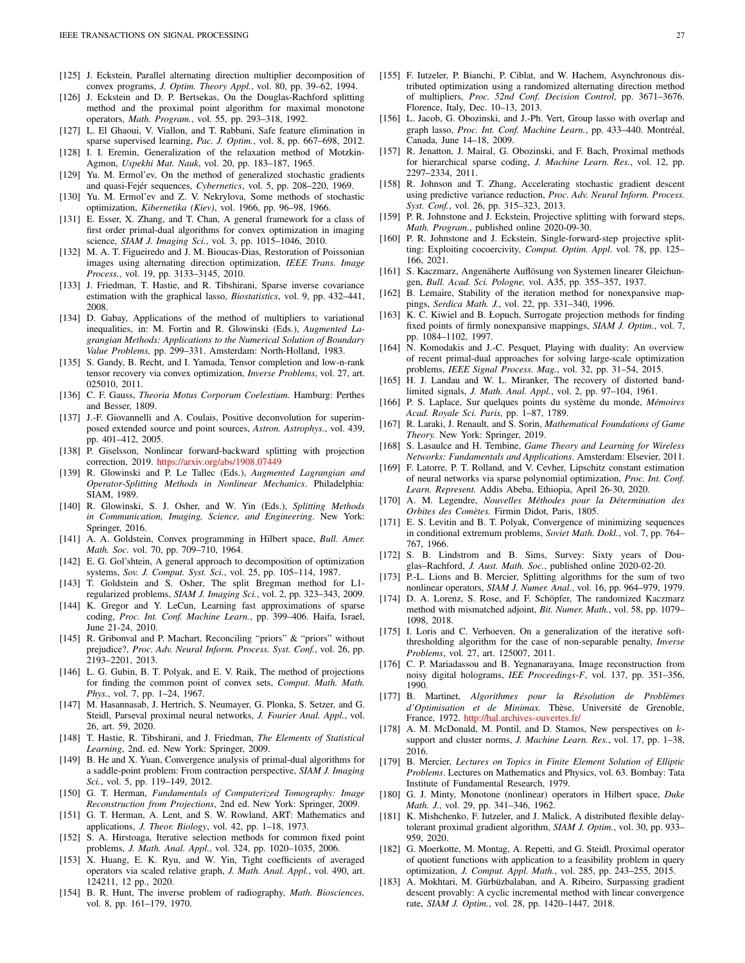- <span id="page-26-44"></span>[125] J. Eckstein, Parallel alternating direction multiplier decomposition of convex programs, *J. Optim. Theory Appl.*, vol. 80, pp. 39–62, 1994.
- <span id="page-26-20"></span>[126] J. Eckstein and D. P. Bertsekas, On the Douglas-Rachford splitting method and the proximal point algorithm for maximal monotone operators, *Math. Program.*, vol. 55, pp. 293–318, 1992.
- <span id="page-26-12"></span>[127] L. El Ghaoui, V. Viallon, and T. Rabbani, Safe feature elimination in sparse supervised learning, *Pac. J. Optim.*, vol. 8, pp. 667–698, 2012.
- <span id="page-26-27"></span>[128] I. I. Eremin, Generalization of the relaxation method of Motzkin-Agmon, *Uspekhi Mat. Nauk*, vol. 20, pp. 183–187, 1965.
- <span id="page-26-17"></span>[129] Yu. M. Ermol'ev, On the method of generalized stochastic gradients and quasi-Fejér sequences, *Cybernetics*, vol. 5, pp. 208-220, 1969.
- <span id="page-26-48"></span>[130] Yu. M. Ermol'ev and Z. V. Nekrylova, Some methods of stochastic optimization, *Kibernetika (Kiev)*, vol. 1966, pp. 96–98, 1966.
- <span id="page-26-40"></span>[131] E. Esser, X. Zhang, and T. Chan, A general framework for a class of first order primal-dual algorithms for convex optimization in imaging science, *SIAM J. Imaging Sci.*, vol. 3, pp. 1015–1046, 2010.
- <span id="page-26-45"></span>[132] M. A. T. Figueiredo and J. M. Bioucas-Dias, Restoration of Poissonian images using alternating direction optimization, *IEEE Trans. Image Process.*, vol. 19, pp. 3133–3145, 2010.
- <span id="page-26-31"></span>[133] J. Friedman, T. Hastie, and R. Tibshirani, Sparse inverse covariance estimation with the graphical lasso, *Biostatistics*, vol. 9, pp. 432–441, 2008.
- <span id="page-26-42"></span>[134] D. Gabay, Applications of the method of multipliers to variational inequalities, in: M. Fortin and R. Glowinski (Eds.), *Augmented Lagrangian Methods: Applications to the Numerical Solution of Boundary Value Problems,* pp. 299–331. Amsterdam: North-Holland, 1983.
- <span id="page-26-30"></span>[135] S. Gandy, B. Recht, and I. Yamada, Tensor completion and low-n-rank tensor recovery via convex optimization, *Inverse Problems*, vol. 27, art. 025010, 2011.
- <span id="page-26-0"></span>[136] C. F. Gauss, *Theoria Motus Corporum Coelestium.* Hamburg: Perthes and Besser, 1809.
- <span id="page-26-46"></span>[137] J.-F. Giovannelli and A. Coulais, Positive deconvolution for superimposed extended source and point sources, *Astron. Astrophys.*, vol. 439, pp. 401–412, 2005.
- <span id="page-26-23"></span>[138] P. Giselsson, Nonlinear forward-backward splitting with projection correction, 2019. <https://arxiv.org/abs/1908.07449>
- <span id="page-26-43"></span>[139] R. Glowinski and P. Le Tallec (Eds.), *Augmented Lagrangian and Operator-Splitting Methods in Nonlinear Mechanics*. Philadelphia: SIAM, 1989.
- <span id="page-26-5"></span>[140] R. Glowinski, S. J. Osher, and W. Yin (Eds.), *Splitting Methods in Communication, Imaging, Science, and Engineering*. New York: Springer, 2016.
- <span id="page-26-33"></span>[141] A. A. Goldstein, Convex programming in Hilbert space, *Bull. Amer. Math. Soc.* vol. 70, pp. 709–710, 1964.
- <span id="page-26-22"></span>[142] E. G. Gol'shtein, A general approach to decomposition of optimization systems, *Sov. J. Comput. Syst. Sci.*, vol. 25, pp. 105–114, 1987.
- <span id="page-26-47"></span>[143] T. Goldstein and S. Osher, The split Bregman method for L1 regularized problems, *SIAM J. Imaging Sci.*, vol. 2, pp. 323–343, 2009.
- <span id="page-26-57"></span>[144] K. Gregor and Y. LeCun, Learning fast approximations of sparse coding, *Proc. Int. Conf. Machine Learn.*, pp. 399–406. Haifa, Israel, June 21-24, 2010.
- <span id="page-26-32"></span>[145] R. Gribonval and P. Machart, Reconciling "priors" & "priors" without prejudice?, *Proc. Adv. Neural Inform. Process. Syst. Conf.*, vol. 26, pp. 2193–2201, 2013.
- <span id="page-26-54"></span>[146] L. G. Gubin, B. T. Polyak, and E. V. Raik, The method of projections for finding the common point of convex sets, *Comput. Math. Math. Phys.*, vol. 7, pp. 1–24, 1967.
- <span id="page-26-56"></span>[147] M. Hasannasab, J. Hertrich, S. Neumayer, G. Plonka, S. Setzer, and G. Steidl, Parseval proximal neural networks, *J. Fourier Anal. Appl.*, vol. 26, art. 59, 2020.
- <span id="page-26-37"></span>[148] T. Hastie, R. Tibshirani, and J. Friedman, *The Elements of Statistical Learning*, 2nd. ed. New York: Springer, 2009.
- <span id="page-26-41"></span>[149] B. He and X. Yuan, Convergence analysis of primal-dual algorithms for a saddle-point problem: From contraction perspective, *SIAM J. Imaging Sci.*, vol. 5, pp. 119–149, 2012.
- <span id="page-26-26"></span>[150] G. T. Herman, *Fundamentals of Computerized Tomography: Image Reconstruction from Projections*, 2nd ed. New York: Springer, 2009.
- <span id="page-26-3"></span>[151] G. T. Herman, A. Lent, and S. W. Rowland, ART: Mathematics and applications, *J. Theor. Biology*, vol. 42, pp. 1–18, 1973.
- <span id="page-26-14"></span>[152] S. A. Hirstoaga, Iterative selection methods for common fixed point problems, *J. Math. Anal. Appl.*, vol. 324, pp. 1020–1035, 2006.
- <span id="page-26-8"></span>[153] X. Huang, E. K. Ryu, and W. Yin, Tight coefficients of averaged operators via scaled relative graph, *J. Math. Anal. Appl.*, vol. 490, art. 124211, 12 pp., 2020.
- <span id="page-26-4"></span>[154] B. R. Hunt, The inverse problem of radiography, *Math. Biosciences,* vol. 8, pp. 161–179, 1970.
- <span id="page-26-18"></span>[155] F. Iutzeler, P. Bianchi, P. Ciblat, and W. Hachem, Asynchronous distributed optimization using a randomized alternating direction method of multipliers, *Proc. 52nd Conf. Decision Control*, pp. 3671–3676. Florence, Italy, Dec. 10–13, 2013.
- <span id="page-26-50"></span>[156] L. Jacob, G. Obozinski, and J.-Ph. Vert, Group lasso with overlap and graph lasso, Proc. Int. Conf. Machine Learn., pp. 433-440. Montréal, Canada, June 14–18, 2009.
- <span id="page-26-51"></span>[157] R. Jenatton, J. Mairal, G. Obozinski, and F. Bach, Proximal methods for hierarchical sparse coding, *J. Machine Learn. Res.*, vol. 12, pp. 2297–2334, 2011.
- <span id="page-26-49"></span>[158] R. Johnson and T. Zhang, Accelerating stochastic gradient descent using predictive variance reduction, *Proc. Adv. Neural Inform. Process. Syst. Conf.*, vol. 26, pp. 315–323, 2013.
- <span id="page-26-24"></span>[159] P. R. Johnstone and J. Eckstein, Projective splitting with forward steps, *Math. Program.*, published online 2020-09-30.
- <span id="page-26-25"></span>[160] P. R. Johnstone and J. Eckstein, Single-forward-step projective splitting: Exploiting cocoercivity, *Comput. Optim. Appl.* vol. 78, pp. 125– 166, 2021.
- <span id="page-26-28"></span>[161] S. Kaczmarz, Angenäherte Auflösung von Systemen linearer Gleichungen, *Bull. Acad. Sci. Pologne,* vol. A35, pp. 355–357, 1937.
- <span id="page-26-16"></span>[162] B. Lemaire, Stability of the iteration method for nonexpansive mappings, *Serdica Math. J.*, vol. 22, pp. 331–340, 1996.
- <span id="page-26-15"></span>[163] K. C. Kiwiel and B. Łopuch, Surrogate projection methods for finding fixed points of firmly nonexpansive mappings, *SIAM J. Optim.*, vol. 7, pp. 1084–1102, 1997.
- <span id="page-26-10"></span>[164] N. Komodakis and J.-C. Pesquet, Playing with duality: An overview of recent primal-dual approaches for solving large-scale optimization problems, *IEEE Signal Process. Mag.*, vol. 32, pp. 31–54, 2015.
- <span id="page-26-6"></span>[165] H. J. Landau and W. L. Miranker, The recovery of distorted bandlimited signals, *J. Math. Anal. Appl.*, vol. 2, pp. 97–104, 1961.
- <span id="page-26-1"></span>[166] P. S. Laplace, Sur quelques points du système du monde, *Mémoires Acad. Royale Sci. Paris,* pp. 1–87, 1789.
- <span id="page-26-53"></span>[167] R. Laraki, J. Renault, and S. Sorin, *Mathematical Foundations of Game Theory.* New York: Springer, 2019.
- <span id="page-26-52"></span>[168] S. Lasaulce and H. Tembine, *Game Theory and Learning for Wireless Networks: Fundamentals and Applications*. Amsterdam: Elsevier, 2011.
- <span id="page-26-55"></span>[169] F. Latorre, P. T. Rolland, and V. Cevher, Lipschitz constant estimation of neural networks via sparse polynomial optimization, *Proc. Int. Conf. Learn. Represent.* Addis Abeba, Ethiopia, April 26-30, 2020.
- <span id="page-26-2"></span>[170] A. M. Legendre, *Nouvelles M´ethodes pour la D´etermination des Orbites des Com`etes.* Firmin Didot, Paris, 1805.
- <span id="page-26-34"></span>[171] E. S. Levitin and B. T. Polyak, Convergence of minimizing sequences in conditional extremum problems, *Soviet Math. Dokl.*, vol. 7, pp. 764– 767, 1966.
- <span id="page-26-29"></span>[172] S. B. Lindstrom and B. Sims, Survey: Sixty years of Douglas–Rachford, *J. Aust. Math. Soc.*, published online 2020-02-20.
- <span id="page-26-19"></span>[173] P.-L. Lions and B. Mercier, Splitting algorithms for the sum of two nonlinear operators, *SIAM J. Numer. Anal.*, vol. 16, pp. 964–979, 1979.
- <span id="page-26-58"></span>[174] D. A. Lorenz, S. Rose, and F. Schöpfer, The randomized Kaczmarz method with mismatched adjoint, *Bit. Numer. Math.*, vol. 58, pp. 1079– 1098, 2018.
- <span id="page-26-39"></span>[175] I. Loris and C. Verhoeven, On a generalization of the iterative softthresholding algorithm for the case of non-separable penalty, *Inverse Problems*, vol. 27, art. 125007, 2011.
- <span id="page-26-7"></span>[176] C. P. Mariadassou and B. Yegnanarayana, Image reconstruction from noisy digital holograms, *IEE Proceedings-F*, vol. 137, pp. 351–356, 1990.
- <span id="page-26-13"></span>[177] B. Martinet, *Algorithmes pour la Résolution de Problèmes d'Optimisation et de Minimax.* Thèse, Université de Grenoble, France, 1972. <http://hal.archives-ouvertes.fr/>
- <span id="page-26-11"></span>[178] A. M. McDonald, M. Pontil, and D. Stamos, New perspectives on  $k$ support and cluster norms, *J. Machine Learn. Res.*, vol. 17, pp. 1–38, 2016.
- <span id="page-26-21"></span>[179] B. Mercier, *Lectures on Topics in Finite Element Solution of Elliptic Problems*. Lectures on Mathematics and Physics, vol. 63. Bombay: Tata Institute of Fundamental Research, 1979.
- <span id="page-26-9"></span>[180] G. J. Minty, Monotone (nonlinear) operators in Hilbert space, *Duke Math. J.*, vol. 29, pp. 341–346, 1962.
- <span id="page-26-35"></span>[181] K. Mishchenko, F. Iutzeler, and J. Malick, A distributed flexible delaytolerant proximal gradient algorithm, *SIAM J. Optim.*, vol. 30, pp. 933– 959, 2020.
- <span id="page-26-38"></span>[182] G. Moerkotte, M. Montag, A. Repetti, and G. Steidl, Proximal operator of quotient functions with application to a feasibility problem in query optimization, *J. Comput. Appl. Math.*, vol. 285, pp. 243–255, 2015.
- <span id="page-26-36"></span>[183] A. Mokhtari, M. Gürbüzbalaban, and A. Ribeiro, Surpassing gradient descent provably: A cyclic incremental method with linear convergence rate, *SIAM J. Optim.*, vol. 28, pp. 1420–1447, 2018.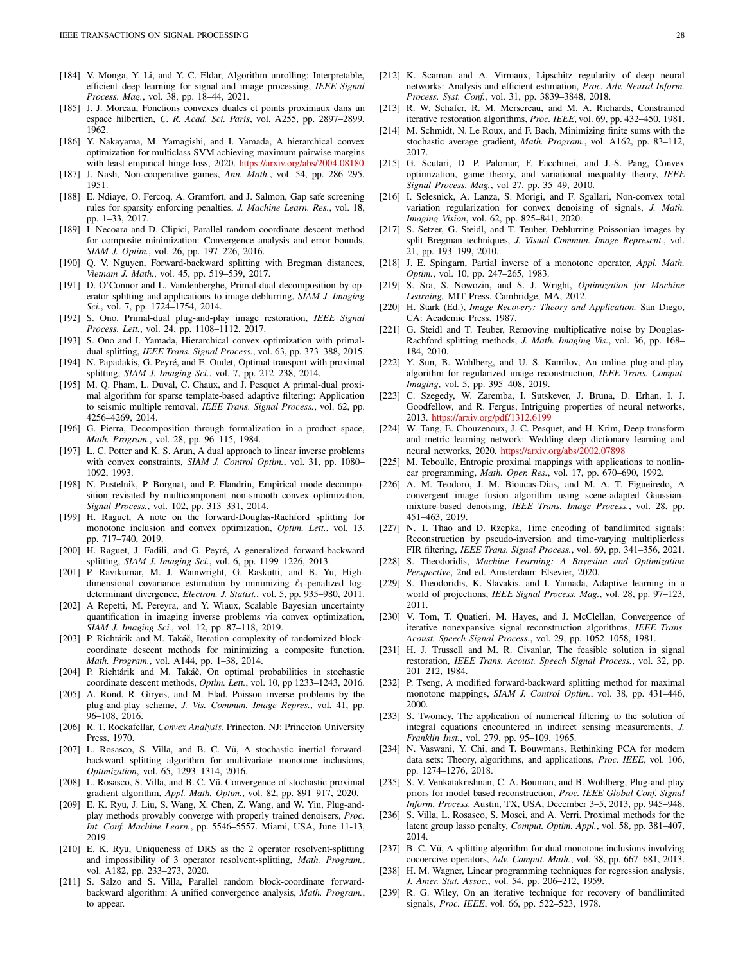- <span id="page-27-49"></span>[184] V. Monga, Y. Li, and Y. C. Eldar, Algorithm unrolling: Interpretable, efficient deep learning for signal and image processing, *IEEE Signal Process. Mag.*, vol. 38, pp. 18–44, 2021.
- <span id="page-27-11"></span>[185] J. J. Moreau, Fonctions convexes duales et points proximaux dans un espace hilbertien, *C. R. Acad. Sci. Paris*, vol. A255, pp. 2897–2899, 1962.
- <span id="page-27-16"></span>[186] Y. Nakayama, M. Yamagishi, and I. Yamada, A hierarchical convex optimization for multiclass SVM achieving maximum pairwise margins with least empirical hinge-loss, 2020. <https://arxiv.org/abs/2004.08180>
- <span id="page-27-45"></span><span id="page-27-14"></span>[187] J. Nash, Non-cooperative games, *Ann. Math.*, vol. 54, pp. 286–295, 1951.
- [188] E. Ndiaye, O. Fercoq, A. Gramfort, and J. Salmon, Gap safe screening rules for sparsity enforcing penalties, *J. Machine Learn. Res.*, vol. 18, pp. 1–33, 2017.
- <span id="page-27-37"></span>[189] I. Necoara and D. Clipici, Parallel random coordinate descent method for composite minimization: Convergence analysis and error bounds, *SIAM J. Optim.*, vol. 26, pp. 197–226, 2016.
- <span id="page-27-43"></span>[190] Q. V. Nguyen, Forward-backward splitting with Bregman distances, *Vietnam J. Math.*, vol. 45, pp. 519–539, 2017.
- <span id="page-27-12"></span>[191] D. O'Connor and L. Vandenberghe, Primal-dual decomposition by operator splitting and applications to image deblurring, *SIAM J. Imaging Sci.*, vol. 7, pp. 1724–1754, 2014.
- <span id="page-27-50"></span>[192] S. Ono, Primal-dual plug-and-play image restoration, *IEEE Signal Process. Lett.*, vol. 24, pp. 1108–1112, 2017.
- <span id="page-27-15"></span>[193] S. Ono and I. Yamada, Hierarchical convex optimization with primaldual splitting, *IEEE Trans. Signal Process.*, vol. 63, pp. 373–388, 2015.
- <span id="page-27-26"></span>[194] N. Papadakis, G. Peyré, and E. Oudet, Optimal transport with proximal splitting, *SIAM J. Imaging Sci.*, vol. 7, pp. 212–238, 2014.
- <span id="page-27-30"></span>[195] M. Q. Pham, L. Duval, C. Chaux, and J. Pesquet A primal-dual proximal algorithm for sparse template-based adaptive filtering: Application to seismic multiple removal, *IEEE Trans. Signal Process.*, vol. 62, pp. 4256–4269, 2014.
- <span id="page-27-21"></span>[196] G. Pierra, Decomposition through formalization in a product space, *Math. Program.*, vol. 28, pp. 96–115, 1984.
- <span id="page-27-7"></span>[197] L. C. Potter and K. S. Arun, A dual approach to linear inverse problems with convex constraints, *SIAM J. Control Optim.*, vol. 31, pp. 1080– 1092, 1993.
- <span id="page-27-13"></span>[198] N. Pustelnik, P. Borgnat, and P. Flandrin, Empirical mode decomposition revisited by multicomponent non-smooth convex optimization, *Signal Process.*, vol. 102, pp. 313–331, 2014.
- <span id="page-27-19"></span>[199] H. Raguet, A note on the forward-Douglas-Rachford splitting for monotone inclusion and convex optimization, *Optim. Lett.*, vol. 13, pp. 717–740, 2019.
- <span id="page-27-18"></span>[200] H. Raguet, J. Fadili, and G. Peyré, A generalized forward-backward splitting, *SIAM J. Imaging Sci.*, vol. 6, pp. 1199–1226, 2013.
- <span id="page-27-28"></span>[201] P. Ravikumar, M. J. Wainwright, G. Raskutti, and B. Yu, Highdimensional covariance estimation by minimizing  $\ell_1$ -penalized logdeterminant divergence, *Electron. J. Statist.*, vol. 5, pp. 935–980, 2011.
- <span id="page-27-31"></span>[202] A Repetti, M. Pereyra, and Y. Wiaux, Scalable Bayesian uncertainty quantification in imaging inverse problems via convex optimization, *SIAM J. Imaging Sci.*, vol. 12, pp. 87–118, 2019.
- <span id="page-27-38"></span>[203] P. Richtárik and M. Takáč, Iteration complexity of randomized blockcoordinate descent methods for minimizing a composite function, *Math. Program.*, vol. A144, pp. 1–38, 2014.
- <span id="page-27-39"></span>[204] P. Richtárik and M. Takáč, On optimal probabilities in stochastic coordinate descent methods, *Optim. Lett.*, vol. 10, pp 1233–1243, 2016.
- <span id="page-27-51"></span>[205] A. Rond, R. Giryes, and M. Elad, Poisson inverse problems by the plug-and-play scheme, *J. Vis. Commun. Image Repres.*, vol. 41, pp. 96–108, 2016.
- <span id="page-27-10"></span>[206] R. T. Rockafellar, *Convex Analysis.* Princeton, NJ: Princeton University Press, 1970.
- <span id="page-27-36"></span>[207] L. Rosasco, S. Villa, and B. C. Vũ, A stochastic inertial forwardbackward splitting algorithm for multivariate monotone inclusions, *Optimization*, vol. 65, 1293–1314, 2016.
- <span id="page-27-35"></span>[208] L. Rosasco, S. Villa, and B. C. Vũ, Convergence of stochastic proximal gradient algorithm, *Appl. Math. Optim.*, vol. 82, pp. 891–917, 2020.
- <span id="page-27-52"></span>[209] E. K. Ryu, J. Liu, S. Wang, X. Chen, Z. Wang, and W. Yin, Plug-andplay methods provably converge with properly trained denoisers, *Proc. Int. Conf. Machine Learn.*, pp. 5546–5557. Miami, USA, June 11-13, 2019.
- <span id="page-27-20"></span>[210] E. K. Ryu, Uniqueness of DRS as the 2 operator resolvent-splitting and impossibility of 3 operator resolvent-splitting, *Math. Program.*, vol. A182, pp. 233–273, 2020.
- <span id="page-27-40"></span>[211] S. Salzo and S. Villa, Parallel random block-coordinate forwardbackward algorithm: A unified convergence analysis, *Math. Program.*, to appear.
- <span id="page-27-47"></span>[212] K. Scaman and A. Virmaux, Lipschitz regularity of deep neural networks: Analysis and efficient estimation, *Proc. Adv. Neural Inform. Process. Syst. Conf.*, vol. 31, pp. 3839–3848, 2018.
- <span id="page-27-4"></span>[213] R. W. Schafer, R. M. Mersereau, and M. A. Richards, Constrained iterative restoration algorithms, *Proc. IEEE*, vol. 69, pp. 432–450, 1981.
- <span id="page-27-34"></span>[214] M. Schmidt, N. Le Roux, and F. Bach, Minimizing finite sums with the stochastic average gradient, *Math. Program.*, vol. A162, pp. 83–112, 2017.
- <span id="page-27-44"></span>[215] G. Scutari, D. P. Palomar, F. Facchinei, and J.-S. Pang, Convex optimization, game theory, and variational inequality theory, *IEEE Signal Process. Mag.*, vol 27, pp. 35–49, 2010.
- <span id="page-27-32"></span>[216] I. Selesnick, A. Lanza, S. Morigi, and F. Sgallari, Non-convex total variation regularization for convex denoising of signals, *J. Math. Imaging Vision*, vol. 62, pp. 825–841, 2020.
- <span id="page-27-33"></span>[217] S. Setzer, G. Steidl, and T. Teuber, Deblurring Poissonian images by split Bregman techniques, *J. Visual Commun. Image Represent.*, vol. 21, pp. 193–199, 2010.
- <span id="page-27-22"></span>[218] J. E. Spingarn, Partial inverse of a monotone operator, *Appl. Math. Optim.*, vol. 10, pp. 247–265, 1983.
- <span id="page-27-2"></span>[219] S. Sra, S. Nowozin, and S. J. Wright, *Optimization for Machine Learning.* MIT Press, Cambridge, MA, 2012.
- <span id="page-27-8"></span>[220] H. Stark (Ed.), *Image Recovery: Theory and Application.* San Diego, CA: Academic Press, 1987.
- <span id="page-27-27"></span>[221] G. Steidl and T. Teuber, Removing multiplicative noise by Douglas-Rachford splitting methods, *J. Math. Imaging Vis.*, vol. 36, pp. 168– 184, 2010.
- <span id="page-27-53"></span>[222] Y. Sun, B. Wohlberg, and U. S. Kamilov, An online plug-and-play algorithm for regularized image reconstruction, *IEEE Trans. Comput. Imaging*, vol. 5, pp. 395–408, 2019.
- <span id="page-27-46"></span>[223] C. Szegedy, W. Zaremba, I. Sutskever, J. Bruna, D. Erhan, I. J. Goodfellow, and R. Fergus, Intriguing properties of neural networks, 2013. <https://arxiv.org/pdf/1312.6199>
- <span id="page-27-48"></span>[224] W. Tang, E. Chouzenoux, J.-C. Pesquet, and H. Krim, Deep transform and metric learning network: Wedding deep dictionary learning and neural networks, 2020, <https://arxiv.org/abs/2002.07898>
- <span id="page-27-42"></span>[225] M. Teboulle, Entropic proximal mappings with applications to nonlinear programming, *Math. Oper. Res.*, vol. 17, pp. 670–690, 1992.
- <span id="page-27-55"></span>[226] A. M. Teodoro, J. M. Bioucas-Dias, and M. A. T. Figueiredo, A convergent image fusion algorithm using scene-adapted Gaussianmixture-based denoising, *IEEE Trans. Image Process.*, vol. 28, pp. 451–463, 2019.
- <span id="page-27-24"></span>[227] N. T. Thao and D. Rzepka, Time encoding of bandlimited signals: Reconstruction by pseudo-inversion and time-varying multiplierless FIR filtering, *IEEE Trans. Signal Process.*, vol. 69, pp. 341–356, 2021.
- <span id="page-27-3"></span>[228] S. Theodoridis, *Machine Learning: A Bayesian and Optimization Perspective*, 2nd ed. Amsterdam: Elsevier, 2020.
- <span id="page-27-9"></span>[229] S. Theodoridis, K. Slavakis, and I. Yamada, Adaptive learning in a world of projections, *IEEE Signal Process. Mag.*, vol. 28, pp. 97–123, 2011.
- <span id="page-27-5"></span>[230] V. Tom, T. Quatieri, M. Hayes, and J. McClellan, Convergence of iterative nonexpansive signal reconstruction algorithms, *IEEE Trans. Acoust. Speech Signal Process.*, vol. 29, pp. 1052–1058, 1981.
- <span id="page-27-25"></span>[231] H. J. Trussell and M. R. Civanlar, The feasible solution in signal restoration, *IEEE Trans. Acoust. Speech Signal Process.*, vol. 32, pp. 201–212, 1984.
- <span id="page-27-17"></span>[232] P. Tseng, A modified forward-backward splitting method for maximal monotone mappings, *SIAM J. Control Optim.*, vol. 38, pp. 431–446, 2000.
- <span id="page-27-0"></span>[233] S. Twomey, The application of numerical filtering to the solution of integral equations encountered in indirect sensing measurements, *J. Franklin Inst.*, vol. 279, pp. 95–109, 1965.
- <span id="page-27-29"></span>[234] N. Vaswani, Y. Chi, and T. Bouwmans, Rethinking PCA for modern data sets: Theory, algorithms, and applications, *Proc. IEEE*, vol. 106, pp. 1274–1276, 2018.
- <span id="page-27-54"></span>[235] S. V. Venkatakrishnan, C. A. Bouman, and B. Wohlberg, Plug-and-play priors for model based reconstruction, *Proc. IEEE Global Conf. Signal Inform. Process.* Austin, TX, USA, December 3–5, 2013, pp. 945–948.
- <span id="page-27-41"></span>[236] S. Villa, L. Rosasco, S. Mosci, and A. Verri, Proximal methods for the latent group lasso penalty, *Comput. Optim. Appl.*, vol. 58, pp. 381–407, 2014.
- <span id="page-27-23"></span>[237] B. C. Vũ, A splitting algorithm for dual monotone inclusions involving cocoercive operators, *Adv. Comput. Math.*, vol. 38, pp. 667–681, 2013.
- <span id="page-27-1"></span>[238] H. M. Wagner, Linear programming techniques for regression analysis, *J. Amer. Stat. Assoc.*, vol. 54, pp. 206–212, 1959.
- <span id="page-27-6"></span>[239] R. G. Wiley, On an iterative technique for recovery of bandlimited signals, *Proc. IEEE*, vol. 66, pp. 522–523, 1978.